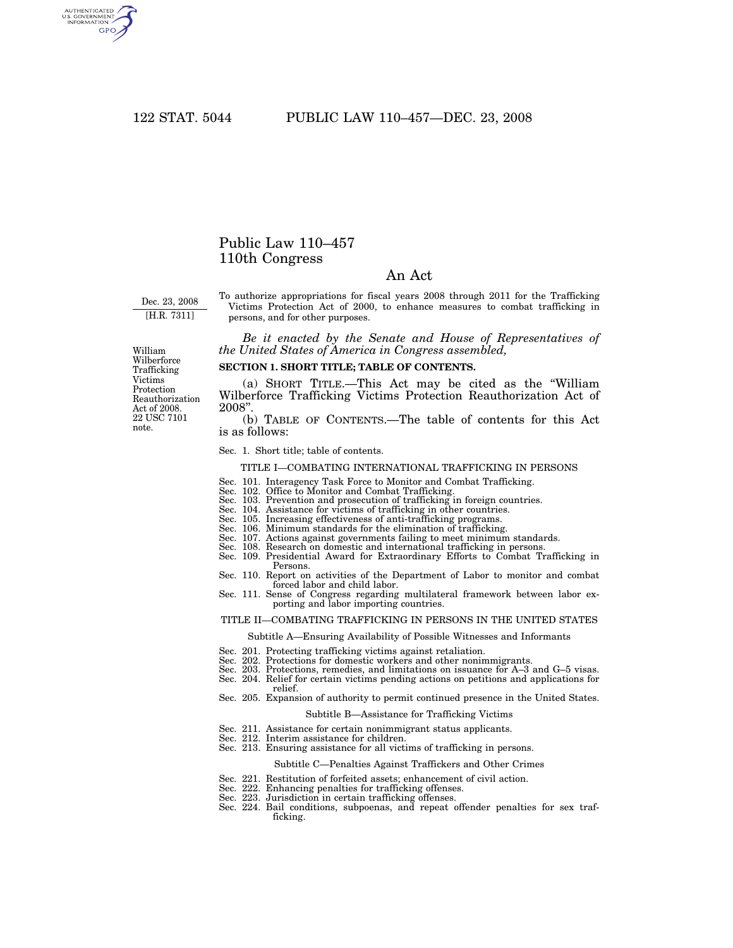AUTHENTICATED GPO

# Public Law 110–457 110th Congress

# An Act

Dec. 23, 2008 [H.R. 7311]

To authorize appropriations for fiscal years 2008 through 2011 for the Trafficking Victims Protection Act of 2000, to enhance measures to combat trafficking in persons, and for other purposes.

*Be it enacted by the Senate and House of Representatives of the United States of America in Congress assembled,* 

#### **SECTION 1. SHORT TITLE; TABLE OF CONTENTS.**

(a) SHORT TITLE.—This Act may be cited as the ''William Wilberforce Trafficking Victims Protection Reauthorization Act of 2008''.

(b) TABLE OF CONTENTS.—The table of contents for this Act is as follows:

#### Sec. 1. Short title; table of contents.

#### TITLE I—COMBATING INTERNATIONAL TRAFFICKING IN PERSONS

- Sec. 101. Interagency Task Force to Monitor and Combat Trafficking.
- Sec. 102. Office to Monitor and Combat Trafficking.
- Sec. 103. Prevention and prosecution of trafficking in foreign countries. Sec. 104. Assistance for victims of trafficking in other countries.
- 
- Sec. 105. Increasing effectiveness of anti-trafficking programs. Sec. 106. Minimum standards for the elimination of trafficking.
- 
- 
- 
- Sec. 107. Actions against governments failing to meet minimum standards.<br>Sec. 108. Research on domestic and international trafficking in persons.<br>Sec. 109. Presidential Award for Extraordinary Efforts to Combat Trafficking Persons.
- Sec. 110. Report on activities of the Department of Labor to monitor and combat forced labor and child labor.
- Sec. 111. Sense of Congress regarding multilateral framework between labor exporting and labor importing countries.

#### TITLE II—COMBATING TRAFFICKING IN PERSONS IN THE UNITED STATES

#### Subtitle A—Ensuring Availability of Possible Witnesses and Informants

- 
- Sec. 201. Protecting trafficking victims against retaliation. Sec. 202. Protections for domestic workers and other nonimmigrants.
- Sec. 203. Protections, remedies, and limitations on issuance for A–3 and G–5 visas.
- Sec. 204. Relief for certain victims pending actions on petitions and applications for
	- relief.
- Sec. 205. Expansion of authority to permit continued presence in the United States.

# Subtitle B—Assistance for Trafficking Victims

- Sec. 211. Assistance for certain nonimmigrant status applicants. Sec. 212. Interim assistance for children.
	-

# Sec. 213. Ensuring assistance for all victims of trafficking in persons.

#### Subtitle C—Penalties Against Traffickers and Other Crimes

- Sec. 221. Restitution of forfeited assets; enhancement of civil action.
- Sec. 222. Enhancing penalties for trafficking offenses.
- Sec. 223. Jurisdiction in certain trafficking offenses.
- Sec. 224. Bail conditions, subpoenas, and repeat offender penalties for sex trafficking.

22 USC 7101 note. William Wilberforce Trafficking Victims Protection Reauthorization Act of 2008.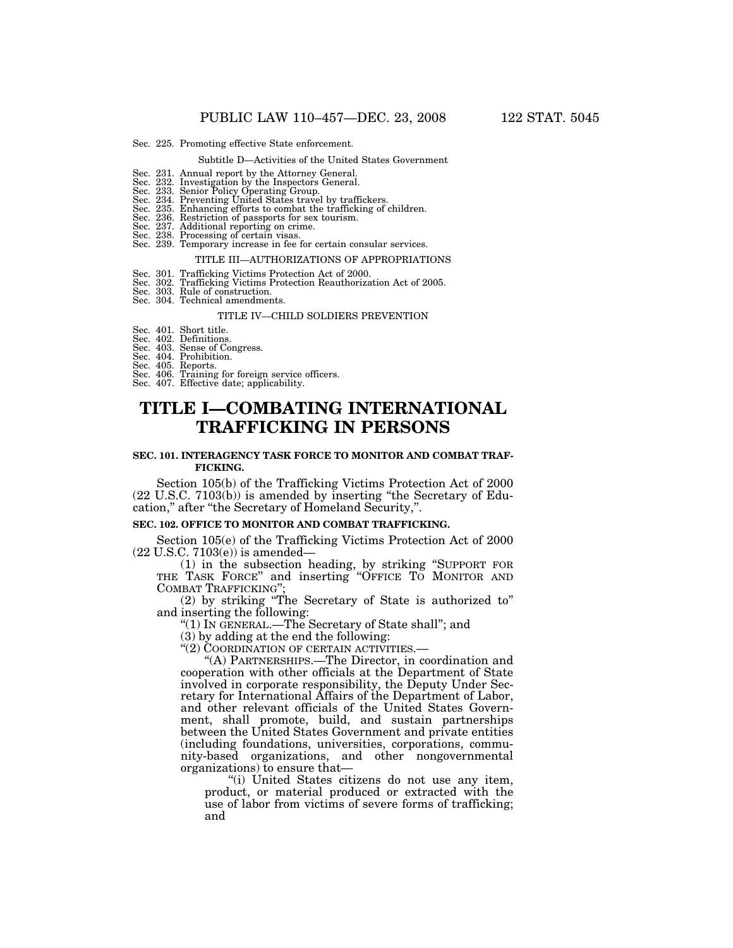Sec. 225. Promoting effective State enforcement.

#### Subtitle D—Activities of the United States Government

#### Sec. 231. Annual report by the Attorney General.

- 
- Sec. 232. Investigation by the Inspectors General.<br>Sec. 233. Senior Policy Operating Group.<br>Sec. 234. Preventing United States travel by traffickers.<br>Sec. 235. Enhancing efforts to combat the trafficking of children.<br>Sec.
- 
- Sec. 237. Additional reporting on crime.
- 
- Sec. 238. Processing of certain visas. Sec. 239. Temporary increase in fee for certain consular services.

#### TITLE III—AUTHORIZATIONS OF APPROPRIATIONS

- 
- Sec. 301. Trafficking Victims Protection Act of 2000. Sec. 302. Trafficking Victims Protection Reauthorization Act of 2005. Sec. 303. Rule of construction.
- 
- Sec. 304. Technical amendments.

# TITLE IV—CHILD SOLDIERS PREVENTION

- Sec. 401. Short title. Sec. 402. Definitions.
- 
- Sec. 403. Sense of Congress. Sec. 404. Prohibition. Sec. 405. Reports.
- 
- 
- Sec. 406. Training for foreign service officers. Sec. 407. Effective date; applicability.
- 

# **TITLE I—COMBATING INTERNATIONAL TRAFFICKING IN PERSONS**

#### **SEC. 101. INTERAGENCY TASK FORCE TO MONITOR AND COMBAT TRAF-FICKING.**

Section 105(b) of the Trafficking Victims Protection Act of 2000 (22 U.S.C. 7103(b)) is amended by inserting ''the Secretary of Education," after "the Secretary of Homeland Security,".

#### **SEC. 102. OFFICE TO MONITOR AND COMBAT TRAFFICKING.**

Section 105(e) of the Trafficking Victims Protection Act of 2000 (22 U.S.C. 7103(e)) is amended—

(1) in the subsection heading, by striking ''SUPPORT FOR THE TASK FORCE" and inserting "OFFICE TO MONITOR AND COMBAT TRAFFICKING'';

(2) by striking ''The Secretary of State is authorized to'' and inserting the following:

''(1) IN GENERAL.—The Secretary of State shall''; and

(3) by adding at the end the following:

''(2) COORDINATION OF CERTAIN ACTIVITIES.—

''(A) PARTNERSHIPS.—The Director, in coordination and cooperation with other officials at the Department of State involved in corporate responsibility, the Deputy Under Secretary for International Affairs of the Department of Labor, and other relevant officials of the United States Government, shall promote, build, and sustain partnerships between the United States Government and private entities (including foundations, universities, corporations, community-based organizations, and other nongovernmental organizations) to ensure that—

''(i) United States citizens do not use any item, product, or material produced or extracted with the use of labor from victims of severe forms of trafficking; and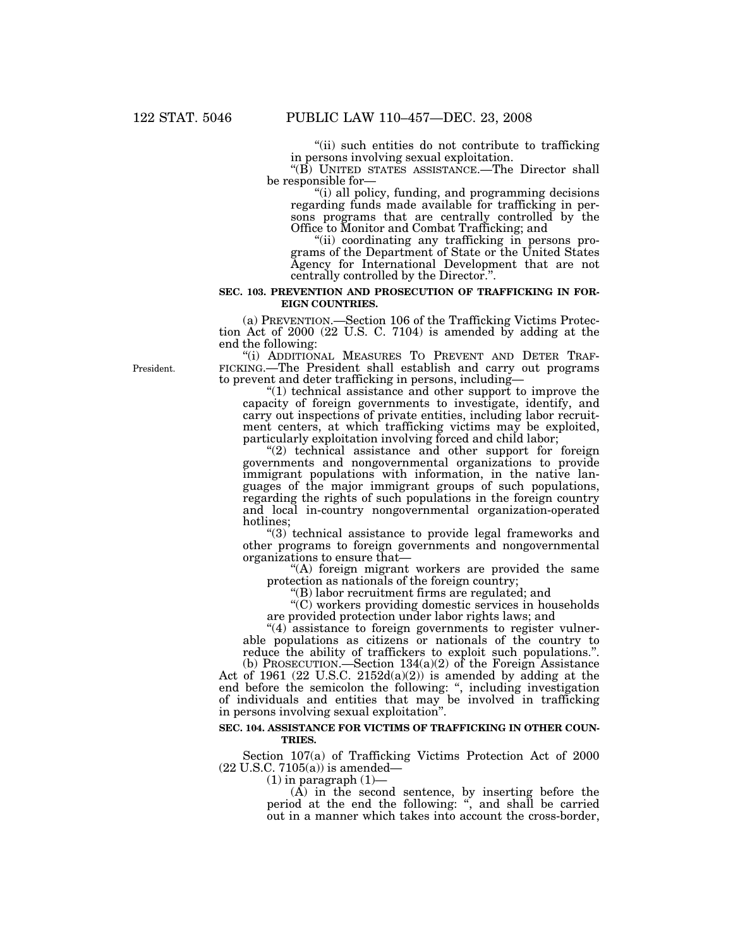''(ii) such entities do not contribute to trafficking in persons involving sexual exploitation.

"(B) UNITED STATES ASSISTANCE.—The Director shall be responsible for—

''(i) all policy, funding, and programming decisions regarding funds made available for trafficking in persons programs that are centrally controlled by the Office to Monitor and Combat Trafficking; and

''(ii) coordinating any trafficking in persons programs of the Department of State or the United States Agency for International Development that are not centrally controlled by the Director.''.

#### **SEC. 103. PREVENTION AND PROSECUTION OF TRAFFICKING IN FOR-EIGN COUNTRIES.**

(a) PREVENTION.—Section 106 of the Trafficking Victims Protection Act of 2000 (22 U.S. C. 7104) is amended by adding at the end the following:<br>"(i) ADDITIONAL MEASURES TO PREVENT AND DETER TRAF-

FICKING.—The President shall establish and carry out programs to prevent and deter trafficking in persons, including—

" $(1)$  technical assistance and other support to improve the capacity of foreign governments to investigate, identify, and carry out inspections of private entities, including labor recruitment centers, at which trafficking victims may be exploited, particularly exploitation involving forced and child labor;

 $(2)$  technical assistance and other support for foreign governments and nongovernmental organizations to provide immigrant populations with information, in the native languages of the major immigrant groups of such populations, regarding the rights of such populations in the foreign country and local in-country nongovernmental organization-operated hotlines;

''(3) technical assistance to provide legal frameworks and other programs to foreign governments and nongovernmental organizations to ensure that—

"(A) foreign migrant workers are provided the same protection as nationals of the foreign country;

''(B) labor recruitment firms are regulated; and

''(C) workers providing domestic services in households are provided protection under labor rights laws; and

 $\degree$ (4) assistance to foreign governments to register vulnerable populations as citizens or nationals of the country to reduce the ability of traffickers to exploit such populations.".

(b) PROSECUTION.—Section 134(a)(2) of the Foreign Assistance Act of 1961 (22 U.S.C.  $2152d(a)(2)$ ) is amended by adding at the end before the semicolon the following: '', including investigation of individuals and entities that may be involved in trafficking in persons involving sexual exploitation''.

#### **SEC. 104. ASSISTANCE FOR VICTIMS OF TRAFFICKING IN OTHER COUN-TRIES.**

Section 107(a) of Trafficking Victims Protection Act of 2000 (22 U.S.C. 7105(a)) is amended—

 $(1)$  in paragraph  $(1)$ –

(A) in the second sentence, by inserting before the period at the end the following: ", and shall be carried out in a manner which takes into account the cross-border,

President.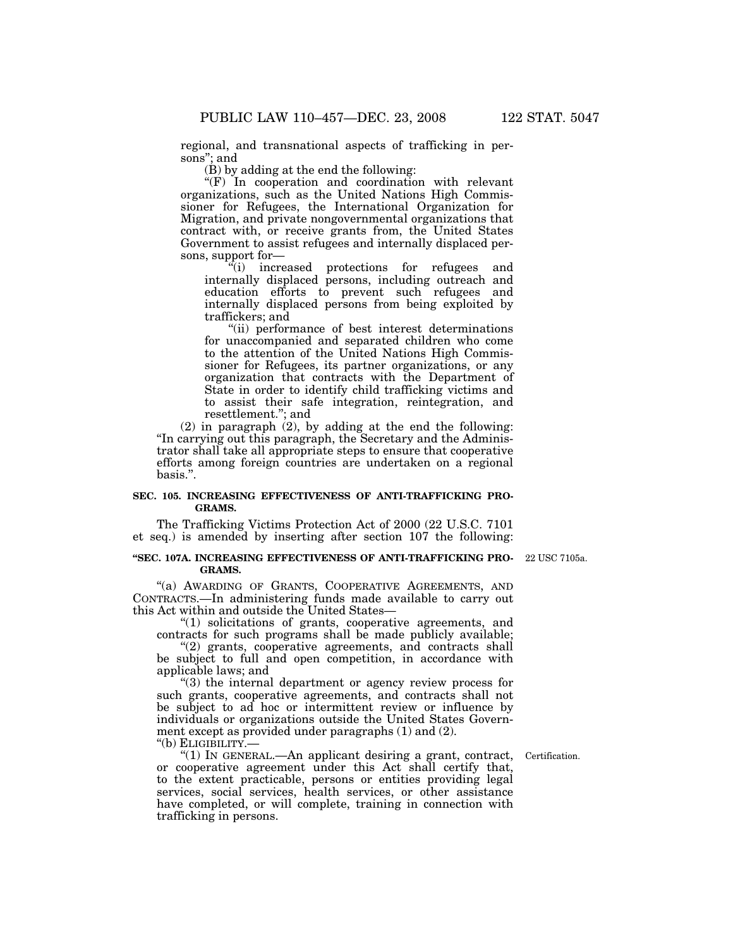regional, and transnational aspects of trafficking in persons''; and

(B) by adding at the end the following:

 $\mathbf{F}(\mathbf{F})$  In cooperation and coordination with relevant organizations, such as the United Nations High Commissioner for Refugees, the International Organization for Migration, and private nongovernmental organizations that contract with, or receive grants from, the United States Government to assist refugees and internally displaced persons, support for—

''(i) increased protections for refugees and internally displaced persons, including outreach and education efforts to prevent such refugees and internally displaced persons from being exploited by traffickers; and

"(ii) performance of best interest determinations for unaccompanied and separated children who come to the attention of the United Nations High Commissioner for Refugees, its partner organizations, or any organization that contracts with the Department of State in order to identify child trafficking victims and to assist their safe integration, reintegration, and resettlement.''; and

(2) in paragraph  $(2)$ , by adding at the end the following: ''In carrying out this paragraph, the Secretary and the Administrator shall take all appropriate steps to ensure that cooperative efforts among foreign countries are undertaken on a regional basis.''.

#### **SEC. 105. INCREASING EFFECTIVENESS OF ANTI-TRAFFICKING PRO-GRAMS.**

The Trafficking Victims Protection Act of 2000 (22 U.S.C. 7101 et seq.) is amended by inserting after section 107 the following:

#### **''SEC. 107A. INCREASING EFFECTIVENESS OF ANTI-TRAFFICKING PRO-**22 USC 7105a. **GRAMS.**

"(a) AWARDING OF GRANTS, COOPERATIVE AGREEMENTS, AND CONTRACTS.—In administering funds made available to carry out this Act within and outside the United States—

"(1) solicitations of grants, cooperative agreements, and contracts for such programs shall be made publicly available;

''(2) grants, cooperative agreements, and contracts shall be subject to full and open competition, in accordance with applicable laws; and

''(3) the internal department or agency review process for such grants, cooperative agreements, and contracts shall not be subject to ad hoc or intermittent review or influence by individuals or organizations outside the United States Government except as provided under paragraphs (1) and (2).

''(b) ELIGIBILITY.—

''(1) IN GENERAL.—An applicant desiring a grant, contract, or cooperative agreement under this Act shall certify that, to the extent practicable, persons or entities providing legal services, social services, health services, or other assistance have completed, or will complete, training in connection with trafficking in persons.

Certification.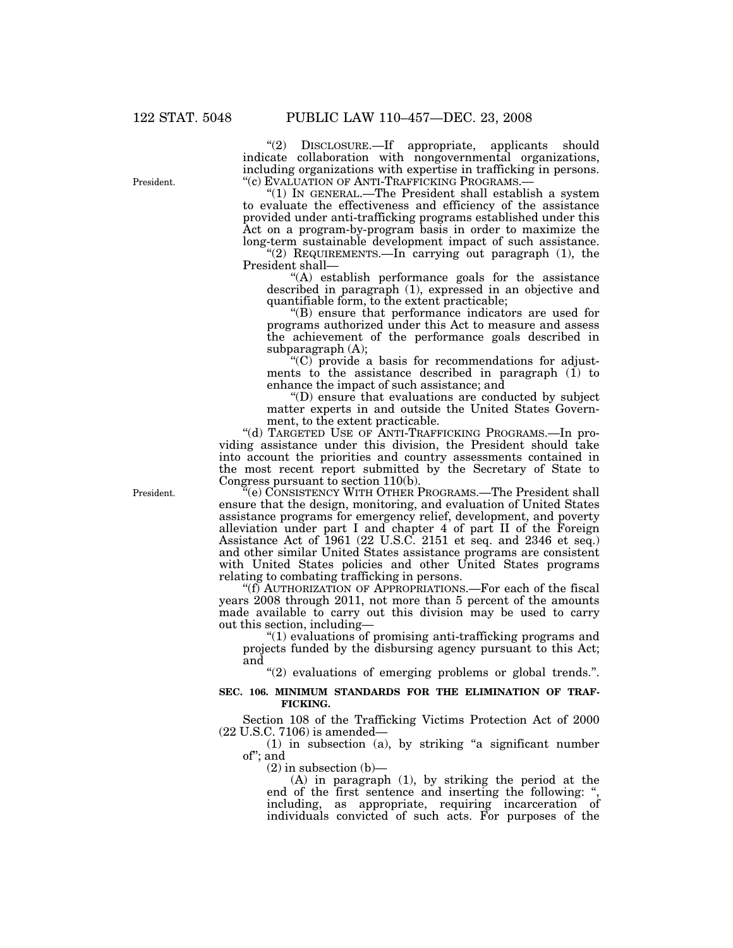''(2) DISCLOSURE.—If appropriate, applicants should indicate collaboration with nongovernmental organizations, including organizations with expertise in trafficking in persons. "(c) EVALUATION OF ANTI-TRAFFICKING PROGRAMS.—

"(1) IN GENERAL.—The President shall establish a system to evaluate the effectiveness and efficiency of the assistance provided under anti-trafficking programs established under this Act on a program-by-program basis in order to maximize the long-term sustainable development impact of such assistance.

''(2) REQUIREMENTS.—In carrying out paragraph (1), the President shall—

"(A) establish performance goals for the assistance described in paragraph (1), expressed in an objective and quantifiable form, to the extent practicable;

''(B) ensure that performance indicators are used for programs authorized under this Act to measure and assess the achievement of the performance goals described in subparagraph (A);

''(C) provide a basis for recommendations for adjustments to the assistance described in paragraph (1) to enhance the impact of such assistance; and

''(D) ensure that evaluations are conducted by subject matter experts in and outside the United States Government, to the extent practicable.

''(d) TARGETED USE OF ANTI-TRAFFICKING PROGRAMS.—In providing assistance under this division, the President should take into account the priorities and country assessments contained in the most recent report submitted by the Secretary of State to Congress pursuant to section 110(b).

(e) CONSISTENCY WITH OTHER PROGRAMS.—The President shall ensure that the design, monitoring, and evaluation of United States assistance programs for emergency relief, development, and poverty alleviation under part I and chapter  $4$  of part II of the Foreign Assistance Act of 1961 (22 U.S.C. 2151 et seq. and 2346 et seq.) and other similar United States assistance programs are consistent with United States policies and other United States programs relating to combating trafficking in persons.

''(f) AUTHORIZATION OF APPROPRIATIONS.—For each of the fiscal years 2008 through 2011, not more than 5 percent of the amounts made available to carry out this division may be used to carry out this section, including—

''(1) evaluations of promising anti-trafficking programs and projects funded by the disbursing agency pursuant to this Act; and

"(2) evaluations of emerging problems or global trends.".

#### **SEC. 106. MINIMUM STANDARDS FOR THE ELIMINATION OF TRAF-FICKING.**

Section 108 of the Trafficking Victims Protection Act of 2000 (22 U.S.C. 7106) is amended—

 $(1)$  in subsection  $(a)$ , by striking "a significant number of''; and

 $(2)$  in subsection  $(b)$ —

(A) in paragraph (1), by striking the period at the end of the first sentence and inserting the following: including, as appropriate, requiring incarceration of individuals convicted of such acts. For purposes of the

President.

President.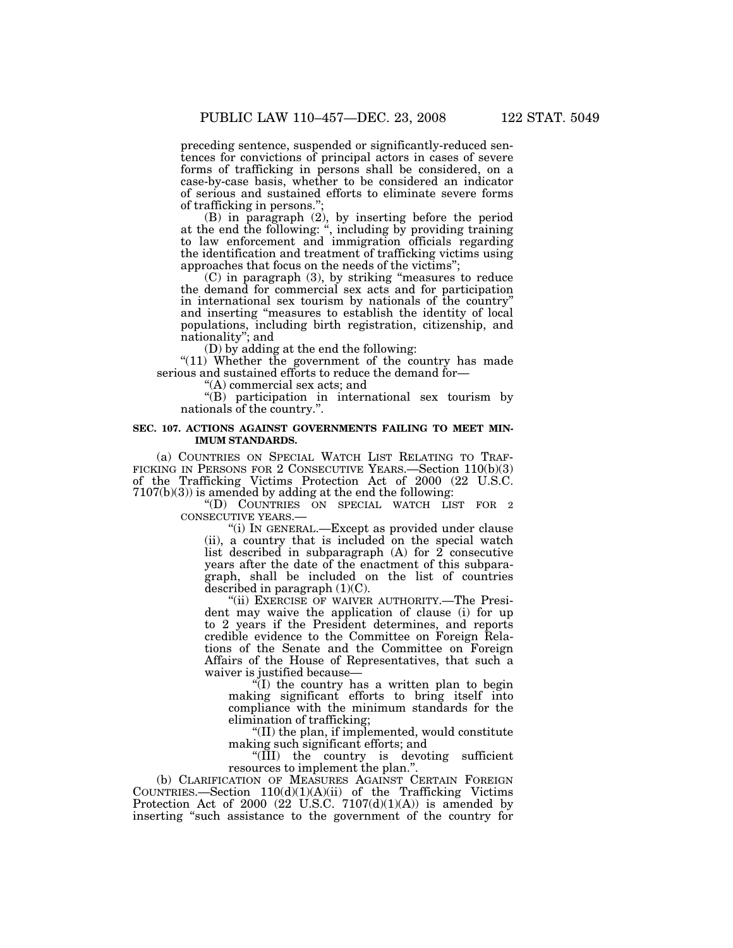preceding sentence, suspended or significantly-reduced sentences for convictions of principal actors in cases of severe forms of trafficking in persons shall be considered, on a case-by-case basis, whether to be considered an indicator of serious and sustained efforts to eliminate severe forms of trafficking in persons.'';

(B) in paragraph (2), by inserting before the period at the end the following: '', including by providing training to law enforcement and immigration officials regarding the identification and treatment of trafficking victims using approaches that focus on the needs of the victims'';

(C) in paragraph (3), by striking ''measures to reduce the demand for commercial sex acts and for participation in international sex tourism by nationals of the country'' and inserting ''measures to establish the identity of local populations, including birth registration, citizenship, and nationality''; and

(D) by adding at the end the following:

" $(11)$  Whether the government of the country has made serious and sustained efforts to reduce the demand for—

 $\mathcal{F}(A)$  commercial sex acts; and

''(B) participation in international sex tourism by nationals of the country.''.

### **SEC. 107. ACTIONS AGAINST GOVERNMENTS FAILING TO MEET MIN-IMUM STANDARDS.**

(a) COUNTRIES ON SPECIAL WATCH LIST RELATING TO TRAF-FICKING IN PERSONS FOR 2 CONSECUTIVE YEARS.—Section 110(b)(3) of the Trafficking Victims Protection Act of 2000 (22 U.S.C. 7107(b)(3)) is amended by adding at the end the following:

''(D) COUNTRIES ON SPECIAL WATCH LIST FOR 2 CONSECUTIVE YEARS.—

''(i) IN GENERAL.—Except as provided under clause (ii), a country that is included on the special watch list described in subparagraph (A) for 2 consecutive years after the date of the enactment of this subparagraph, shall be included on the list of countries described in paragraph  $(1)(C)$ .

''(ii) EXERCISE OF WAIVER AUTHORITY.—The President may waive the application of clause (i) for up to 2 years if the President determines, and reports credible evidence to the Committee on Foreign Relations of the Senate and the Committee on Foreign Affairs of the House of Representatives, that such a waiver is justified because—

''(I) the country has a written plan to begin making significant efforts to bring itself into compliance with the minimum standards for the elimination of trafficking;

''(II) the plan, if implemented, would constitute making such significant efforts; and

"(III) the country is devoting sufficient resources to implement the plan.''.

(b) CLARIFICATION OF MEASURES AGAINST CERTAIN FOREIGN COUNTRIES.—Section  $110(d)(1)(A)(ii)$  of the Trafficking Victims Protection Act of 2000 (22 U.S.C. 7107(d)(1)(A)) is amended by inserting ''such assistance to the government of the country for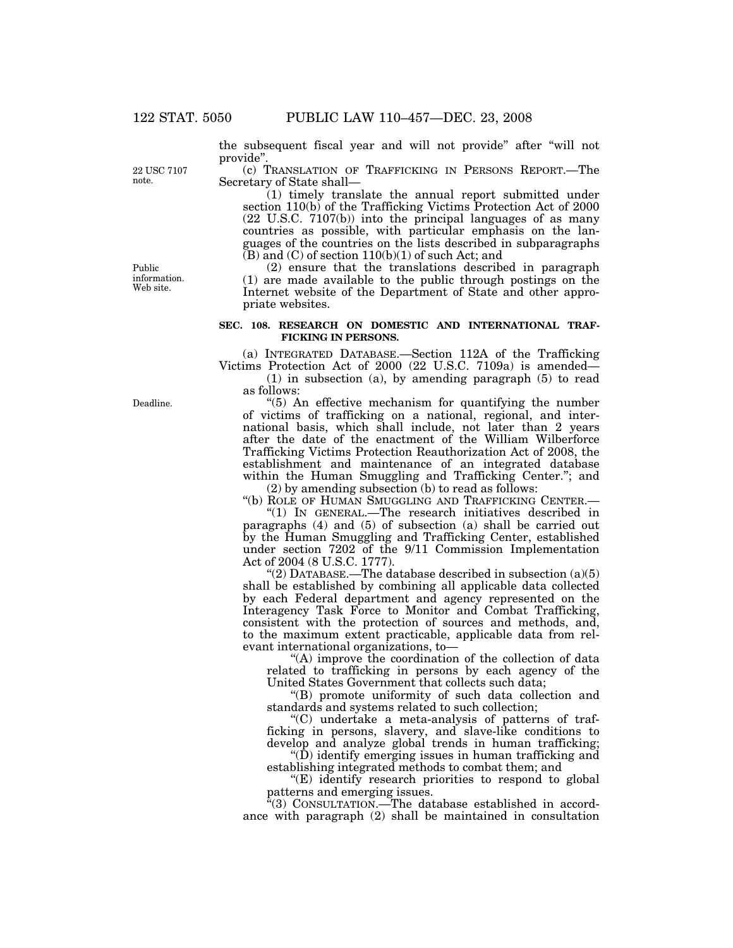the subsequent fiscal year and will not provide'' after ''will not provide''.

22 USC 7107 note.

(c) TRANSLATION OF TRAFFICKING IN PERSONS REPORT.—The Secretary of State shall—

(1) timely translate the annual report submitted under section 110(b) of the Trafficking Victims Protection Act of 2000 (22 U.S.C. 7107(b)) into the principal languages of as many countries as possible, with particular emphasis on the languages of the countries on the lists described in subparagraphs  $(B)$  and  $(C)$  of section 110(b)(1) of such Act; and

(2) ensure that the translations described in paragraph (1) are made available to the public through postings on the Internet website of the Department of State and other appropriate websites.

## **SEC. 108. RESEARCH ON DOMESTIC AND INTERNATIONAL TRAF-FICKING IN PERSONS.**

(a) INTEGRATED DATABASE.—Section 112A of the Trafficking Victims Protection Act of 2000 (22 U.S.C. 7109a) is amended—

(1) in subsection (a), by amending paragraph (5) to read as follows:

 $(5)$  An effective mechanism for quantifying the number of victims of trafficking on a national, regional, and international basis, which shall include, not later than 2 years after the date of the enactment of the William Wilberforce Trafficking Victims Protection Reauthorization Act of 2008, the establishment and maintenance of an integrated database within the Human Smuggling and Trafficking Center."; and (2) by amending subsection (b) to read as follows:

''(b) ROLE OF HUMAN SMUGGLING AND TRAFFICKING CENTER.—

''(1) IN GENERAL.—The research initiatives described in paragraphs (4) and (5) of subsection (a) shall be carried out by the Human Smuggling and Trafficking Center, established under section 7202 of the 9/11 Commission Implementation Act of 2004 (8 U.S.C. 1777).

"(2)  $DATABASE$ .—The database described in subsection (a)(5) shall be established by combining all applicable data collected by each Federal department and agency represented on the Interagency Task Force to Monitor and Combat Trafficking, consistent with the protection of sources and methods, and, to the maximum extent practicable, applicable data from relevant international organizations, to—

"(A) improve the coordination of the collection of data related to trafficking in persons by each agency of the United States Government that collects such data;

''(B) promote uniformity of such data collection and standards and systems related to such collection;

''(C) undertake a meta-analysis of patterns of trafficking in persons, slavery, and slave-like conditions to develop and analyze global trends in human trafficking;

 $\mathrm{``(D)}$  identify emerging issues in human trafficking and establishing integrated methods to combat them; and

 $E$ ) identify research priorities to respond to global patterns and emerging issues.

 $\cdot^{\alpha}(3)$  CONSULTATION.—The database established in accordance with paragraph (2) shall be maintained in consultation

Deadline.

Public information. Web site.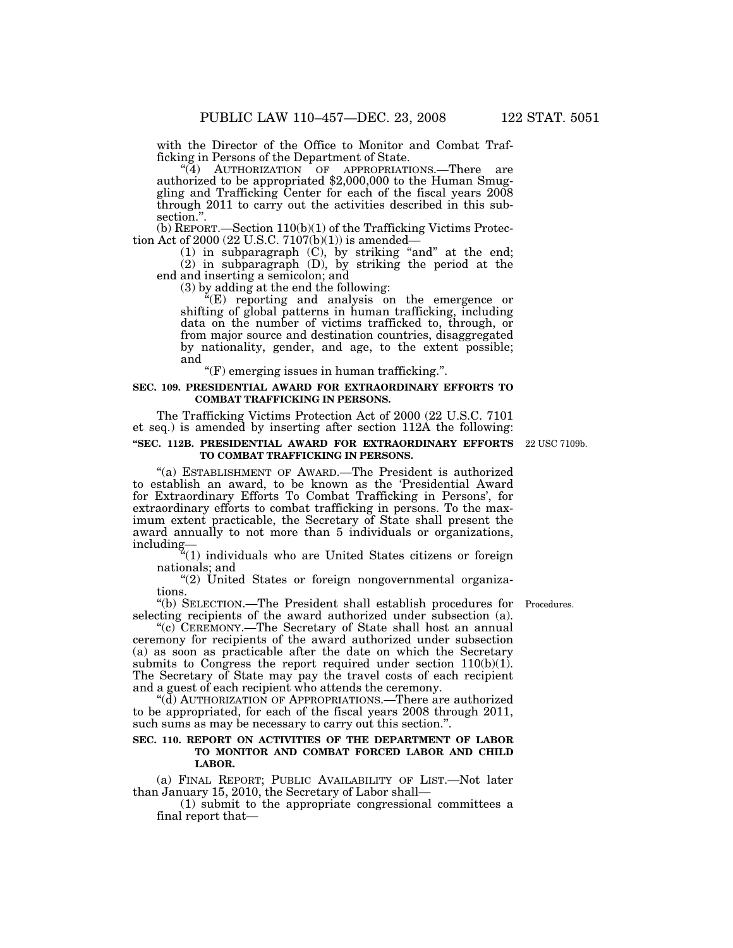with the Director of the Office to Monitor and Combat Trafficking in Persons of the Department of State.

"(4) AUTHORIZATION OF APPROPRIATIONS.—There are authorized to be appropriated \$2,000,000 to the Human Smuggling and Trafficking Center for each of the fiscal years 2008 through 2011 to carry out the activities described in this subsection.".

(b) REPORT.—Section 110(b)(1) of the Trafficking Victims Protection Act of 2000 (22 U.S.C. 7107(b)(1)) is amended—

 $(1)$  in subparagraph  $(C)$ , by striking "and" at the end; (2) in subparagraph (D), by striking the period at the end and inserting a semicolon; and

(3) by adding at the end the following:

''(E) reporting and analysis on the emergence or shifting of global patterns in human trafficking, including data on the number of victims trafficked to, through, or from major source and destination countries, disaggregated by nationality, gender, and age, to the extent possible; and

''(F) emerging issues in human trafficking.''.

#### **SEC. 109. PRESIDENTIAL AWARD FOR EXTRAORDINARY EFFORTS TO COMBAT TRAFFICKING IN PERSONS.**

The Trafficking Victims Protection Act of 2000 (22 U.S.C. 7101 et seq.) is amended by inserting after section 112A the following: **''SEC. 112B. PRESIDENTIAL AWARD FOR EXTRAORDINARY EFFORTS**  22 USC 7109b. **TO COMBAT TRAFFICKING IN PERSONS.** 

Procedures.

"(a) ESTABLISHMENT OF AWARD.—The President is authorized to establish an award, to be known as the 'Presidential Award for Extraordinary Efforts To Combat Trafficking in Persons', for extraordinary efforts to combat trafficking in persons. To the maximum extent practicable, the Secretary of State shall present the award annually to not more than 5 individuals or organizations, including—

''(1) individuals who are United States citizens or foreign nationals; and

"(2) United States or foreign nongovernmental organizations.

''(b) SELECTION.—The President shall establish procedures for selecting recipients of the award authorized under subsection (a).

''(c) CEREMONY.—The Secretary of State shall host an annual ceremony for recipients of the award authorized under subsection (a) as soon as practicable after the date on which the Secretary submits to Congress the report required under section 110(b)(1). The Secretary of State may pay the travel costs of each recipient and a guest of each recipient who attends the ceremony.

''(d) AUTHORIZATION OF APPROPRIATIONS.—There are authorized to be appropriated, for each of the fiscal years 2008 through 2011, such sums as may be necessary to carry out this section.''.

# **SEC. 110. REPORT ON ACTIVITIES OF THE DEPARTMENT OF LABOR TO MONITOR AND COMBAT FORCED LABOR AND CHILD LABOR.**

(a) FINAL REPORT; PUBLIC AVAILABILITY OF LIST.—Not later than January 15, 2010, the Secretary of Labor shall—

(1) submit to the appropriate congressional committees a final report that—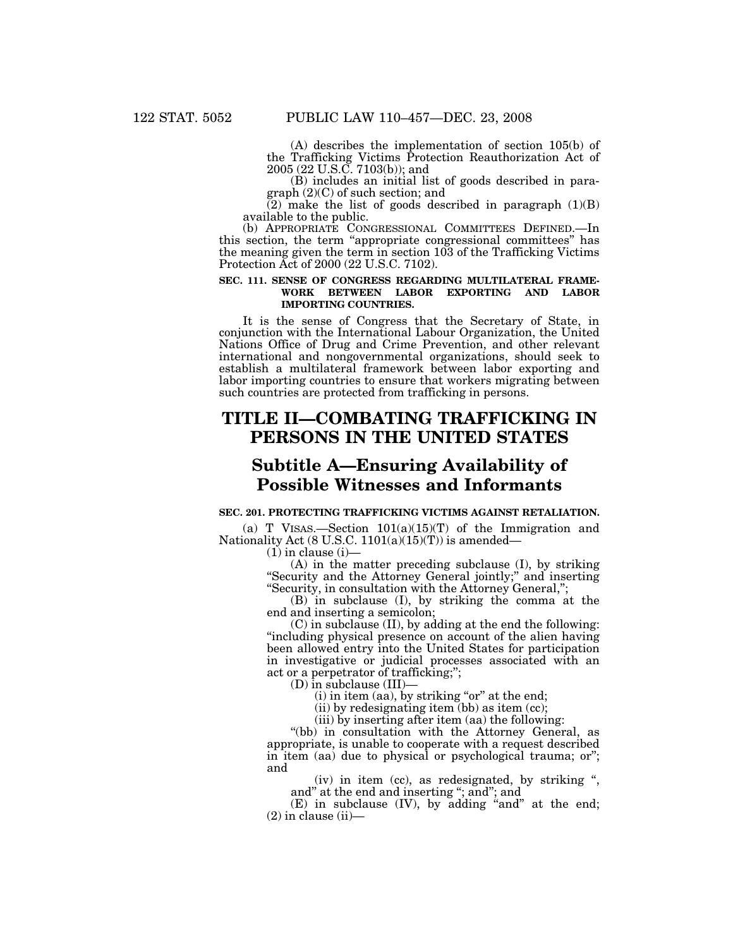(A) describes the implementation of section 105(b) of the Trafficking Victims Protection Reauthorization Act of 2005 (22 U.S.C. 7103(b)); and

(B) includes an initial list of goods described in paragraph (2)(C) of such section; and

 $(2)$  make the list of goods described in paragraph  $(1)(B)$ available to the public.

(b) APPROPRIATE CONGRESSIONAL COMMITTEES DEFINED.—In this section, the term ''appropriate congressional committees'' has the meaning given the term in section 103 of the Trafficking Victims Protection Act of 2000 (22 U.S.C. 7102).

#### **SEC. 111. SENSE OF CONGRESS REGARDING MULTILATERAL FRAME-WORK BETWEEN LABOR EXPORTING AND LABOR IMPORTING COUNTRIES.**

It is the sense of Congress that the Secretary of State, in conjunction with the International Labour Organization, the United Nations Office of Drug and Crime Prevention, and other relevant international and nongovernmental organizations, should seek to establish a multilateral framework between labor exporting and labor importing countries to ensure that workers migrating between such countries are protected from trafficking in persons.

# **TITLE II—COMBATING TRAFFICKING IN PERSONS IN THE UNITED STATES**

# **Subtitle A—Ensuring Availability of Possible Witnesses and Informants**

### **SEC. 201. PROTECTING TRAFFICKING VICTIMS AGAINST RETALIATION.**

(a) T VISAS.—Section  $101(a)(15)(T)$  of the Immigration and Nationality Act  $(8 \text{ U.S.C. } 1101(a)(15)(T))$  is amended–

 $(1)$  in clause  $(i)$ —

(A) in the matter preceding subclause (I), by striking "Security and the Attorney General jointly;" and inserting ''Security, in consultation with the Attorney General,'';

(B) in subclause (I), by striking the comma at the end and inserting a semicolon;

(C) in subclause (II), by adding at the end the following: ''including physical presence on account of the alien having been allowed entry into the United States for participation in investigative or judicial processes associated with an act or a perpetrator of trafficking;'';

(D) in subclause (III)—

 $(i)$  in item (aa), by striking "or" at the end;

(ii) by redesignating item (bb) as item (cc);

(iii) by inserting after item (aa) the following:

"(bb) in consultation with the Attorney General, as appropriate, is unable to cooperate with a request described in item (aa) due to physical or psychological trauma; or"; and

(iv) in item (cc), as redesignated, by striking '', and'' at the end and inserting ''; and''; and

(E) in subclause (IV), by adding ''and'' at the end;  $(2)$  in clause  $(ii)$ —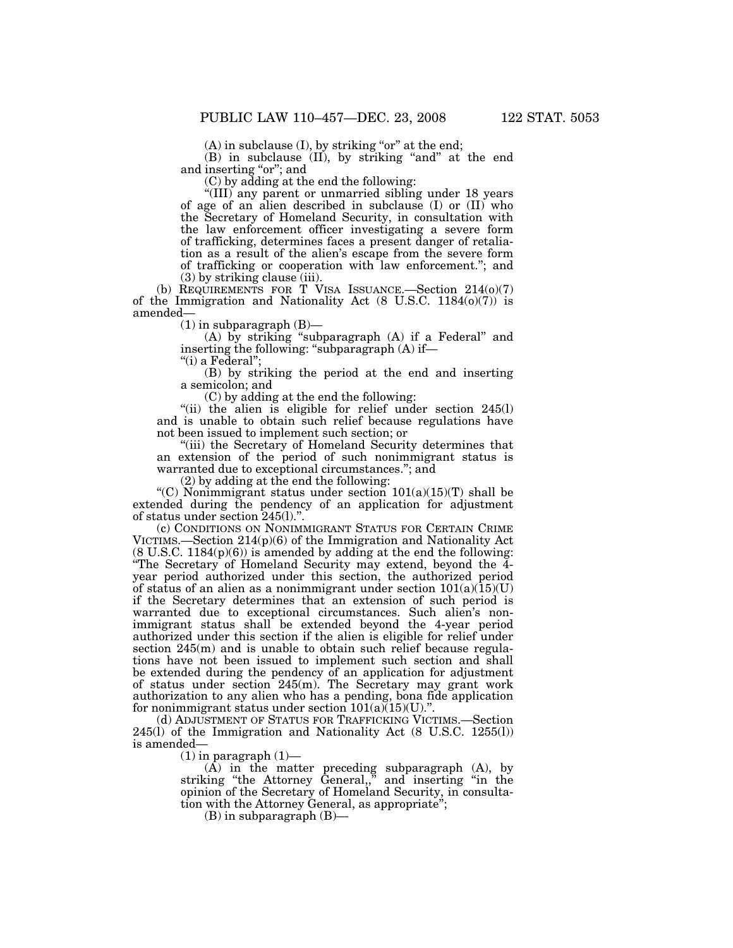$(A)$  in subclause  $(I)$ , by striking "or" at the end;

(B) in subclause (II), by striking "and" at the end and inserting "or"; and

(C) by adding at the end the following:

"(III) any parent or unmarried sibling under 18 years of age of an alien described in subclause (I) or (II) who the Secretary of Homeland Security, in consultation with the law enforcement officer investigating a severe form of trafficking, determines faces a present danger of retaliation as a result of the alien's escape from the severe form of trafficking or cooperation with law enforcement.''; and (3) by striking clause (iii).

(b) REQUIREMENTS FOR T VISA ISSUANCE.—Section  $214(0)(7)$ of the Immigration and Nationality Act (8 U.S.C. 1184(o)(7)) is amended—

 $(1)$  in subparagraph  $(B)$ —

(A) by striking ''subparagraph (A) if a Federal'' and inserting the following: "subparagraph (A) if—

''(i) a Federal'';

(B) by striking the period at the end and inserting a semicolon; and

(C) by adding at the end the following:

"(ii) the alien is eligible for relief under section  $245(1)$ and is unable to obtain such relief because regulations have not been issued to implement such section; or

''(iii) the Secretary of Homeland Security determines that an extension of the period of such nonimmigrant status is warranted due to exceptional circumstances.''; and

(2) by adding at the end the following:

"(C) Nonimmigrant status under section  $101(a)(15)(T)$  shall be extended during the pendency of an application for adjustment of status under section 245(l).''.

(c) CONDITIONS ON NONIMMIGRANT STATUS FOR CERTAIN CRIME VICTIMS.—Section 214(p)(6) of the Immigration and Nationality Act  $(8 \text{ U.S.C. } 1184(p)(6))$  is amended by adding at the end the following: ''The Secretary of Homeland Security may extend, beyond the 4 year period authorized under this section, the authorized period of status of an alien as a nonimmigrant under section  $101(a)(15)(U)$ if the Secretary determines that an extension of such period is warranted due to exceptional circumstances. Such alien's nonimmigrant status shall be extended beyond the 4-year period authorized under this section if the alien is eligible for relief under section 245(m) and is unable to obtain such relief because regulations have not been issued to implement such section and shall be extended during the pendency of an application for adjustment of status under section 245(m). The Secretary may grant work authorization to any alien who has a pending, bona fide application for nonimmigrant status under section  $101(a)(15)(U)$ .".

(d) ADJUSTMENT OF STATUS FOR TRAFFICKING VICTIMS.—Section 245(l) of the Immigration and Nationality Act (8 U.S.C. 1255(l)) is amended—

 $(1)$  in paragraph  $(1)$ —

(A) in the matter preceding subparagraph (A), by striking "the Attorney General,," and inserting "in the opinion of the Secretary of Homeland Security, in consultation with the Attorney General, as appropriate'';

(B) in subparagraph (B)—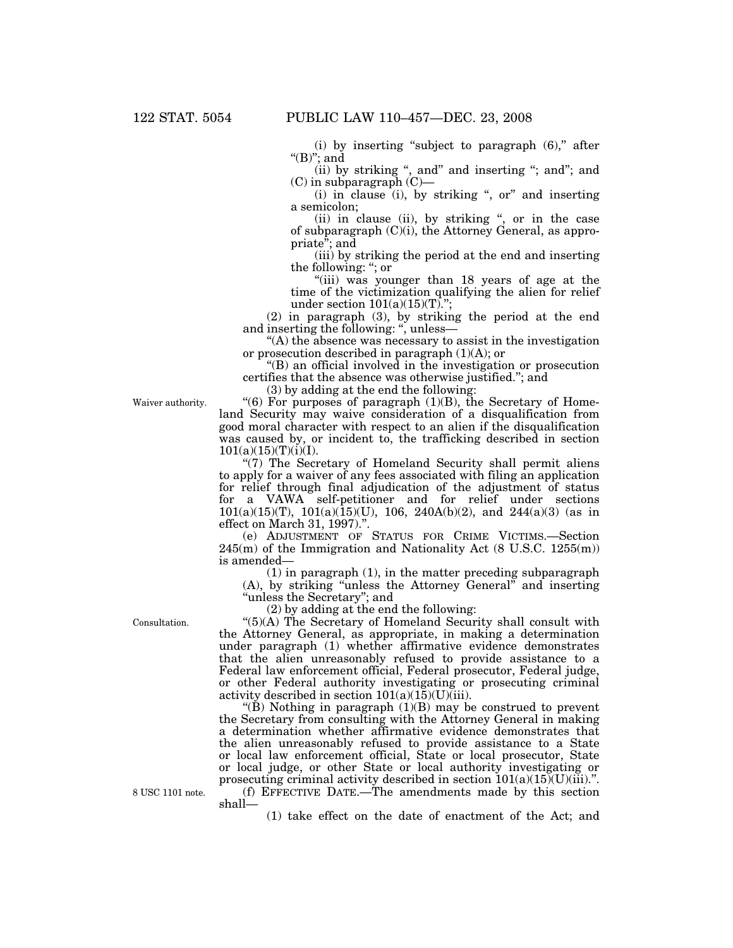(i) by inserting "subject to paragraph  $(6)$ ," after " $(B)$ "; and

(ii) by striking ", and" and inserting "; and"; and (C) in subparagraph (C)—

(i) in clause  $(i)$ , by striking ", or" and inserting a semicolon;

(ii) in clause (ii), by striking '', or in the case of subparagraph  $(C)(i)$ , the Attorney General, as appropriate''; and

(iii) by striking the period at the end and inserting the following: ''; or

''(iii) was younger than 18 years of age at the time of the victimization qualifying the alien for relief under section  $101(a)(15)(T)$ .";

(2) in paragraph (3), by striking the period at the end and inserting the following: '', unless—

 $<sup>9</sup>(A)$  the absence was necessary to assist in the investigation</sup> or prosecution described in paragraph  $(1)(A)$ ; or

''(B) an official involved in the investigation or prosecution certifies that the absence was otherwise justified.''; and

(3) by adding at the end the following:

Waiver authority.

" $(6)$  For purposes of paragraph  $(1)(B)$ , the Secretary of Homeland Security may waive consideration of a disqualification from good moral character with respect to an alien if the disqualification was caused by, or incident to, the trafficking described in section  $101(a)(15)(T)(i)(I).$ 

''(7) The Secretary of Homeland Security shall permit aliens to apply for a waiver of any fees associated with filing an application for relief through final adjudication of the adjustment of status for a VAWA self-petitioner and for relief under sections 101(a)(15)(T), 101(a)(15)(U), 106, 240A(b)(2), and 244(a)(3) (as in effect on March 31, 1997).'

(e) ADJUSTMENT OF STATUS FOR CRIME VICTIMS.—Section  $245(m)$  of the Immigration and Nationality Act (8 U.S.C. 1255 $(m)$ ) is amended—

(1) in paragraph (1), in the matter preceding subparagraph (A), by striking ''unless the Attorney General'' and inserting "unless the Secretary"; and

(2) by adding at the end the following:

''(5)(A) The Secretary of Homeland Security shall consult with the Attorney General, as appropriate, in making a determination under paragraph (1) whether affirmative evidence demonstrates that the alien unreasonably refused to provide assistance to a Federal law enforcement official, Federal prosecutor, Federal judge, or other Federal authority investigating or prosecuting criminal activity described in section  $101(a)(15)(U)(iii)$ .

 $f(B)$  Nothing in paragraph  $(1)(B)$  may be construed to prevent the Secretary from consulting with the Attorney General in making a determination whether affirmative evidence demonstrates that the alien unreasonably refused to provide assistance to a State or local law enforcement official, State or local prosecutor, State or local judge, or other State or local authority investigating or prosecuting criminal activity described in section  $101(a)(15)(U)(iii)$ .". (f) EFFECTIVE DATE.—The amendments made by this section

shall— 8 USC 1101 note.

(1) take effect on the date of enactment of the Act; and

Consultation.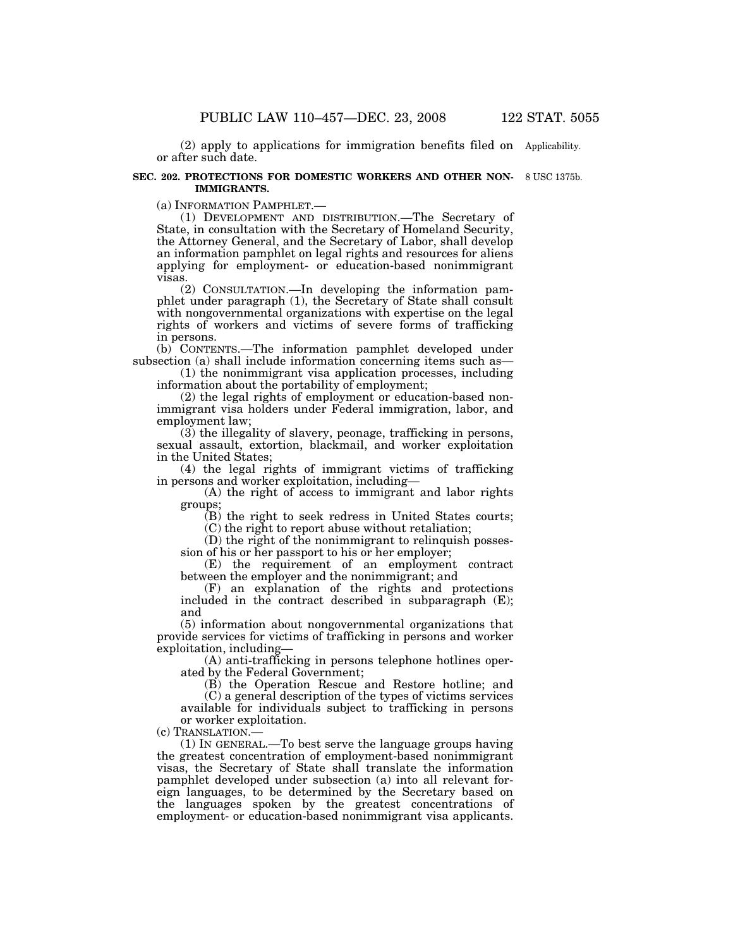(2) apply to applications for immigration benefits filed on Applicability. or after such date.

#### **SEC. 202. PROTECTIONS FOR DOMESTIC WORKERS AND OTHER NON-**8 USC 1375b. **IMMIGRANTS.**

(a) INFORMATION PAMPHLET.—

(1) DEVELOPMENT AND DISTRIBUTION.—The Secretary of State, in consultation with the Secretary of Homeland Security, the Attorney General, and the Secretary of Labor, shall develop an information pamphlet on legal rights and resources for aliens applying for employment- or education-based nonimmigrant visas.

(2) CONSULTATION.—In developing the information pamphlet under paragraph (1), the Secretary of State shall consult with nongovernmental organizations with expertise on the legal rights of workers and victims of severe forms of trafficking in persons.

(b) CONTENTS.—The information pamphlet developed under subsection (a) shall include information concerning items such as—

(1) the nonimmigrant visa application processes, including information about the portability of employment;

(2) the legal rights of employment or education-based nonimmigrant visa holders under Federal immigration, labor, and employment law;

(3) the illegality of slavery, peonage, trafficking in persons, sexual assault, extortion, blackmail, and worker exploitation in the United States;

(4) the legal rights of immigrant victims of trafficking in persons and worker exploitation, including—

(A) the right of access to immigrant and labor rights groups;

(B) the right to seek redress in United States courts; (C) the right to report abuse without retaliation;

(D) the right of the nonimmigrant to relinquish possession of his or her passport to his or her employer;

(E) the requirement of an employment contract between the employer and the nonimmigrant; and

(F) an explanation of the rights and protections included in the contract described in subparagraph (E); and

(5) information about nongovernmental organizations that provide services for victims of trafficking in persons and worker exploitation, including—

(A) anti-trafficking in persons telephone hotlines operated by the Federal Government;

(B) the Operation Rescue and Restore hotline; and

(C) a general description of the types of victims services available for individuals subject to trafficking in persons or worker exploitation.

(c) TRANSLATION.—

(1) IN GENERAL.—To best serve the language groups having the greatest concentration of employment-based nonimmigrant visas, the Secretary of State shall translate the information pamphlet developed under subsection (a) into all relevant foreign languages, to be determined by the Secretary based on the languages spoken by the greatest concentrations of employment- or education-based nonimmigrant visa applicants.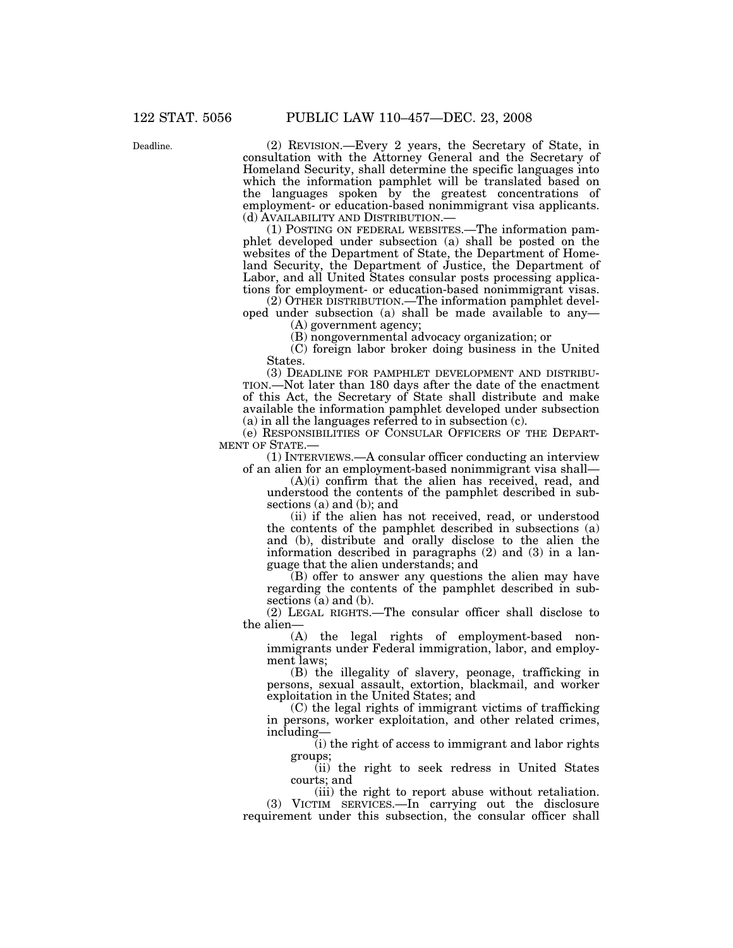Deadline.

(2) REVISION.—Every 2 years, the Secretary of State, in consultation with the Attorney General and the Secretary of Homeland Security, shall determine the specific languages into which the information pamphlet will be translated based on the languages spoken by the greatest concentrations of employment- or education-based nonimmigrant visa applicants.

 $(1)$  POSTING ON FEDERAL WEBSITES.—The information pamphlet developed under subsection (a) shall be posted on the websites of the Department of State, the Department of Homeland Security, the Department of Justice, the Department of Labor, and all United States consular posts processing applications for employment- or education-based nonimmigrant visas.

(2) OTHER DISTRIBUTION.—The information pamphlet developed under subsection (a) shall be made available to any—

(A) government agency;

(B) nongovernmental advocacy organization; or (C) foreign labor broker doing business in the United

States.

(3) DEADLINE FOR PAMPHLET DEVELOPMENT AND DISTRIBU-TION.—Not later than 180 days after the date of the enactment of this Act, the Secretary of State shall distribute and make available the information pamphlet developed under subsection (a) in all the languages referred to in subsection (c).

(e) RESPONSIBILITIES OF CONSULAR OFFICERS OF THE DEPART-MENT OF STATE.—

(1) INTERVIEWS.—A consular officer conducting an interview of an alien for an employment-based nonimmigrant visa shall—

(A)(i) confirm that the alien has received, read, and understood the contents of the pamphlet described in subsections (a) and (b); and

(ii) if the alien has not received, read, or understood the contents of the pamphlet described in subsections (a) and (b), distribute and orally disclose to the alien the information described in paragraphs (2) and (3) in a language that the alien understands; and

(B) offer to answer any questions the alien may have regarding the contents of the pamphlet described in subsections (a) and (b).

(2) LEGAL RIGHTS.—The consular officer shall disclose to the alien—

(A) the legal rights of employment-based nonimmigrants under Federal immigration, labor, and employment laws;

(B) the illegality of slavery, peonage, trafficking in persons, sexual assault, extortion, blackmail, and worker exploitation in the United States; and

(C) the legal rights of immigrant victims of trafficking in persons, worker exploitation, and other related crimes, including—

(i) the right of access to immigrant and labor rights groups;

(ii) the right to seek redress in United States courts; and

(iii) the right to report abuse without retaliation. (3) VICTIM SERVICES.—In carrying out the disclosure requirement under this subsection, the consular officer shall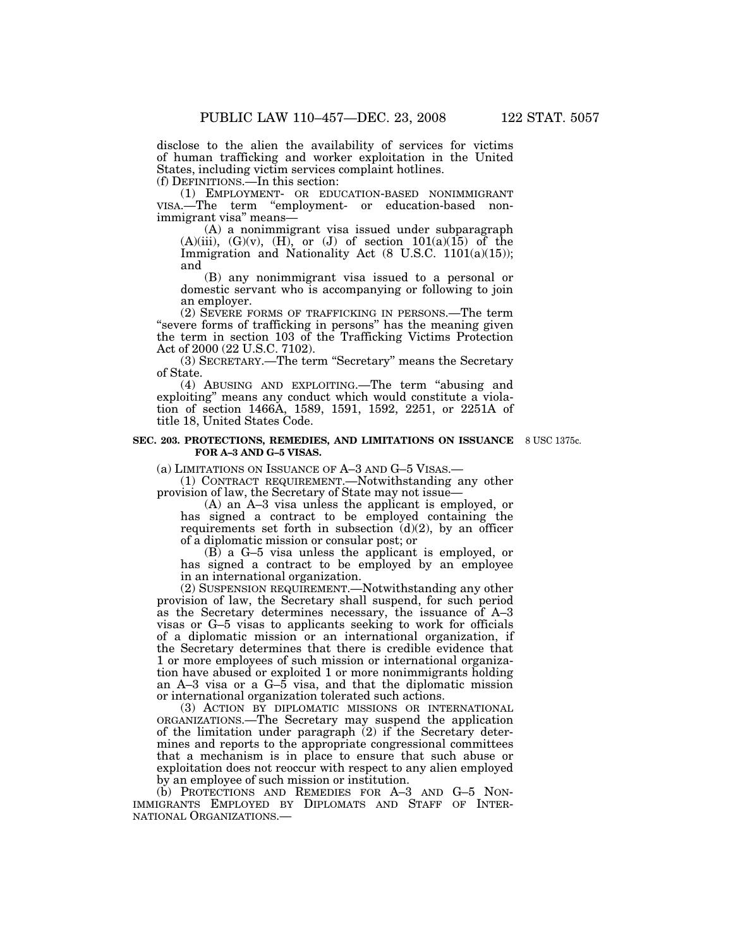disclose to the alien the availability of services for victims of human trafficking and worker exploitation in the United States, including victim services complaint hotlines.

(f) DEFINITIONS.—In this section:

(1) EMPLOYMENT- OR EDUCATION-BASED NONIMMIGRANT "employment- or education-based nonimmigrant visa'' means—

(A) a nonimmigrant visa issued under subparagraph  $(A)(iii)$ ,  $(G)(v)$ ,  $(H)$ , or  $(J)$  of section  $101(a)(15)$  of the Immigration and Nationality Act (8 U.S.C. 1101(a)(15)); and

(B) any nonimmigrant visa issued to a personal or domestic servant who is accompanying or following to join an employer.

(2) SEVERE FORMS OF TRAFFICKING IN PERSONS.—The term "severe forms of trafficking in persons" has the meaning given the term in section 103 of the Trafficking Victims Protection Act of 2000 (22 U.S.C. 7102).

(3) SECRETARY.—The term ''Secretary'' means the Secretary of State.

(4) ABUSING AND EXPLOITING.—The term ''abusing and exploiting'' means any conduct which would constitute a violation of section 1466A, 1589, 1591, 1592, 2251, or 2251A of title 18, United States Code.

#### **SEC. 203. PROTECTIONS, REMEDIES, AND LIMITATIONS ON ISSUANCE**  8 USC 1375c. **FOR A–3 AND G–5 VISAS.**

(a) LIMITATIONS ON ISSUANCE OF A–3 AND G–5 VISAS.—

(1) CONTRACT REQUIREMENT.—Notwithstanding any other provision of law, the Secretary of State may not issue—

(A) an A–3 visa unless the applicant is employed, or has signed a contract to be employed containing the requirements set forth in subsection  $(d)(2)$ , by an officer of a diplomatic mission or consular post; or

(B) a G–5 visa unless the applicant is employed, or has signed a contract to be employed by an employee in an international organization.

(2) SUSPENSION REQUIREMENT.—Notwithstanding any other provision of law, the Secretary shall suspend, for such period as the Secretary determines necessary, the issuance of A–3 visas or G–5 visas to applicants seeking to work for officials of a diplomatic mission or an international organization, if the Secretary determines that there is credible evidence that 1 or more employees of such mission or international organization have abused or exploited 1 or more nonimmigrants holding an A–3 visa or a G–5 visa, and that the diplomatic mission or international organization tolerated such actions.

(3) ACTION BY DIPLOMATIC MISSIONS OR INTERNATIONAL ORGANIZATIONS.—The Secretary may suspend the application of the limitation under paragraph (2) if the Secretary determines and reports to the appropriate congressional committees that a mechanism is in place to ensure that such abuse or exploitation does not reoccur with respect to any alien employed by an employee of such mission or institution.

(b) PROTECTIONS AND REMEDIES FOR A–3 AND G–5 NON-IMMIGRANTS EMPLOYED BY DIPLOMATS AND STAFF OF INTER-NATIONAL ORGANIZATIONS.—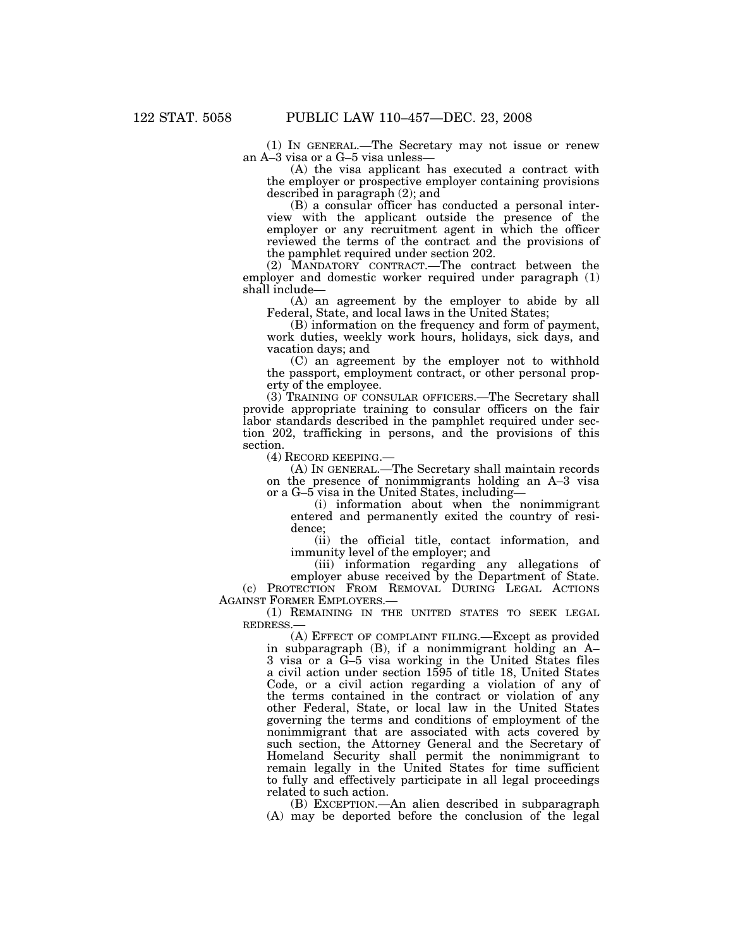(1) IN GENERAL.—The Secretary may not issue or renew an A–3 visa or a G–5 visa unless—

(A) the visa applicant has executed a contract with the employer or prospective employer containing provisions described in paragraph (2); and

(B) a consular officer has conducted a personal interview with the applicant outside the presence of the employer or any recruitment agent in which the officer reviewed the terms of the contract and the provisions of the pamphlet required under section 202.

(2) MANDATORY CONTRACT.—The contract between the employer and domestic worker required under paragraph (1) shall include—

(A) an agreement by the employer to abide by all Federal, State, and local laws in the United States;

(B) information on the frequency and form of payment, work duties, weekly work hours, holidays, sick days, and vacation days; and

(C) an agreement by the employer not to withhold the passport, employment contract, or other personal property of the employee.

(3) TRAINING OF CONSULAR OFFICERS.—The Secretary shall provide appropriate training to consular officers on the fair labor standards described in the pamphlet required under section 202, trafficking in persons, and the provisions of this section.

(4) RECORD KEEPING.—

(A) IN GENERAL.—The Secretary shall maintain records on the presence of nonimmigrants holding an A–3 visa or a G–5 visa in the United States, including—

(i) information about when the nonimmigrant entered and permanently exited the country of residence;

(ii) the official title, contact information, and immunity level of the employer; and

(iii) information regarding any allegations of

employer abuse received by the Department of State. (c) PROTECTION FROM REMOVAL DURING LEGAL ACTIONS AGAINST FORMER EMPLOYERS.—

(1) REMAINING IN THE UNITED STATES TO SEEK LEGAL REDRESS.—

(A) EFFECT OF COMPLAINT FILING.—Except as provided in subparagraph (B), if a nonimmigrant holding an A– 3 visa or a G–5 visa working in the United States files a civil action under section 1595 of title 18, United States Code, or a civil action regarding a violation of any of the terms contained in the contract or violation of any other Federal, State, or local law in the United States governing the terms and conditions of employment of the nonimmigrant that are associated with acts covered by such section, the Attorney General and the Secretary of Homeland Security shall permit the nonimmigrant to remain legally in the United States for time sufficient to fully and effectively participate in all legal proceedings related to such action.

(B) EXCEPTION.—An alien described in subparagraph (A) may be deported before the conclusion of the legal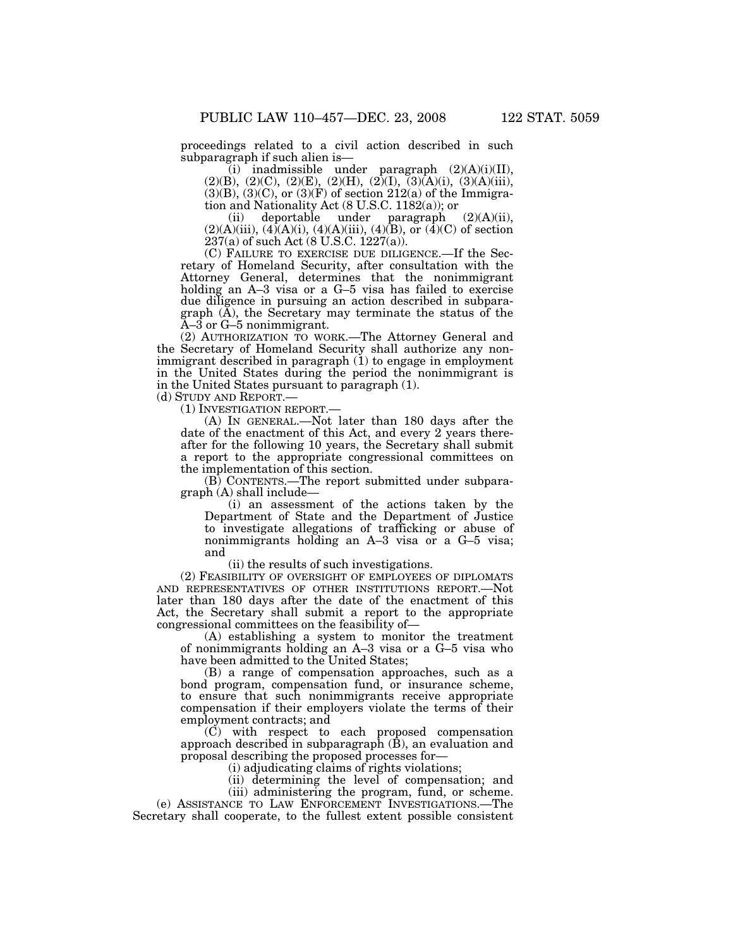proceedings related to a civil action described in such subparagraph if such alien is—

 $(i)$  inadmissible under paragraph  $(2)(A)(i)(II)$ ,  $(2)(B)$ ,  $(2)(C)$ ,  $(2)(E)$ ,  $(2)(H)$ ,  $(2)(I)$ ,  $(3)(A)(i)$ ,  $(3)(A)(iii)$ ,  $(3)(B)$ ,  $(3)(C)$ , or  $(3)(F)$  of section  $212(a)$  of the Immigration and Nationality Act (8 U.S.C. 1182(a)); or

(ii) deportable under paragraph (2)(A)(ii),  $(2)(A)(iii)$ ,  $(4)(A)(i)$ ,  $(4)(A)(iii)$ ,  $(4)(B)$ , or  $(4)(C)$  of section 237(a) of such Act (8 U.S.C. 1227(a)).

(C) FAILURE TO EXERCISE DUE DILIGENCE.—If the Secretary of Homeland Security, after consultation with the Attorney General, determines that the nonimmigrant holding an A–3 visa or a G–5 visa has failed to exercise due diligence in pursuing an action described in subparagraph  $(\tilde{A})$ , the Secretary may terminate the status of the A–3 or G–5 nonimmigrant.

(2) AUTHORIZATION TO WORK.—The Attorney General and the Secretary of Homeland Security shall authorize any nonimmigrant described in paragraph  $(i)$  to engage in employment in the United States during the period the nonimmigrant is in the United States pursuant to paragraph (1).

(d) STUDY AND REPORT.—

(1) INVESTIGATION REPORT.—

(A) IN GENERAL.—Not later than 180 days after the date of the enactment of this Act, and every 2 years thereafter for the following 10 years, the Secretary shall submit a report to the appropriate congressional committees on the implementation of this section.

(B) CONTENTS.—The report submitted under subparagraph (A) shall include—

(i) an assessment of the actions taken by the Department of State and the Department of Justice to investigate allegations of trafficking or abuse of nonimmigrants holding an A–3 visa or a G–5 visa; and

(ii) the results of such investigations.

(2) FEASIBILITY OF OVERSIGHT OF EMPLOYEES OF DIPLOMATS AND REPRESENTATIVES OF OTHER INSTITUTIONS REPORT.—Not later than 180 days after the date of the enactment of this Act, the Secretary shall submit a report to the appropriate congressional committees on the feasibility of—

(A) establishing a system to monitor the treatment of nonimmigrants holding an A–3 visa or a G–5 visa who have been admitted to the United States;

(B) a range of compensation approaches, such as a bond program, compensation fund, or insurance scheme, to ensure that such nonimmigrants receive appropriate compensation if their employers violate the terms of their employment contracts; and

(C) with respect to each proposed compensation approach described in subparagraph  $(\dot{B})$ , an evaluation and proposal describing the proposed processes for—

(i) adjudicating claims of rights violations;

(ii) determining the level of compensation; and

(iii) administering the program, fund, or scheme. (e) ASSISTANCE TO LAW ENFORCEMENT INVESTIGATIONS.—The Secretary shall cooperate, to the fullest extent possible consistent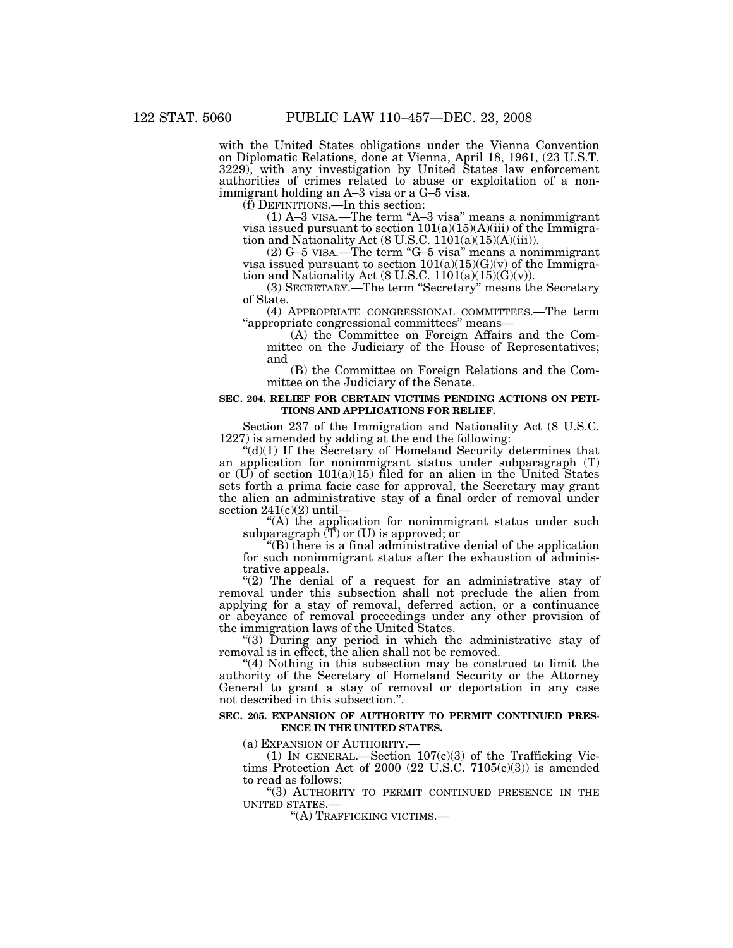with the United States obligations under the Vienna Convention on Diplomatic Relations, done at Vienna, April 18, 1961, (23 U.S.T. 3229), with any investigation by United States law enforcement authorities of crimes related to abuse or exploitation of a nonimmigrant holding an A–3 visa or a G–5 visa.

(f) DEFINITIONS.—In this section:

(1) A–3 VISA.—The term ''A–3 visa'' means a nonimmigrant visa issued pursuant to section  $101(a)(15)(A)(iii)$  of the Immigration and Nationality Act  $(8 \text{ U.S.C. } 1101(a)(15)(\text{A})(iii))$ .

(2) G–5 VISA.—The term ''G–5 visa'' means a nonimmigrant visa issued pursuant to section  $101(a)(15)(G)(v)$  of the Immigration and Nationality Act (8 U.S.C.  $1101(a)(15)(G)(v)$ ).

(3) SECRETARY.—The term ''Secretary'' means the Secretary of State.

(4) APPROPRIATE CONGRESSIONAL COMMITTEES.—The term ''appropriate congressional committees'' means—

(A) the Committee on Foreign Affairs and the Committee on the Judiciary of the House of Representatives; and

(B) the Committee on Foreign Relations and the Committee on the Judiciary of the Senate.

#### **SEC. 204. RELIEF FOR CERTAIN VICTIMS PENDING ACTIONS ON PETI-TIONS AND APPLICATIONS FOR RELIEF.**

Section 237 of the Immigration and Nationality Act (8 U.S.C. 1227) is amended by adding at the end the following:

 $\text{``(d)}(1)$  If the Secretary of Homeland Security determines that an application for nonimmigrant status under subparagraph (T) or  $(\vec{U})$  of section 101(a)(15) filed for an alien in the United States sets forth a prima facie case for approval, the Secretary may grant the alien an administrative stay of a final order of removal under section  $241(c)(2)$  until-

"(A) the application for nonimmigrant status under such subparagraph  $(\mathbf{T})$  or  $(\mathbf{U})$  is approved; or

''(B) there is a final administrative denial of the application for such nonimmigrant status after the exhaustion of administrative appeals.

" $(2)$  The denial of a request for an administrative stay of removal under this subsection shall not preclude the alien from applying for a stay of removal, deferred action, or a continuance or abeyance of removal proceedings under any other provision of the immigration laws of the United States.

''(3) During any period in which the administrative stay of removal is in effect, the alien shall not be removed.

"(4) Nothing in this subsection may be construed to limit the authority of the Secretary of Homeland Security or the Attorney General to grant a stay of removal or deportation in any case not described in this subsection.''.

#### **SEC. 205. EXPANSION OF AUTHORITY TO PERMIT CONTINUED PRES-ENCE IN THE UNITED STATES.**

(a) EXPANSION OF AUTHORITY.—

(1) IN GENERAL.—Section 107(c)(3) of the Trafficking Victims Protection Act of  $2000$   $(22 \text{ U.S.C. } 7105 \text{ (c)}(3))$  is amended to read as follows:

"(3) AUTHORITY TO PERMIT CONTINUED PRESENCE IN THE UNITED STATES.—

''(A) TRAFFICKING VICTIMS.—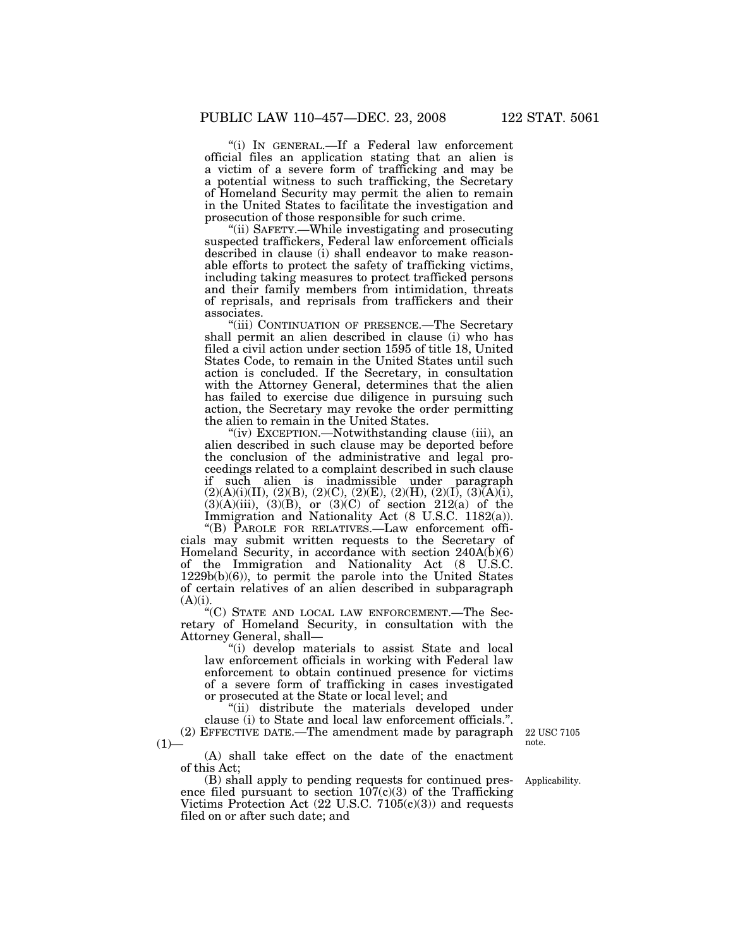''(i) IN GENERAL.—If a Federal law enforcement official files an application stating that an alien is a victim of a severe form of trafficking and may be a potential witness to such trafficking, the Secretary of Homeland Security may permit the alien to remain in the United States to facilitate the investigation and prosecution of those responsible for such crime.

''(ii) SAFETY.—While investigating and prosecuting suspected traffickers, Federal law enforcement officials described in clause (i) shall endeavor to make reasonable efforts to protect the safety of trafficking victims, including taking measures to protect trafficked persons and their family members from intimidation, threats of reprisals, and reprisals from traffickers and their associates.

''(iii) CONTINUATION OF PRESENCE.—The Secretary shall permit an alien described in clause (i) who has filed a civil action under section 1595 of title 18, United States Code, to remain in the United States until such action is concluded. If the Secretary, in consultation with the Attorney General, determines that the alien has failed to exercise due diligence in pursuing such action, the Secretary may revoke the order permitting the alien to remain in the United States.

"(iv) EXCEPTION.—Notwithstanding clause (iii), an alien described in such clause may be deported before the conclusion of the administrative and legal proceedings related to a complaint described in such clause if such alien is inadmissible under paragraph  $(2)(A)(i)(II), (2)(B), (2)(C), (2)(E), (2)(H), (2)(I), (3)(A)i),$  $(3)(A)(iii)$ ,  $(3)(B)$ , or  $(3)(C)$  of section  $212(a)$  of the Immigration and Nationality Act (8 U.S.C. 1182(a)). ''(B) PAROLE FOR RELATIVES.—Law enforcement offi-

cials may submit written requests to the Secretary of Homeland Security, in accordance with section 240A(b)(6) of the Immigration and Nationality Act (8 U.S.C. 1229b(b)(6)), to permit the parole into the United States of certain relatives of an alien described in subparagraph  $(A)(i)$ .

''(C) STATE AND LOCAL LAW ENFORCEMENT.—The Secretary of Homeland Security, in consultation with the Attorney General, shall—

''(i) develop materials to assist State and local law enforcement officials in working with Federal law enforcement to obtain continued presence for victims of a severe form of trafficking in cases investigated or prosecuted at the State or local level; and

''(ii) distribute the materials developed under clause (i) to State and local law enforcement officials.''. (2) EFFECTIVE DATE.—The amendment made by paragraph

 $(1)$ 

(A) shall take effect on the date of the enactment of this Act;

(B) shall apply to pending requests for continued presence filed pursuant to section  $107(c)(3)$  of the Trafficking Victims Protection Act (22 U.S.C. 7105(c)(3)) and requests filed on or after such date; and

22 USC 7105 note.

Applicability.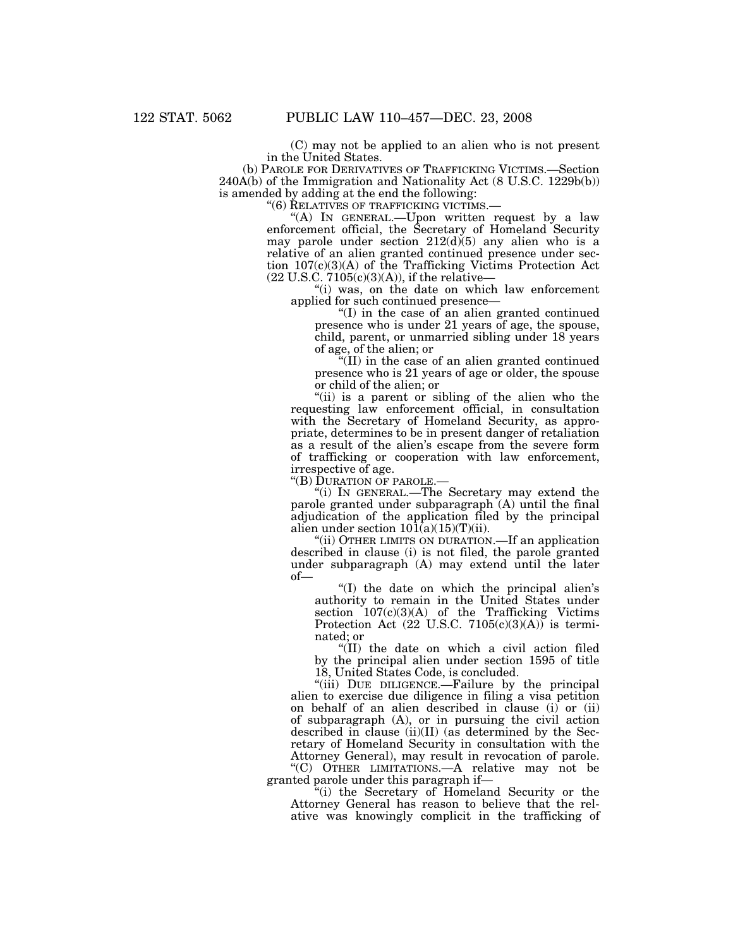(C) may not be applied to an alien who is not present in the United States.

(b) PAROLE FOR DERIVATIVES OF TRAFFICKING VICTIMS.—Section 240A(b) of the Immigration and Nationality Act (8 U.S.C. 1229b(b)) is amended by adding at the end the following:<br>"(6) RELATIVES OF TRAFFICKING VICTIMS.—

"(A) In GENERAL.—Upon written request by a law enforcement official, the Secretary of Homeland Security may parole under section  $212(d)(5)$  any alien who is a relative of an alien granted continued presence under section 107(c)(3)(A) of the Trafficking Victims Protection Act  $(22 \text{ U.S.C. } 7105 \text{ (c)} \cdot (3) \text{ (A)}),$  if the relative—

''(i) was, on the date on which law enforcement applied for such continued presence—

''(I) in the case of an alien granted continued presence who is under 21 years of age, the spouse, child, parent, or unmarried sibling under 18 years of age, of the alien; or

''(II) in the case of an alien granted continued presence who is 21 years of age or older, the spouse or child of the alien; or

"(ii) is a parent or sibling of the alien who the requesting law enforcement official, in consultation with the Secretary of Homeland Security, as appropriate, determines to be in present danger of retaliation as a result of the alien's escape from the severe form of trafficking or cooperation with law enforcement, irrespective of age.

''(B) DURATION OF PAROLE.—

''(i) IN GENERAL.—The Secretary may extend the parole granted under subparagraph (A) until the final adjudication of the application filed by the principal alien under section  $10\overline{1}(a)(15)(T)(ii)$ .

"(ii) OTHER LIMITS ON DURATION.—If an application described in clause (i) is not filed, the parole granted under subparagraph (A) may extend until the later of—

''(I) the date on which the principal alien's authority to remain in the United States under section 107(c)(3)(A) of the Trafficking Victims Protection Act (22 U.S.C. 7105(c)(3)(A)) is terminated; or

''(II) the date on which a civil action filed by the principal alien under section 1595 of title 18, United States Code, is concluded.

"(iii) DUE DILIGENCE.—Failure by the principal alien to exercise due diligence in filing a visa petition on behalf of an alien described in clause (i) or (ii) of subparagraph (A), or in pursuing the civil action described in clause (ii)(II) (as determined by the Secretary of Homeland Security in consultation with the Attorney General), may result in revocation of parole. ''(C) OTHER LIMITATIONS.—A relative may not be granted parole under this paragraph if—

''(i) the Secretary of Homeland Security or the Attorney General has reason to believe that the relative was knowingly complicit in the trafficking of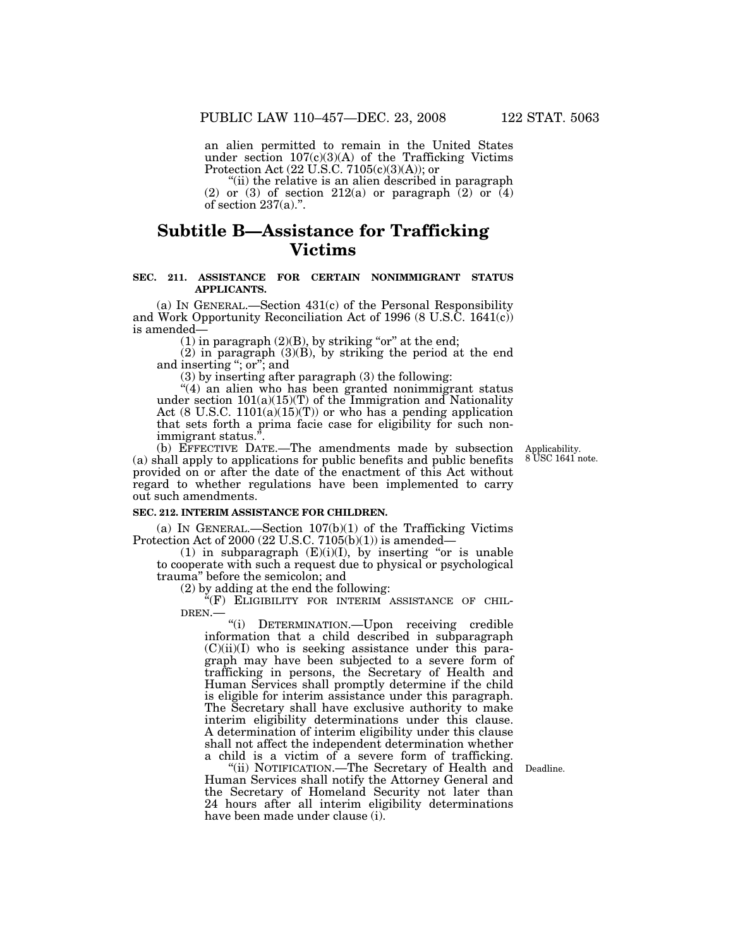an alien permitted to remain in the United States under section 107(c)(3)(A) of the Trafficking Victims Protection Act (22 U.S.C. 7105(c)(3)(A)); or

"(ii) the relative is an alien described in paragraph (2) or (3) of section 212(a) or paragraph  $(2)$  or  $(4)$ of section  $237(a)$ .".

# **Subtitle B—Assistance for Trafficking Victims**

## **SEC. 211. ASSISTANCE FOR CERTAIN NONIMMIGRANT STATUS APPLICANTS.**

(a) IN GENERAL.—Section  $431(c)$  of the Personal Responsibility and Work Opportunity Reconciliation Act of 1996 (8 U.S.C. 1641(c)) is amended—

(1) in paragraph  $(2)(B)$ , by striking "or" at the end;

 $(2)$  in paragraph  $(3)(B)$ , by striking the period at the end and inserting ''; or''; and

(3) by inserting after paragraph (3) the following:

"(4) an alien who has been granted nonimmigrant status under section  $101(a)(15)(T)$  of the Immigration and Nationality Act  $(8 \text{ U.S.C. } 1101(a)(15)(T))$  or who has a pending application that sets forth a prima facie case for eligibility for such nonimmigrant status.<sup>"</sup>.

(b) EFFECTIVE DATE.—The amendments made by subsection (a) shall apply to applications for public benefits and public benefits provided on or after the date of the enactment of this Act without regard to whether regulations have been implemented to carry out such amendments.

#### **SEC. 212. INTERIM ASSISTANCE FOR CHILDREN.**

(a) IN GENERAL.—Section  $107(b)(1)$  of the Trafficking Victims Protection Act of 2000 (22 U.S.C. 7105(b)(1)) is amended—

(1) in subparagraph  $(E)(i)(I)$ , by inserting "or is unable to cooperate with such a request due to physical or psychological trauma'' before the semicolon; and

(2) by adding at the end the following:

"(F) ELIGIBILITY FOR INTERIM ASSISTANCE OF CHIL-DREN.—

''(i) DETERMINATION.—Upon receiving credible information that a child described in subparagraph  $(C)(ii)(I)$  who is seeking assistance under this paragraph may have been subjected to a severe form of trafficking in persons, the Secretary of Health and Human Services shall promptly determine if the child is eligible for interim assistance under this paragraph. The Secretary shall have exclusive authority to make interim eligibility determinations under this clause. A determination of interim eligibility under this clause shall not affect the independent determination whether a child is a victim of a severe form of trafficking.

''(ii) NOTIFICATION.—The Secretary of Health and Human Services shall notify the Attorney General and the Secretary of Homeland Security not later than 24 hours after all interim eligibility determinations have been made under clause (i).

Deadline.

Applicability. 8 USC 1641 note.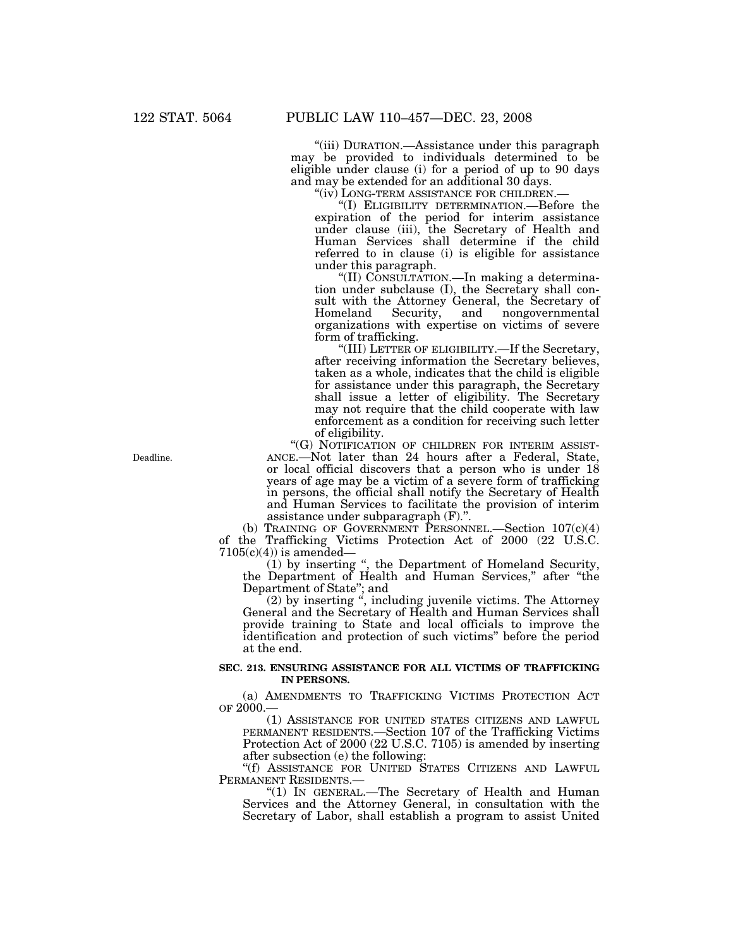''(iii) DURATION.—Assistance under this paragraph may be provided to individuals determined to be eligible under clause (i) for a period of up to 90 days and may be extended for an additional 30 days.

"(I) ELIGIBILITY DETERMINATION.— Before the expiration of the period for interim assistance under clause (iii), the Secretary of Health and Human Services shall determine if the child referred to in clause (i) is eligible for assistance under this paragraph.

''(II) CONSULTATION.—In making a determination under subclause (I), the Secretary shall consult with the Attorney General, the Secretary of Homeland Security, and nongovernmental Homeland Security, and nongovernmental organizations with expertise on victims of severe form of trafficking.

''(III) LETTER OF ELIGIBILITY.—If the Secretary, after receiving information the Secretary believes, taken as a whole, indicates that the child is eligible for assistance under this paragraph, the Secretary shall issue a letter of eligibility. The Secretary may not require that the child cooperate with law enforcement as a condition for receiving such letter of eligibility.

"(G) NOTIFICATION OF CHILDREN FOR INTERIM ASSIST-ANCE.—Not later than 24 hours after a Federal, State, or local official discovers that a person who is under 18 years of age may be a victim of a severe form of trafficking in persons, the official shall notify the Secretary of Health and Human Services to facilitate the provision of interim assistance under subparagraph (F).''.

(b) TRAINING OF GOVERNMENT PERSONNEL.—Section  $107(c)(4)$ of the Trafficking Victims Protection Act of 2000 (22 U.S.C.  $7105(c)(4)$  is amended—

(1) by inserting '', the Department of Homeland Security, the Department of Health and Human Services,'' after ''the Department of State''; and

(2) by inserting '', including juvenile victims. The Attorney General and the Secretary of Health and Human Services shall provide training to State and local officials to improve the identification and protection of such victims'' before the period at the end.

## **SEC. 213. ENSURING ASSISTANCE FOR ALL VICTIMS OF TRAFFICKING IN PERSONS.**

(a) AMENDMENTS TO TRAFFICKING VICTIMS PROTECTION ACT OF 2000.—

(1) ASSISTANCE FOR UNITED STATES CITIZENS AND LAWFUL PERMANENT RESIDENTS.—Section 107 of the Trafficking Victims Protection Act of 2000 (22 U.S.C. 7105) is amended by inserting after subsection (e) the following:

''(f) ASSISTANCE FOR UNITED STATES CITIZENS AND LAWFUL PERMANENT RESIDENTS.—

"(1) IN GENERAL.—The Secretary of Health and Human Services and the Attorney General, in consultation with the Secretary of Labor, shall establish a program to assist United

Deadline.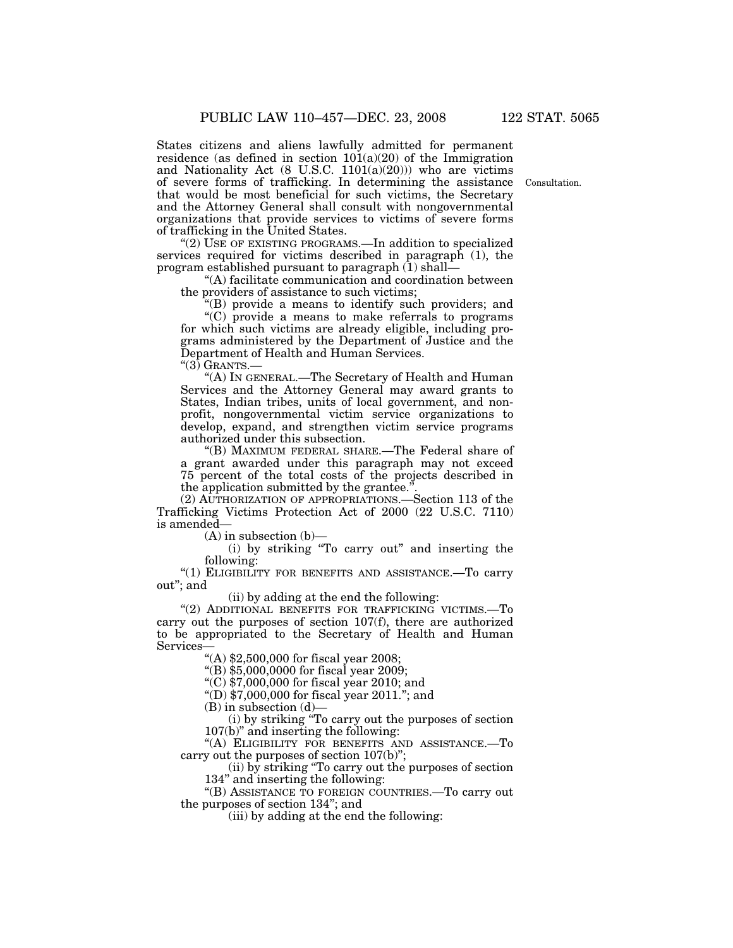States citizens and aliens lawfully admitted for permanent residence (as defined in section  $101(a)(20)$  of the Immigration and Nationality Act (8 U.S.C. 1101(a)(20))) who are victims of severe forms of trafficking. In determining the assistance that would be most beneficial for such victims, the Secretary and the Attorney General shall consult with nongovernmental organizations that provide services to victims of severe forms of trafficking in the United States.

"(2) USE OF EXISTING PROGRAMS.—In addition to specialized services required for victims described in paragraph (1), the program established pursuant to paragraph (1) shall—

''(A) facilitate communication and coordination between the providers of assistance to such victims;

''(B) provide a means to identify such providers; and  $\mathrm{C}^{\prime\prime}(\mathrm{C})$  provide a means to make referrals to programs for which such victims are already eligible, including programs administered by the Department of Justice and the Department of Health and Human Services.

" $(3)$  GRANTS.-

''(A) IN GENERAL.—The Secretary of Health and Human Services and the Attorney General may award grants to States, Indian tribes, units of local government, and nonprofit, nongovernmental victim service organizations to develop, expand, and strengthen victim service programs authorized under this subsection.

''(B) MAXIMUM FEDERAL SHARE.—The Federal share of a grant awarded under this paragraph may not exceed 75 percent of the total costs of the projects described in the application submitted by the grantee.''.

(2) AUTHORIZATION OF APPROPRIATIONS.—Section 113 of the Trafficking Victims Protection Act of 2000 (22 U.S.C. 7110) is amended—

 $(A)$  in subsection  $(b)$ —

(i) by striking ''To carry out'' and inserting the following:

"(1) ELIGIBILITY FOR BENEFITS AND ASSISTANCE.-To carry out''; and

(ii) by adding at the end the following:

''(2) ADDITIONAL BENEFITS FOR TRAFFICKING VICTIMS.—To carry out the purposes of section 107(f), there are authorized to be appropriated to the Secretary of Health and Human Services—

''(A) \$2,500,000 for fiscal year 2008;

''(B) \$5,000,0000 for fiscal year 2009;

''(C) \$7,000,000 for fiscal year 2010; and

''(D) \$7,000,000 for fiscal year 2011.''; and

(B) in subsection (d)—

(i) by striking ''To carry out the purposes of section 107(b)'' and inserting the following:

''(A) ELIGIBILITY FOR BENEFITS AND ASSISTANCE.—To carry out the purposes of section 107(b)'';

(ii) by striking ''To carry out the purposes of section 134'' and inserting the following:

''(B) ASSISTANCE TO FOREIGN COUNTRIES.—To carry out the purposes of section 134''; and

(iii) by adding at the end the following:

Consultation.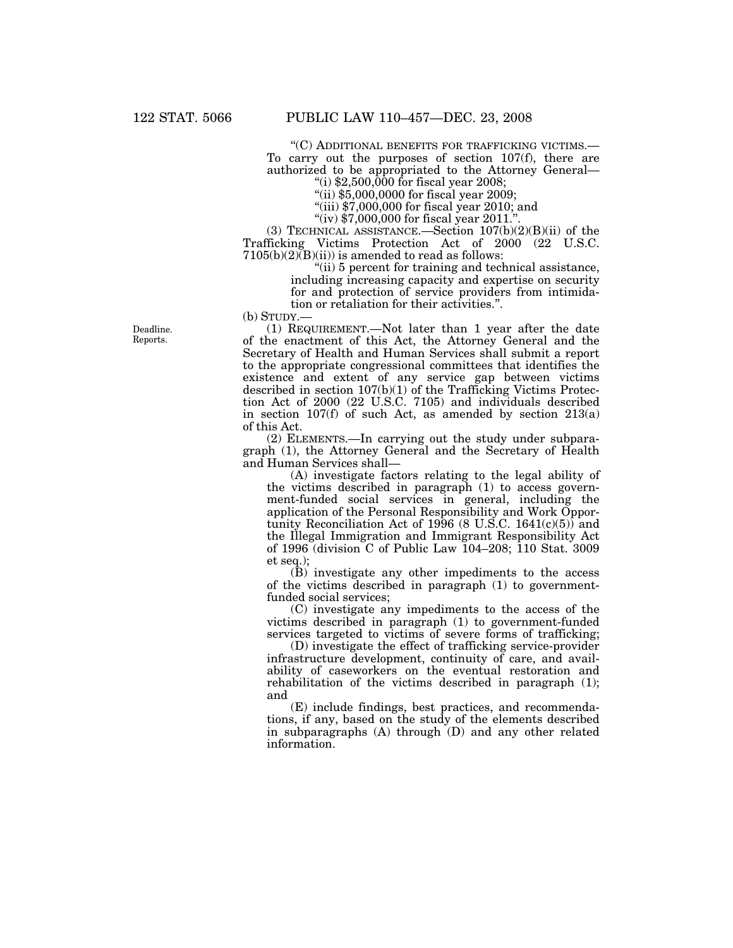''(C) ADDITIONAL BENEFITS FOR TRAFFICKING VICTIMS.— To carry out the purposes of section 107(f), there are authorized to be appropriated to the Attorney General— "(i)  $$2,500,000$  for fiscal year 2008;

''(ii) \$5,000,0000 for fiscal year 2009;

''(iii) \$7,000,000 for fiscal year 2010; and

"(iv) \$7,000,000 for fiscal year 2011.".

(3) TECHNICAL ASSISTANCE.—Section  $107(b)(2)(B)(ii)$  of the Trafficking Victims Protection Act of  $2000$  (22 U.S.C. Victims Protection Act of 2000 (22 U.S.C.  $7105(b)(2)(B)(ii)$  is amended to read as follows:

> ''(ii) 5 percent for training and technical assistance, including increasing capacity and expertise on security for and protection of service providers from intimidation or retaliation for their activities.''.

 $(b)$  STUDY.

(1) REQUIREMENT.—Not later than 1 year after the date of the enactment of this Act, the Attorney General and the Secretary of Health and Human Services shall submit a report to the appropriate congressional committees that identifies the existence and extent of any service gap between victims described in section 107(b)(1) of the Trafficking Victims Protection Act of 2000 (22 U.S.C. 7105) and individuals described in section 107(f) of such Act, as amended by section 213(a) of this Act.

(2) ELEMENTS.—In carrying out the study under subparagraph (1), the Attorney General and the Secretary of Health and Human Services shall—

(A) investigate factors relating to the legal ability of the victims described in paragraph (1) to access government-funded social services in general, including the application of the Personal Responsibility and Work Opportunity Reconciliation Act of 1996 (8 U.S.C. 1641(c)(5)) and the Illegal Immigration and Immigrant Responsibility Act of 1996 (division C of Public Law 104–208; 110 Stat. 3009 et seq.);

(B) investigate any other impediments to the access of the victims described in paragraph (1) to governmentfunded social services;

(C) investigate any impediments to the access of the victims described in paragraph (1) to government-funded services targeted to victims of severe forms of trafficking;

(D) investigate the effect of trafficking service-provider infrastructure development, continuity of care, and availability of caseworkers on the eventual restoration and rehabilitation of the victims described in paragraph (1); and

(E) include findings, best practices, and recommendations, if any, based on the study of the elements described in subparagraphs (A) through (D) and any other related information.

Deadline. Reports.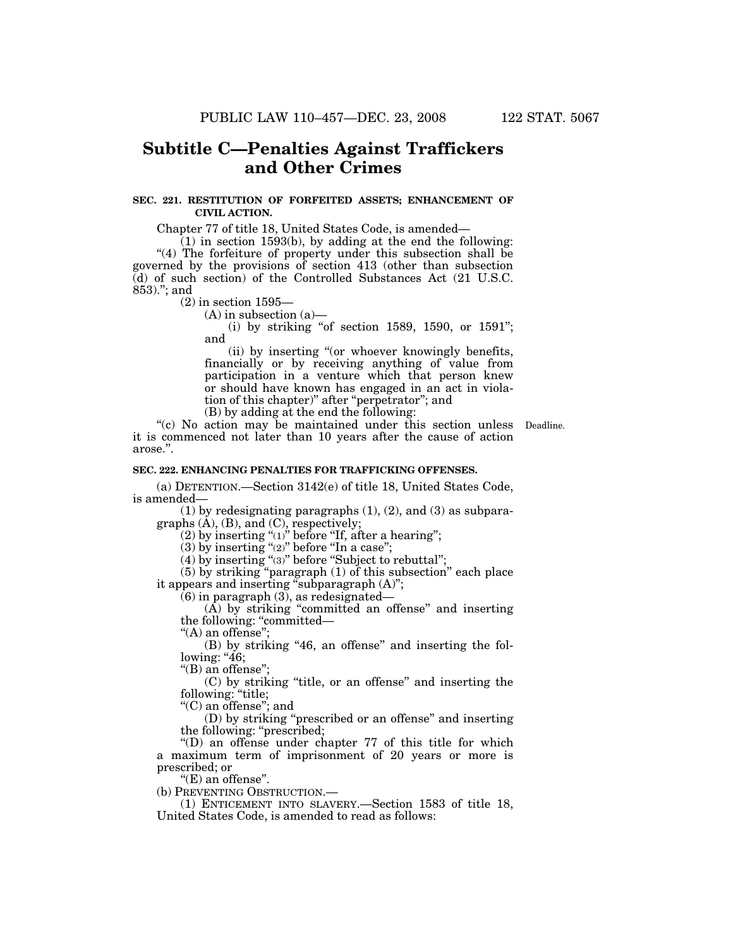# **Subtitle C—Penalties Against Traffickers and Other Crimes**

### **SEC. 221. RESTITUTION OF FORFEITED ASSETS; ENHANCEMENT OF CIVIL ACTION.**

Chapter 77 of title 18, United States Code, is amended—

 $(1)$  in section 1593(b), by adding at the end the following: "(4) The forfeiture of property under this subsection shall be governed by the provisions of section 413 (other than subsection (d) of such section) of the Controlled Substances Act (21 U.S.C. 853).''; and

(2) in section 1595—

 $(A)$  in subsection  $(a)$ —

(i) by striking "of section 1589, 1590, or 1591"; and

(ii) by inserting ''(or whoever knowingly benefits, financially or by receiving anything of value from participation in a venture which that person knew or should have known has engaged in an act in violation of this chapter)'' after ''perpetrator''; and (B) by adding at the end the following:

"(c) No action may be maintained under this section unless Deadline. it is commenced not later than 10 years after the cause of action arose.''.

## **SEC. 222. ENHANCING PENALTIES FOR TRAFFICKING OFFENSES.**

(a) DETENTION.—Section 3142(e) of title 18, United States Code, is amended—

(1) by redesignating paragraphs (1), (2), and (3) as subparagraphs (A), (B), and (C), respectively;

 $(2)$  by inserting " $(1)$ " before "If, after a hearing";

 $(3)$  by inserting " $(2)$ " before "In a case";

(4) by inserting "(3)" before "Subject to rebuttal";

(5) by striking ''paragraph (1) of this subsection'' each place it appears and inserting ''subparagraph (A)'';

(6) in paragraph (3), as redesignated—

 $(A)$  by striking "committed an offense" and inserting the following: ''committed—

"(A) an offense";

(B) by striking "46, an offense" and inserting the following: " $46$ ;

''(B) an offense'';

(C) by striking ''title, or an offense'' and inserting the following: ''title;

''(C) an offense''; and

(D) by striking ''prescribed or an offense'' and inserting the following: "prescribed;

''(D) an offense under chapter 77 of this title for which a maximum term of imprisonment of 20 years or more is prescribed; or

''(E) an offense''.

(b) PREVENTING OBSTRUCTION.—

(1) ENTICEMENT INTO SLAVERY.—Section 1583 of title 18, United States Code, is amended to read as follows: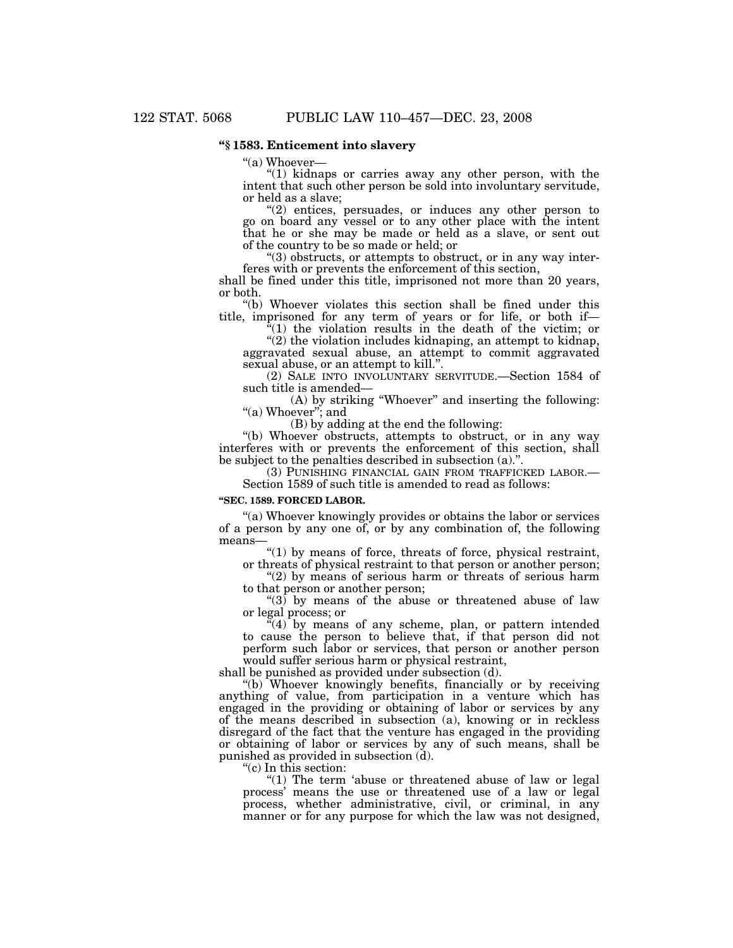### **''§ 1583. Enticement into slavery**

"(a) Whoever-

" $(1)$  kidnaps or carries away any other person, with the intent that such other person be sold into involuntary servitude, or held as a slave;

"(2) entices, persuades, or induces any other person to go on board any vessel or to any other place with the intent that he or she may be made or held as a slave, or sent out of the country to be so made or held; or

''(3) obstructs, or attempts to obstruct, or in any way interferes with or prevents the enforcement of this section,

shall be fined under this title, imprisoned not more than 20 years, or both.

''(b) Whoever violates this section shall be fined under this title, imprisoned for any term of years or for life, or both if—

 $\sqrt[n]{(1)}$  the violation results in the death of the victim; or

"(2) the violation includes kidnaping, an attempt to kidnap, aggravated sexual abuse, an attempt to commit aggravated sexual abuse, or an attempt to kill.''.

(2) SALE INTO INVOLUNTARY SERVITUDE.—Section 1584 of such title is amended—

(A) by striking ''Whoever'' and inserting the following: ''(a) Whoever''; and

(B) by adding at the end the following:

"(b) Whoever obstructs, attempts to obstruct, or in any way interferes with or prevents the enforcement of this section, shall be subject to the penalties described in subsection (a)."

(3) PUNISHING FINANCIAL GAIN FROM TRAFFICKED LABOR.— Section 1589 of such title is amended to read as follows:

#### **''SEC. 1589. FORCED LABOR.**

''(a) Whoever knowingly provides or obtains the labor or services of a person by any one of, or by any combination of, the following means—

"(1) by means of force, threats of force, physical restraint, or threats of physical restraint to that person or another person;

"(2) by means of serious harm or threats of serious harm to that person or another person;

" $(3)$  by means of the abuse or threatened abuse of law or legal process; or

"(4) by means of any scheme, plan, or pattern intended to cause the person to believe that, if that person did not perform such labor or services, that person or another person would suffer serious harm or physical restraint.

shall be punished as provided under subsection (d).

''(b) Whoever knowingly benefits, financially or by receiving anything of value, from participation in a venture which has engaged in the providing or obtaining of labor or services by any of the means described in subsection (a), knowing or in reckless disregard of the fact that the venture has engaged in the providing or obtaining of labor or services by any of such means, shall be punished as provided in subsection (d).

''(c) In this section:

''(1) The term 'abuse or threatened abuse of law or legal process' means the use or threatened use of a law or legal process, whether administrative, civil, or criminal, in any manner or for any purpose for which the law was not designed,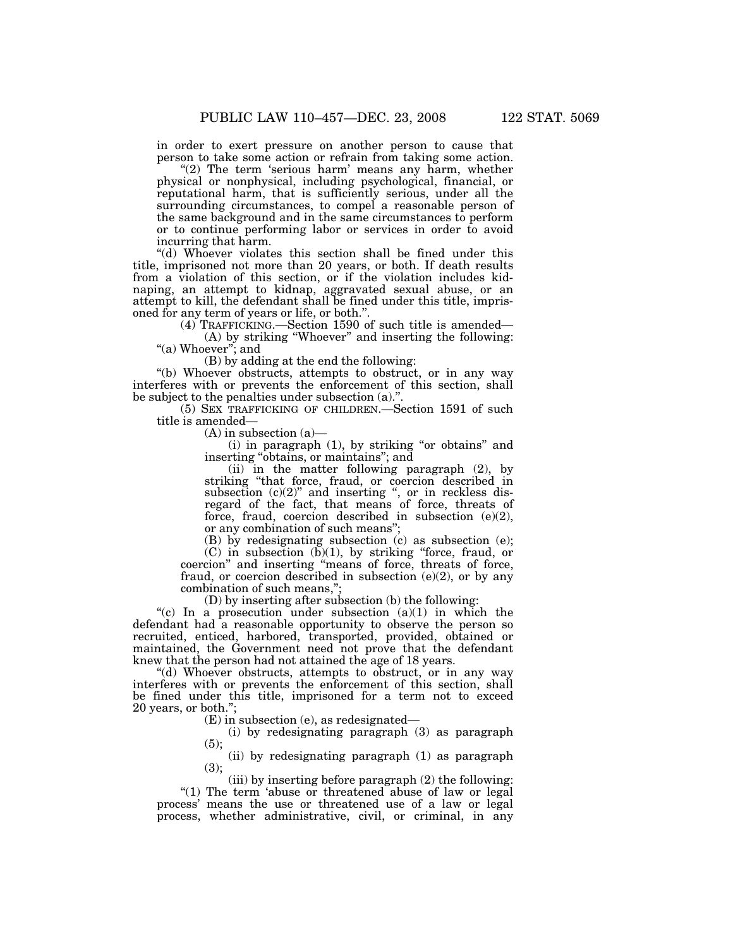in order to exert pressure on another person to cause that person to take some action or refrain from taking some action.

" $(2)$  The term 'serious harm' means any harm, whether physical or nonphysical, including psychological, financial, or reputational harm, that is sufficiently serious, under all the surrounding circumstances, to compel a reasonable person of the same background and in the same circumstances to perform or to continue performing labor or services in order to avoid incurring that harm.

''(d) Whoever violates this section shall be fined under this title, imprisoned not more than 20 years, or both. If death results from a violation of this section, or if the violation includes kidnaping, an attempt to kidnap, aggravated sexual abuse, or an attempt to kill, the defendant shall be fined under this title, imprisoned for any term of years or life, or both.''.

(4) TRAFFICKING.—Section 1590 of such title is amended—

(A) by striking ''Whoever'' and inserting the following: "(a) Whoever"; and

(B) by adding at the end the following:

''(b) Whoever obstructs, attempts to obstruct, or in any way interferes with or prevents the enforcement of this section, shall be subject to the penalties under subsection (a)."

(5) SEX TRAFFICKING OF CHILDREN.—Section 1591 of such title is amended—

(A) in subsection (a)—

 $(i)$  in paragraph  $(1)$ , by striking "or obtains" and inserting "obtains, or maintains"; and

(ii) in the matter following paragraph (2), by striking ''that force, fraud, or coercion described in subsection  $(c)(2)$ " and inserting ", or in reckless disregard of the fact, that means of force, threats of force, fraud, coercion described in subsection (e)(2), or any combination of such means'';

(B) by redesignating subsection (c) as subsection (e);

 $(C)$  in subsection  $(b)(1)$ , by striking "force, fraud, or coercion'' and inserting ''means of force, threats of force, fraud, or coercion described in subsection (e)(2), or by any combination of such means,";

(D) by inserting after subsection (b) the following:

"(c) In a prosecution under subsection  $(a)(1)$  in which the defendant had a reasonable opportunity to observe the person so recruited, enticed, harbored, transported, provided, obtained or maintained, the Government need not prove that the defendant knew that the person had not attained the age of 18 years.

''(d) Whoever obstructs, attempts to obstruct, or in any way interferes with or prevents the enforcement of this section, shall be fined under this title, imprisoned for a term not to exceed 20 years, or both.'';

(E) in subsection (e), as redesignated—

(i) by redesignating paragraph (3) as paragraph (5);

(ii) by redesignating paragraph (1) as paragraph (3);

(iii) by inserting before paragraph (2) the following: "(1) The term 'abuse or threatened abuse of law or legal process' means the use or threatened use of a law or legal process, whether administrative, civil, or criminal, in any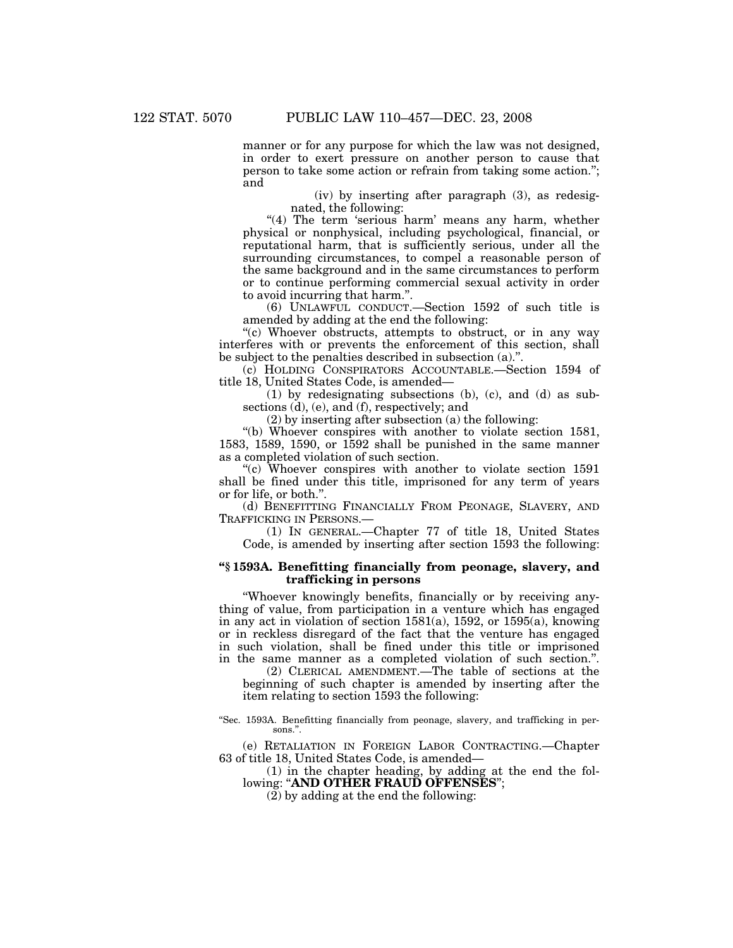manner or for any purpose for which the law was not designed, in order to exert pressure on another person to cause that person to take some action or refrain from taking some action.''; and

> (iv) by inserting after paragraph (3), as redesignated, the following:

" $(4)$  The term 'serious harm' means any harm, whether physical or nonphysical, including psychological, financial, or reputational harm, that is sufficiently serious, under all the surrounding circumstances, to compel a reasonable person of the same background and in the same circumstances to perform or to continue performing commercial sexual activity in order to avoid incurring that harm.''.

(6) UNLAWFUL CONDUCT.—Section 1592 of such title is amended by adding at the end the following:

"(c) Whoever obstructs, attempts to obstruct, or in any way interferes with or prevents the enforcement of this section, shall be subject to the penalties described in subsection (a).''.

(c) HOLDING CONSPIRATORS ACCOUNTABLE.—Section 1594 of title 18, United States Code, is amended—

(1) by redesignating subsections (b), (c), and (d) as subsections (d), (e), and (f), respectively; and

(2) by inserting after subsection (a) the following:

''(b) Whoever conspires with another to violate section 1581, 1583, 1589, 1590, or 1592 shall be punished in the same manner as a completed violation of such section.

 $C$ <sup>''</sup>(c) Whoever conspires with another to violate section 1591 shall be fined under this title, imprisoned for any term of years or for life, or both.''.

(d) BENEFITTING FINANCIALLY FROM PEONAGE, SLAVERY, AND TRAFFICKING IN PERSONS.—

(1) IN GENERAL.—Chapter 77 of title 18, United States Code, is amended by inserting after section 1593 the following:

# **''§ 1593A. Benefitting financially from peonage, slavery, and trafficking in persons**

''Whoever knowingly benefits, financially or by receiving anything of value, from participation in a venture which has engaged in any act in violation of section  $1581(a)$ ,  $1592$ , or  $1595(a)$ , knowing or in reckless disregard of the fact that the venture has engaged in such violation, shall be fined under this title or imprisoned in the same manner as a completed violation of such section.''.

(2) CLERICAL AMENDMENT.—The table of sections at the beginning of such chapter is amended by inserting after the item relating to section 1593 the following:

''Sec. 1593A. Benefitting financially from peonage, slavery, and trafficking in persons."

(e) RETALIATION IN FOREIGN LABOR CONTRACTING.—Chapter 63 of title 18, United States Code, is amended—

(1) in the chapter heading, by adding at the end the following: "AND OTHER FRAUD OFFENSES";

(2) by adding at the end the following: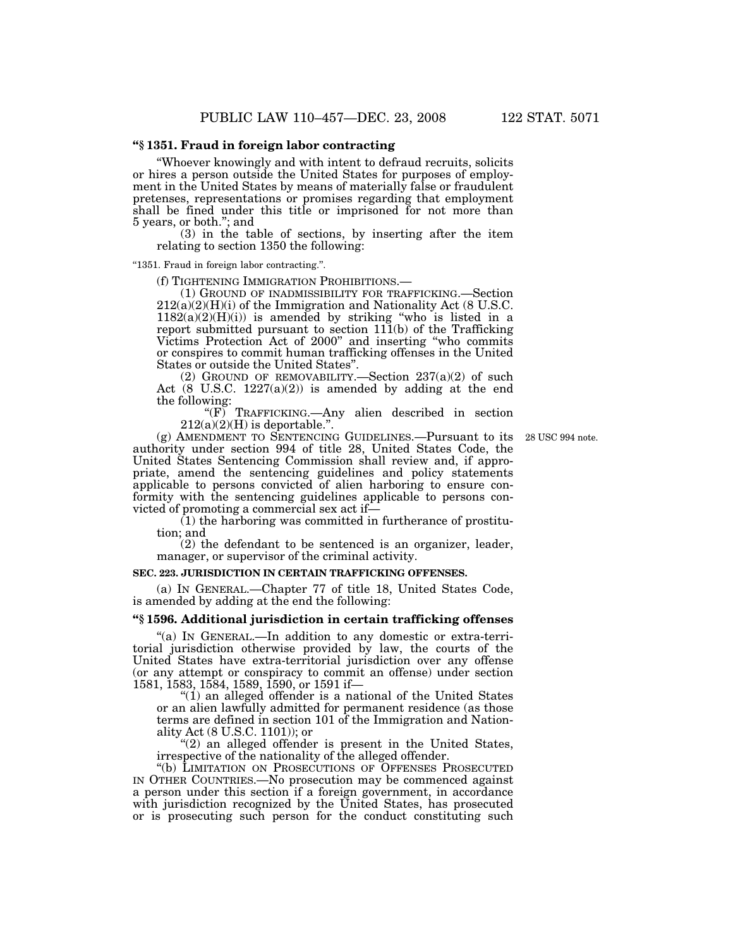#### **''§ 1351. Fraud in foreign labor contracting**

''Whoever knowingly and with intent to defraud recruits, solicits or hires a person outside the United States for purposes of employment in the United States by means of materially false or fraudulent pretenses, representations or promises regarding that employment shall be fined under this title or imprisoned for not more than 5 years, or both.''; and

(3) in the table of sections, by inserting after the item relating to section 1350 the following:

#### ''1351. Fraud in foreign labor contracting.''.

(f) TIGHTENING IMMIGRATION PROHIBITIONS.—

(1) GROUND OF INADMISSIBILITY FOR TRAFFICKING.—Section 212(a)(2)(H)(i) of the Immigration and Nationality Act (8 U.S.C.  $1182(a)(2)(H)(i)$  is amended by striking "who is listed in a report submitted pursuant to section 111(b) of the Trafficking Victims Protection Act of 2000'' and inserting ''who commits or conspires to commit human trafficking offenses in the United States or outside the United States''.

(2) GROUND OF REMOVABILITY.—Section 237(a)(2) of such Act  $(8 \text{ U.S.C. } 1227(a)(2))$  is amended by adding at the end the following:

"(F) TRAFFICKING.—Any alien described in section  $212(a)(2)(H)$  is deportable.".

(g) AMENDMENT TO SENTENCING GUIDELINES.—Pursuant to its 28 USC 994 note. authority under section 994 of title 28, United States Code, the United States Sentencing Commission shall review and, if appropriate, amend the sentencing guidelines and policy statements applicable to persons convicted of alien harboring to ensure conformity with the sentencing guidelines applicable to persons convicted of promoting a commercial sex act if—

 $(1)$  the harboring was committed in furtherance of prostitution; and

(2) the defendant to be sentenced is an organizer, leader, manager, or supervisor of the criminal activity.

#### **SEC. 223. JURISDICTION IN CERTAIN TRAFFICKING OFFENSES.**

(a) IN GENERAL.—Chapter 77 of title 18, United States Code, is amended by adding at the end the following:

# **''§ 1596. Additional jurisdiction in certain trafficking offenses**

''(a) IN GENERAL.—In addition to any domestic or extra-territorial jurisdiction otherwise provided by law, the courts of the United States have extra-territorial jurisdiction over any offense (or any attempt or conspiracy to commit an offense) under section 1581, 1583, 1584, 1589, 1590, or 1591 if—

" $(1)$  an alleged offender is a national of the United States or an alien lawfully admitted for permanent residence (as those terms are defined in section 101 of the Immigration and Nationality Act (8 U.S.C. 1101)); or

"(2) an alleged offender is present in the United States, irrespective of the nationality of the alleged offender.

''(b) LIMITATION ON PROSECUTIONS OF OFFENSES PROSECUTED IN OTHER COUNTRIES.—No prosecution may be commenced against a person under this section if a foreign government, in accordance with jurisdiction recognized by the United States, has prosecuted or is prosecuting such person for the conduct constituting such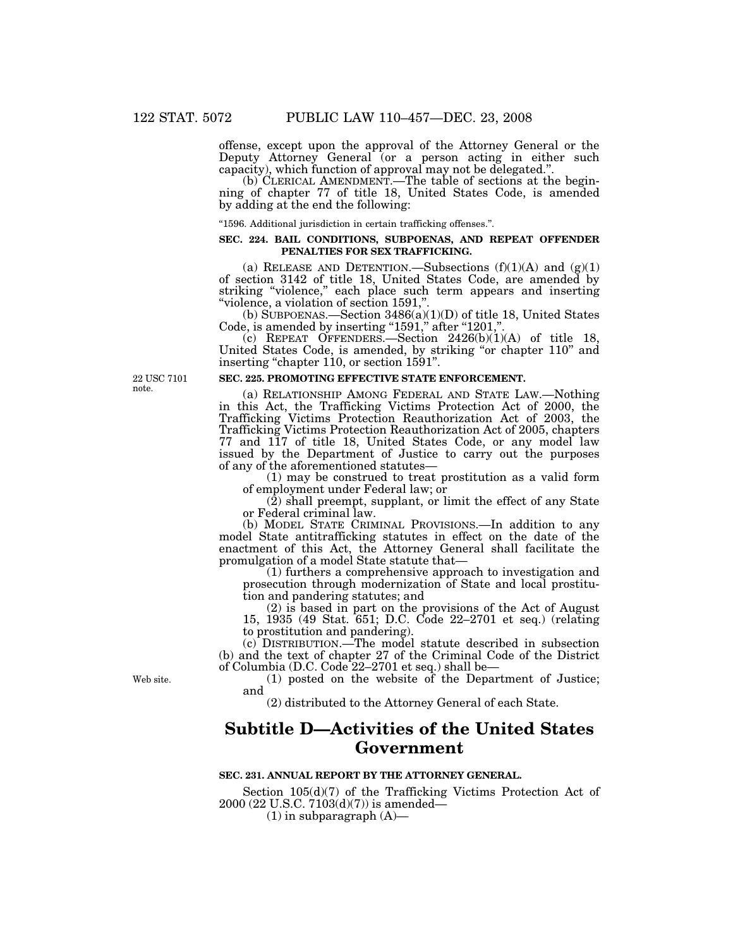offense, except upon the approval of the Attorney General or the Deputy Attorney General (or a person acting in either such capacity), which function of approval may not be delegated.''.

(b) CLERICAL AMENDMENT.—The table of sections at the beginning of chapter 77 of title 18, United States Code, is amended by adding at the end the following:

''1596. Additional jurisdiction in certain trafficking offenses.''.

#### **SEC. 224. BAIL CONDITIONS, SUBPOENAS, AND REPEAT OFFENDER PENALTIES FOR SEX TRAFFICKING.**

(a) RELEASE AND DETENTION.—Subsections  $(f)(1)(A)$  and  $(g)(1)$ of section 3142 of title 18, United States Code, are amended by striking ''violence,'' each place such term appears and inserting "violence, a violation of section 1591,".

(b) SUBPOENAS.—Section 3486(a)(1)(D) of title 18, United States Code, is amended by inserting "1591," after "1201,".

(c) REPEAT OFFENDERS.—Section  $2426(b)(1)(A)$  of title 18, United States Code, is amended, by striking "or chapter 110" and inserting "chapter 110, or section 1591".

#### **SEC. 225. PROMOTING EFFECTIVE STATE ENFORCEMENT.**

(a) RELATIONSHIP AMONG FEDERAL AND STATE LAW.—Nothing in this Act, the Trafficking Victims Protection Act of 2000, the Trafficking Victims Protection Reauthorization Act of 2003, the Trafficking Victims Protection Reauthorization Act of 2005, chapters 77 and 117 of title 18, United States Code, or any model law issued by the Department of Justice to carry out the purposes of any of the aforementioned statutes—

(1) may be construed to treat prostitution as a valid form of employment under Federal law; or

 $(2)$  shall preempt, supplant, or limit the effect of any State or Federal criminal law.

(b) MODEL STATE CRIMINAL PROVISIONS.—In addition to any model State antitrafficking statutes in effect on the date of the enactment of this Act, the Attorney General shall facilitate the promulgation of a model State statute that—

(1) furthers a comprehensive approach to investigation and prosecution through modernization of State and local prostitution and pandering statutes; and

(2) is based in part on the provisions of the Act of August 15, 1935 (49 Stat. 651; D.C. Code 22–2701 et seq.) (relating to prostitution and pandering).

(c) DISTRIBUTION.—The model statute described in subsection (b) and the text of chapter 27 of the Criminal Code of the District of Columbia (D.C. Code 22–2701 et seq.) shall be—

(1) posted on the website of the Department of Justice; and

(2) distributed to the Attorney General of each State.

# **Subtitle D—Activities of the United States Government**

### **SEC. 231. ANNUAL REPORT BY THE ATTORNEY GENERAL.**

Section 105(d)(7) of the Trafficking Victims Protection Act of 2000 (22 U.S.C. 7103(d)(7)) is amended—  $(1)$  in subparagraph  $(A)$ —

22 USC 7101 note.

Web site.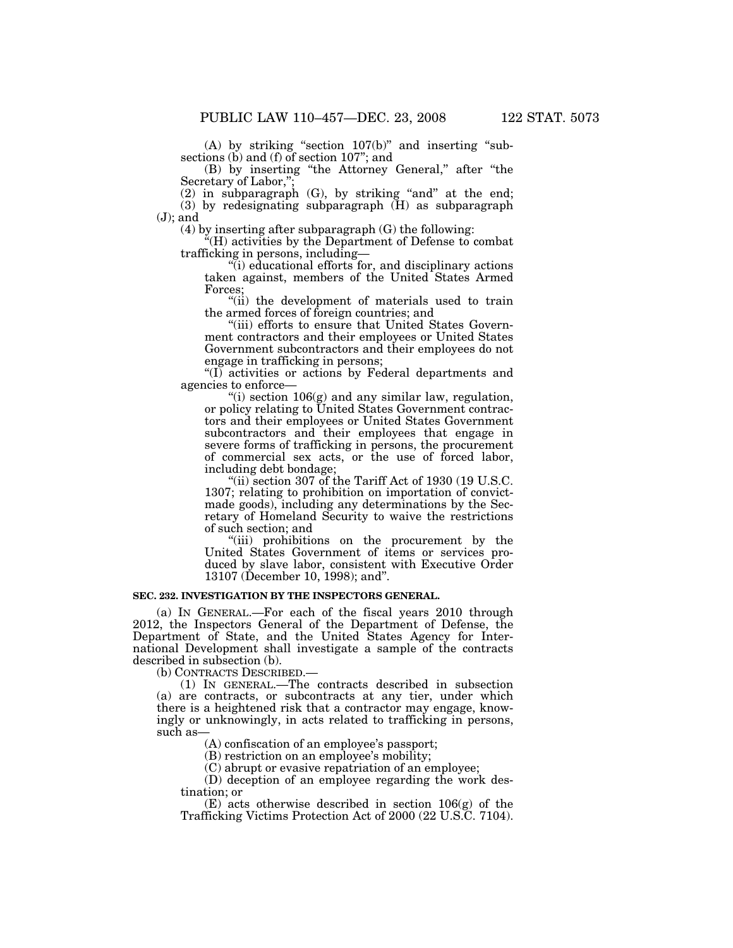(A) by striking "section 107(b)" and inserting "subsections (b) and (f) of section 107"; and

(B) by inserting "the Attorney General," after "the Secretary of Labor,'';

(2) in subparagraph  $(G)$ , by striking "and" at the end; (3) by redesignating subparagraph (H) as subparagraph (J); and

(4) by inserting after subparagraph (G) the following:

''(H) activities by the Department of Defense to combat trafficking in persons, including—

''(i) educational efforts for, and disciplinary actions taken against, members of the United States Armed Forces;

"(ii) the development of materials used to train the armed forces of foreign countries; and

''(iii) efforts to ensure that United States Government contractors and their employees or United States Government subcontractors and their employees do not engage in trafficking in persons;

''(I) activities or actions by Federal departments and agencies to enforce—

"(i) section  $106(g)$  and any similar law, regulation, or policy relating to United States Government contractors and their employees or United States Government subcontractors and their employees that engage in severe forms of trafficking in persons, the procurement of commercial sex acts, or the use of forced labor, including debt bondage;

"(ii) section 307 of the Tariff Act of 1930 (19 U.S.C. 1307; relating to prohibition on importation of convictmade goods), including any determinations by the Secretary of Homeland Security to waive the restrictions of such section; and

''(iii) prohibitions on the procurement by the United States Government of items or services produced by slave labor, consistent with Executive Order 13107 (December 10, 1998); and''.

#### **SEC. 232. INVESTIGATION BY THE INSPECTORS GENERAL.**

(a) IN GENERAL.—For each of the fiscal years 2010 through 2012, the Inspectors General of the Department of Defense, the Department of State, and the United States Agency for International Development shall investigate a sample of the contracts described in subsection (b).

(b) CONTRACTS DESCRIBED.—

(1) IN GENERAL.—The contracts described in subsection (a) are contracts, or subcontracts at any tier, under which there is a heightened risk that a contractor may engage, knowingly or unknowingly, in acts related to trafficking in persons, such as—

(A) confiscation of an employee's passport;

(B) restriction on an employee's mobility;

(C) abrupt or evasive repatriation of an employee;

(D) deception of an employee regarding the work destination; or

(E) acts otherwise described in section 106(g) of the Trafficking Victims Protection Act of 2000 (22 U.S.C. 7104).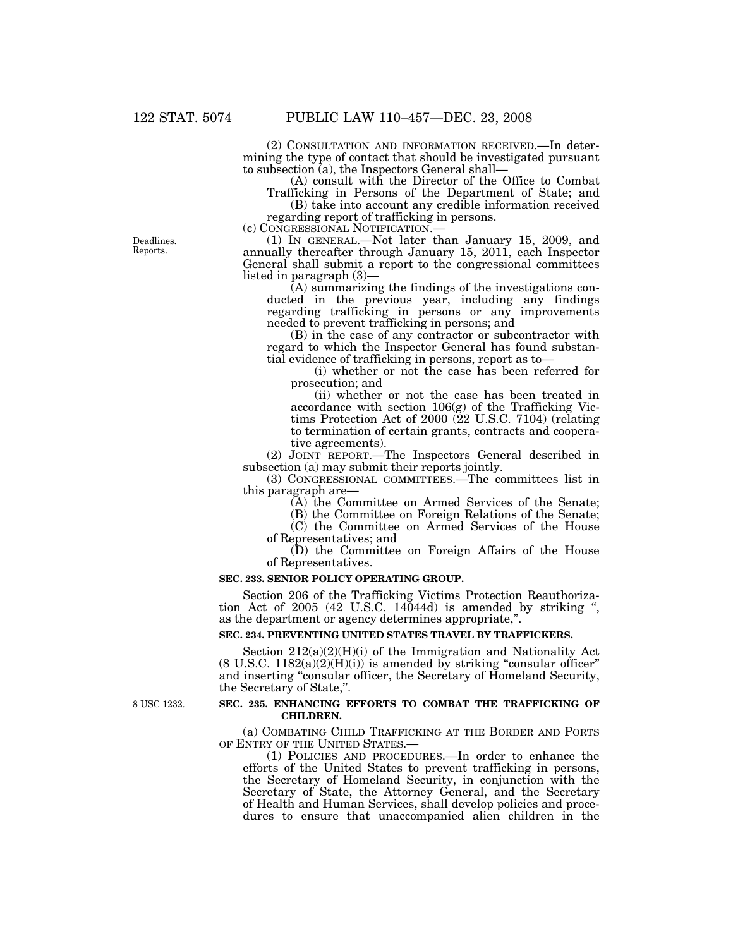(2) CONSULTATION AND INFORMATION RECEIVED.—In determining the type of contact that should be investigated pursuant to subsection (a), the Inspectors General shall—

(A) consult with the Director of the Office to Combat Trafficking in Persons of the Department of State; and

(B) take into account any credible information received regarding report of trafficking in persons.<br>(c) CONGRESSIONAL NOTIFICATION.—

(c) CONGRESSIONAL NOTIFICATION.— (1) IN GENERAL.—Not later than January 15, 2009, and annually thereafter through January 15, 2011, each Inspector General shall submit a report to the congressional committees listed in paragraph (3)—

(A) summarizing the findings of the investigations conducted in the previous year, including any findings regarding trafficking in persons or any improvements needed to prevent trafficking in persons; and

(B) in the case of any contractor or subcontractor with regard to which the Inspector General has found substantial evidence of trafficking in persons, report as to—

(i) whether or not the case has been referred for prosecution; and

(ii) whether or not the case has been treated in accordance with section 106(g) of the Trafficking Victims Protection Act of 2000 (22 U.S.C. 7104) (relating to termination of certain grants, contracts and cooperative agreements).

(2) JOINT REPORT.—The Inspectors General described in subsection (a) may submit their reports jointly.

(3) CONGRESSIONAL COMMITTEES.—The committees list in this paragraph are—

(A) the Committee on Armed Services of the Senate;

(B) the Committee on Foreign Relations of the Senate;

(C) the Committee on Armed Services of the House of Representatives; and

(D) the Committee on Foreign Affairs of the House of Representatives.

# **SEC. 233. SENIOR POLICY OPERATING GROUP.**

Section 206 of the Trafficking Victims Protection Reauthorization Act of  $2005$  (42 U.S.C. 14044d) is amended by striking ", as the department or agency determines appropriate,''.

#### **SEC. 234. PREVENTING UNITED STATES TRAVEL BY TRAFFICKERS.**

Section  $212(a)(2)(H)(i)$  of the Immigration and Nationality Act  $(8 \text{ U.S.C. } 1182(a)(2)(H)(i))$  is amended by striking "consular officer" and inserting ''consular officer, the Secretary of Homeland Security, the Secretary of State,''.

8 USC 1232.

#### **SEC. 235. ENHANCING EFFORTS TO COMBAT THE TRAFFICKING OF CHILDREN.**

(a) COMBATING CHILD TRAFFICKING AT THE BORDER AND PORTS OF ENTRY OF THE UNITED STATES.—

 $(1)$  POLICIES AND PROCEDURES.—In order to enhance the efforts of the United States to prevent trafficking in persons, the Secretary of Homeland Security, in conjunction with the Secretary of State, the Attorney General, and the Secretary of Health and Human Services, shall develop policies and procedures to ensure that unaccompanied alien children in the

Deadlines. Reports.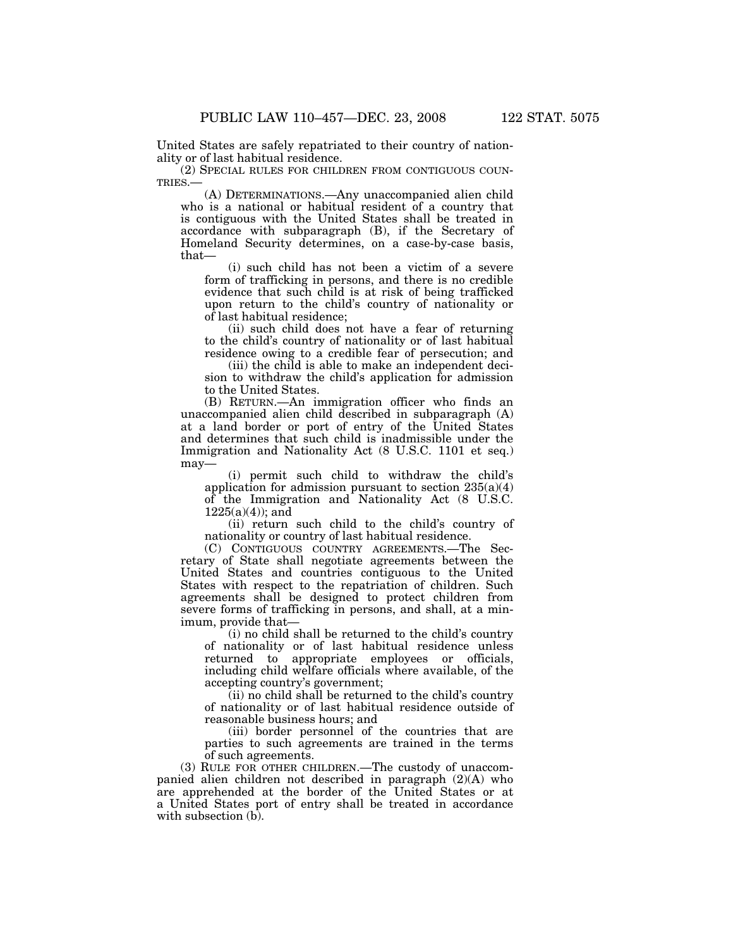United States are safely repatriated to their country of nationality or of last habitual residence.

(2) SPECIAL RULES FOR CHILDREN FROM CONTIGUOUS COUN-TRIES.—

(A) DETERMINATIONS.—Any unaccompanied alien child who is a national or habitual resident of a country that is contiguous with the United States shall be treated in accordance with subparagraph (B), if the Secretary of Homeland Security determines, on a case-by-case basis, that—

(i) such child has not been a victim of a severe form of trafficking in persons, and there is no credible evidence that such child is at risk of being trafficked upon return to the child's country of nationality or of last habitual residence;

(ii) such child does not have a fear of returning to the child's country of nationality or of last habitual residence owing to a credible fear of persecution; and

(iii) the child is able to make an independent decision to withdraw the child's application for admission to the United States.

(B) RETURN.—An immigration officer who finds an unaccompanied alien child described in subparagraph (A) at a land border or port of entry of the United States and determines that such child is inadmissible under the Immigration and Nationality Act (8 U.S.C. 1101 et seq.) may—

(i) permit such child to withdraw the child's application for admission pursuant to section 235(a)(4) of the Immigration and Nationality Act (8 U.S.C.  $1225(a)(4)$ ; and

(ii) return such child to the child's country of nationality or country of last habitual residence.

(C) CONTIGUOUS COUNTRY AGREEMENTS.—The Secretary of State shall negotiate agreements between the United States and countries contiguous to the United States with respect to the repatriation of children. Such agreements shall be designed to protect children from severe forms of trafficking in persons, and shall, at a minimum, provide that—

(i) no child shall be returned to the child's country of nationality or of last habitual residence unless returned to appropriate employees or officials, including child welfare officials where available, of the accepting country's government;

(ii) no child shall be returned to the child's country of nationality or of last habitual residence outside of reasonable business hours; and

(iii) border personnel of the countries that are parties to such agreements are trained in the terms of such agreements.

(3) RULE FOR OTHER CHILDREN.—The custody of unaccompanied alien children not described in paragraph (2)(A) who are apprehended at the border of the United States or at a United States port of entry shall be treated in accordance with subsection  $(b)$ .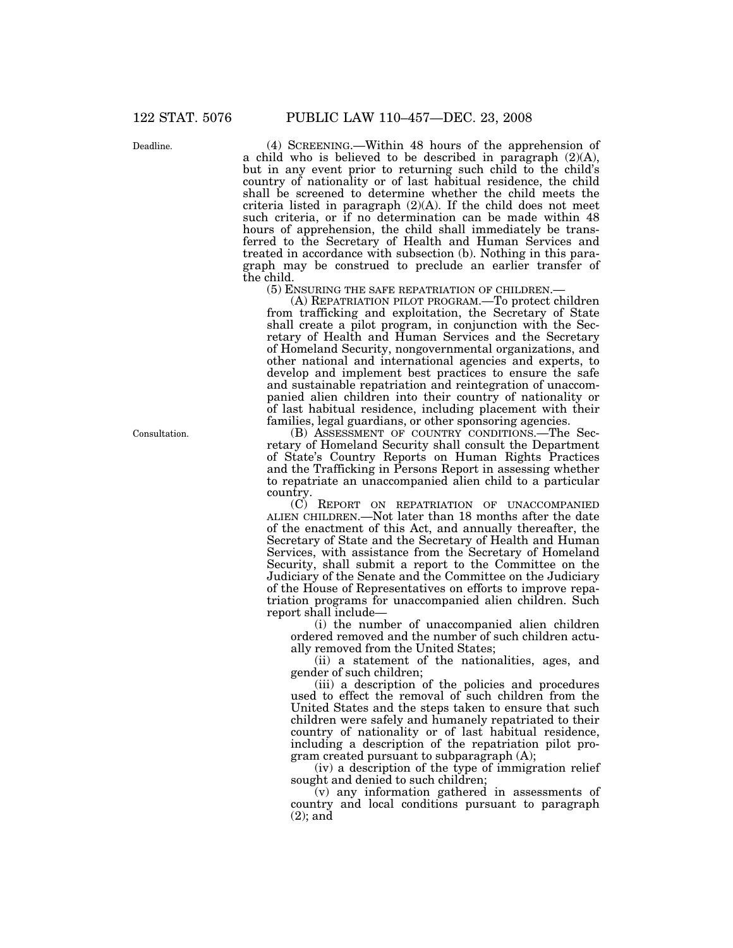Deadline.

(4) SCREENING.—Within 48 hours of the apprehension of a child who is believed to be described in paragraph (2)(A), but in any event prior to returning such child to the child's country of nationality or of last habitual residence, the child shall be screened to determine whether the child meets the criteria listed in paragraph  $(2)(A)$ . If the child does not meet such criteria, or if no determination can be made within 48 hours of apprehension, the child shall immediately be transferred to the Secretary of Health and Human Services and treated in accordance with subsection (b). Nothing in this paragraph may be construed to preclude an earlier transfer of

the child.<br>(5) ENSURING THE SAFE REPATRIATION OF CHILDREN.

(A) REPATRIATION PILOT PROGRAM.— To protect children from trafficking and exploitation, the Secretary of State shall create a pilot program, in conjunction with the Secretary of Health and Human Services and the Secretary of Homeland Security, nongovernmental organizations, and other national and international agencies and experts, to develop and implement best practices to ensure the safe and sustainable repatriation and reintegration of unaccompanied alien children into their country of nationality or of last habitual residence, including placement with their families, legal guardians, or other sponsoring agencies.

(B) ASSESSMENT OF COUNTRY CONDITIONS.—The Secretary of Homeland Security shall consult the Department of State's Country Reports on Human Rights Practices and the Trafficking in Persons Report in assessing whether to repatriate an unaccompanied alien child to a particular country.

(C) REPORT ON REPATRIATION OF UNACCOMPANIED ALIEN CHILDREN.—Not later than 18 months after the date of the enactment of this Act, and annually thereafter, the Secretary of State and the Secretary of Health and Human Services, with assistance from the Secretary of Homeland Security, shall submit a report to the Committee on the Judiciary of the Senate and the Committee on the Judiciary of the House of Representatives on efforts to improve repatriation programs for unaccompanied alien children. Such report shall include—

(i) the number of unaccompanied alien children ordered removed and the number of such children actually removed from the United States;

(ii) a statement of the nationalities, ages, and gender of such children;

(iii) a description of the policies and procedures used to effect the removal of such children from the United States and the steps taken to ensure that such children were safely and humanely repatriated to their country of nationality or of last habitual residence, including a description of the repatriation pilot program created pursuant to subparagraph (A);

(iv) a description of the type of immigration relief sought and denied to such children;

(v) any information gathered in assessments of country and local conditions pursuant to paragraph (2); and

Consultation.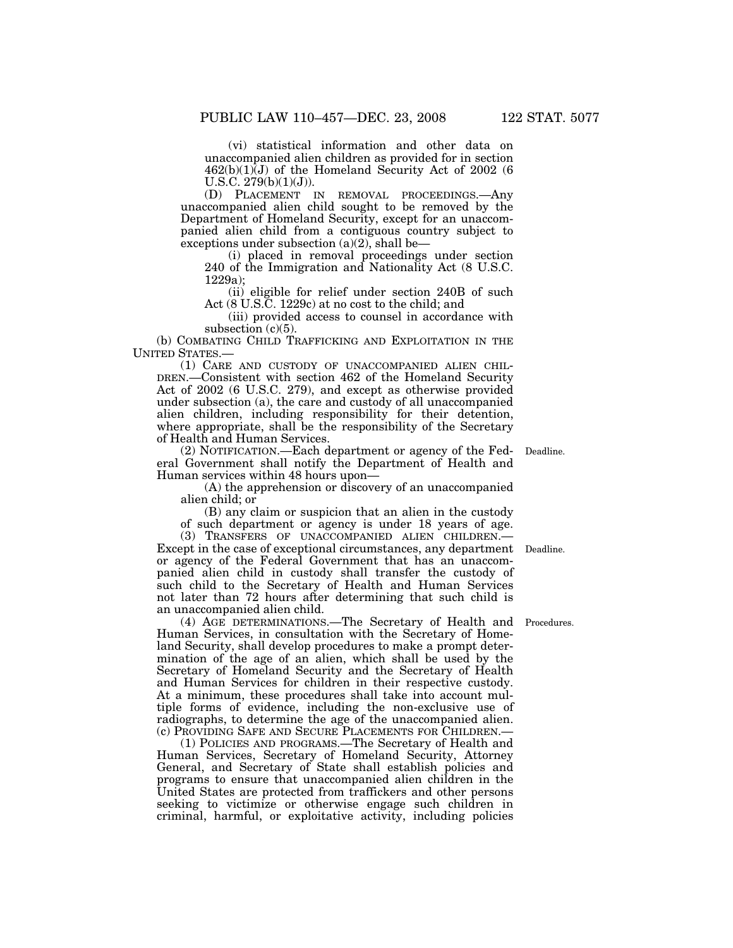(vi) statistical information and other data on unaccompanied alien children as provided for in section  $462(b)(1)\overline{(J)}$  of the Homeland Security Act of 2002 (6)  $U.S.C. 279(b)(1)(J)$ .

(D) PLACEMENT IN REMOVAL PROCEEDINGS.—Any unaccompanied alien child sought to be removed by the Department of Homeland Security, except for an unaccompanied alien child from a contiguous country subject to exceptions under subsection  $(a)(2)$ , shall be—

(i) placed in removal proceedings under section 240 of the Immigration and Nationality Act (8 U.S.C. 1229a);

(ii) eligible for relief under section 240B of such Act (8 U.S.C. 1229c) at no cost to the child; and

(iii) provided access to counsel in accordance with subsection  $(c)(5)$ .

(b) COMBATING CHILD TRAFFICKING AND EXPLOITATION IN THE UNITED STATES.—

(1) CARE AND CUSTODY OF UNACCOMPANIED ALIEN CHIL-DREN.—Consistent with section 462 of the Homeland Security Act of 2002 (6 U.S.C. 279), and except as otherwise provided under subsection (a), the care and custody of all unaccompanied alien children, including responsibility for their detention, where appropriate, shall be the responsibility of the Secretary of Health and Human Services.

(2) NOTIFICATION.—Each department or agency of the Federal Government shall notify the Department of Health and Human services within 48 hours upon—

(A) the apprehension or discovery of an unaccompanied alien child; or

(B) any claim or suspicion that an alien in the custody of such department or agency is under 18 years of age.

(3) TRANSFERS OF UNACCOMPANIED ALIEN CHILDREN.— Except in the case of exceptional circumstances, any department Deadline. or agency of the Federal Government that has an unaccompanied alien child in custody shall transfer the custody of such child to the Secretary of Health and Human Services not later than 72 hours after determining that such child is an unaccompanied alien child.

(4) AGE DETERMINATIONS.—The Secretary of Health and Procedures. Human Services, in consultation with the Secretary of Homeland Security, shall develop procedures to make a prompt determination of the age of an alien, which shall be used by the Secretary of Homeland Security and the Secretary of Health and Human Services for children in their respective custody. At a minimum, these procedures shall take into account multiple forms of evidence, including the non-exclusive use of radiographs, to determine the age of the unaccompanied alien. (c) PROVIDING SAFE AND SECURE PLACEMENTS FOR CHILDREN.—

(1) POLICIES AND PROGRAMS.—The Secretary of Health and Human Services, Secretary of Homeland Security, Attorney General, and Secretary of State shall establish policies and programs to ensure that unaccompanied alien children in the United States are protected from traffickers and other persons seeking to victimize or otherwise engage such children in criminal, harmful, or exploitative activity, including policies

Deadline.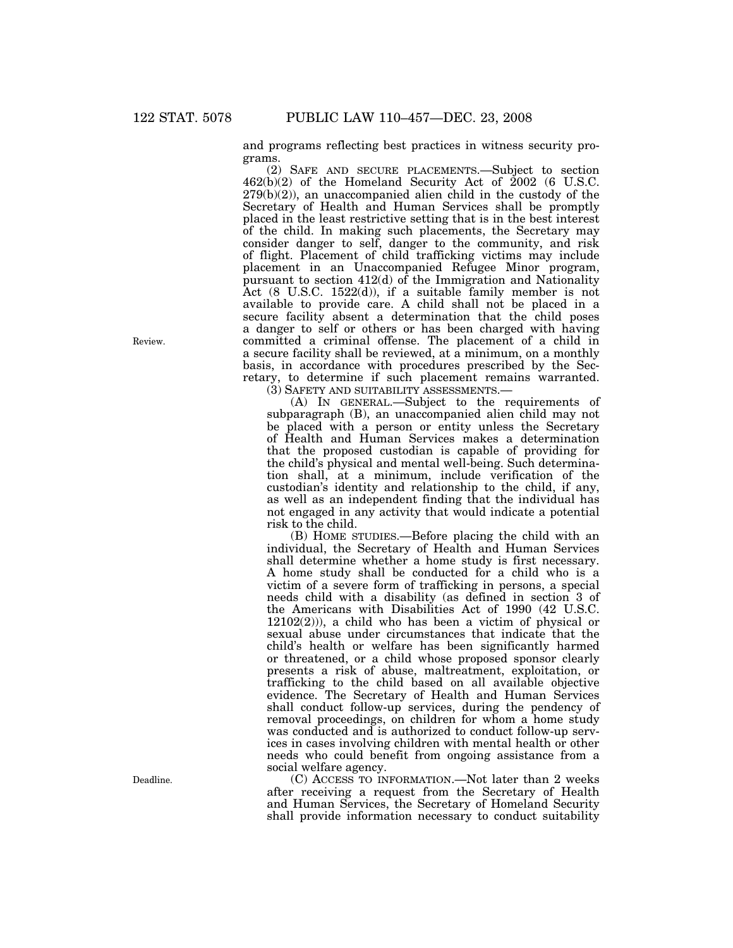and programs reflecting best practices in witness security programs.

(2) SAFE AND SECURE PLACEMENTS.—Subject to section 462(b)(2) of the Homeland Security Act of 2002 (6 U.S.C.  $279(b)(2)$ , an unaccompanied alien child in the custody of the Secretary of Health and Human Services shall be promptly placed in the least restrictive setting that is in the best interest of the child. In making such placements, the Secretary may consider danger to self, danger to the community, and risk of flight. Placement of child trafficking victims may include placement in an Unaccompanied Refugee Minor program, pursuant to section 412(d) of the Immigration and Nationality Act (8 U.S.C. 1522(d)), if a suitable family member is not available to provide care. A child shall not be placed in a secure facility absent a determination that the child poses a danger to self or others or has been charged with having committed a criminal offense. The placement of a child in a secure facility shall be reviewed, at a minimum, on a monthly basis, in accordance with procedures prescribed by the Secretary, to determine if such placement remains warranted. (3) SAFETY AND SUITABILITY ASSESSMENTS.—

(A) IN GENERAL.—Subject to the requirements of

subparagraph (B), an unaccompanied alien child may not be placed with a person or entity unless the Secretary of Health and Human Services makes a determination that the proposed custodian is capable of providing for the child's physical and mental well-being. Such determination shall, at a minimum, include verification of the custodian's identity and relationship to the child, if any, as well as an independent finding that the individual has not engaged in any activity that would indicate a potential risk to the child.

(B) HOME STUDIES.—Before placing the child with an individual, the Secretary of Health and Human Services shall determine whether a home study is first necessary. A home study shall be conducted for a child who is a victim of a severe form of trafficking in persons, a special needs child with a disability (as defined in section 3 of the Americans with Disabilities Act of 1990 (42 U.S.C.  $12102(2)$ ), a child who has been a victim of physical or sexual abuse under circumstances that indicate that the child's health or welfare has been significantly harmed or threatened, or a child whose proposed sponsor clearly presents a risk of abuse, maltreatment, exploitation, or trafficking to the child based on all available objective evidence. The Secretary of Health and Human Services shall conduct follow-up services, during the pendency of removal proceedings, on children for whom a home study was conducted and is authorized to conduct follow-up services in cases involving children with mental health or other needs who could benefit from ongoing assistance from a social welfare agency.

(C) ACCESS TO INFORMATION.—Not later than 2 weeks after receiving a request from the Secretary of Health and Human Services, the Secretary of Homeland Security shall provide information necessary to conduct suitability

Review.

Deadline.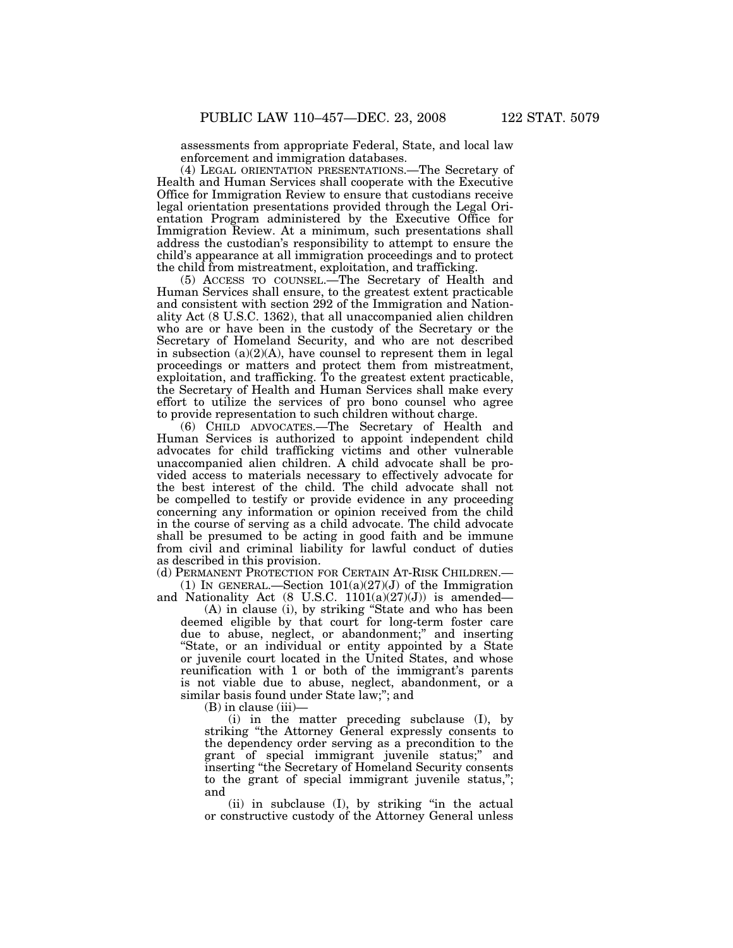assessments from appropriate Federal, State, and local law enforcement and immigration databases.

(4) LEGAL ORIENTATION PRESENTATIONS.—The Secretary of Health and Human Services shall cooperate with the Executive Office for Immigration Review to ensure that custodians receive legal orientation presentations provided through the Legal Orientation Program administered by the Executive Office for Immigration Review. At a minimum, such presentations shall address the custodian's responsibility to attempt to ensure the child's appearance at all immigration proceedings and to protect the child from mistreatment, exploitation, and trafficking.

(5) ACCESS TO COUNSEL.—The Secretary of Health and Human Services shall ensure, to the greatest extent practicable and consistent with section 292 of the Immigration and Nationality Act (8 U.S.C. 1362), that all unaccompanied alien children who are or have been in the custody of the Secretary or the Secretary of Homeland Security, and who are not described in subsection  $(a)(2)(A)$ , have counsel to represent them in legal proceedings or matters and protect them from mistreatment, exploitation, and trafficking. To the greatest extent practicable, the Secretary of Health and Human Services shall make every effort to utilize the services of pro bono counsel who agree to provide representation to such children without charge.

(6) CHILD ADVOCATES.—The Secretary of Health and Human Services is authorized to appoint independent child advocates for child trafficking victims and other vulnerable unaccompanied alien children. A child advocate shall be provided access to materials necessary to effectively advocate for the best interest of the child. The child advocate shall not be compelled to testify or provide evidence in any proceeding concerning any information or opinion received from the child in the course of serving as a child advocate. The child advocate shall be presumed to be acting in good faith and be immune from civil and criminal liability for lawful conduct of duties as described in this provision.

(d) PERMANENT PROTECTION FOR CERTAIN AT-RISK CHILDREN.— (1) IN GENERAL.—Section 101(a)(27)(J) of the Immigration

and Nationality Act (8 U.S.C.  $1101(a)(27)(J)$ ) is amended—

(A) in clause (i), by striking ''State and who has been deemed eligible by that court for long-term foster care due to abuse, neglect, or abandonment;'' and inserting ''State, or an individual or entity appointed by a State or juvenile court located in the United States, and whose reunification with 1 or both of the immigrant's parents is not viable due to abuse, neglect, abandonment, or a similar basis found under State law;"; and

 $(B)$  in clause (iii)

(i) in the matter preceding subclause (I), by striking ''the Attorney General expressly consents to the dependency order serving as a precondition to the grant of special immigrant juvenile status;'' and inserting ''the Secretary of Homeland Security consents to the grant of special immigrant juvenile status,''; and

(ii) in subclause (I), by striking ''in the actual or constructive custody of the Attorney General unless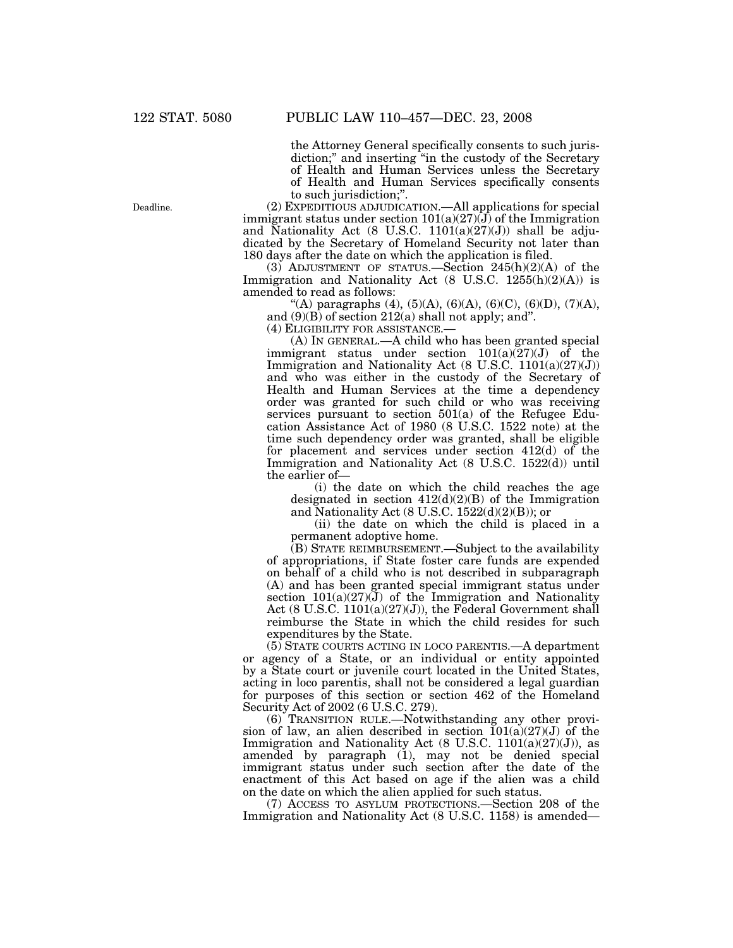the Attorney General specifically consents to such jurisdiction;" and inserting "in the custody of the Secretary of Health and Human Services unless the Secretary of Health and Human Services specifically consents to such jurisdiction;''.

(2) EXPEDITIOUS ADJUDICATION.—All applications for special immigrant status under section  $101(a)(27)(\tilde{J})$  of the Immigration and Nationality Act (8 U.S.C. 1101(a)(27)(J)) shall be adjudicated by the Secretary of Homeland Security not later than 180 days after the date on which the application is filed.

(3) ADJUSTMENT OF STATUS.—Section  $245(h)(2)(A)$  of the Immigration and Nationality Act  $(8 \text{ U.S.C. } 1255(\text{h})(2)(\text{A}))$  is amended to read as follows:

"(A) paragraphs (4), (5)(A), (6)(A), (6)(C), (6)(D), (7)(A), and  $(9)(B)$  of section 212(a) shall not apply; and".

(4) ELIGIBILITY FOR ASSISTANCE.—

(A) IN GENERAL.—A child who has been granted special immigrant status under section 101(a)(27)(J) of the Immigration and Nationality Act (8 U.S.C. 1101(a)(27)(J)) and who was either in the custody of the Secretary of Health and Human Services at the time a dependency order was granted for such child or who was receiving services pursuant to section 501(a) of the Refugee Education Assistance Act of 1980 (8 U.S.C. 1522 note) at the time such dependency order was granted, shall be eligible for placement and services under section 412(d) of the Immigration and Nationality Act (8 U.S.C. 1522(d)) until the earlier of—

(i) the date on which the child reaches the age designated in section 412(d)(2)(B) of the Immigration and Nationality Act (8 U.S.C. 1522(d)(2)(B)); or

(ii) the date on which the child is placed in a permanent adoptive home.

(B) STATE REIMBURSEMENT.—Subject to the availability of appropriations, if State foster care funds are expended on behalf of a child who is not described in subparagraph (A) and has been granted special immigrant status under section  $101(a)(27)(J)$  of the Immigration and Nationality Act (8 U.S.C. 1101(a)(27)(J)), the Federal Government shall reimburse the State in which the child resides for such expenditures by the State.

(5) STATE COURTS ACTING IN LOCO PARENTIS.—A department or agency of a State, or an individual or entity appointed by a State court or juvenile court located in the United States, acting in loco parentis, shall not be considered a legal guardian for purposes of this section or section 462 of the Homeland Security Act of 2002 (6 U.S.C. 279).

(6) TRANSITION RULE.—Notwithstanding any other provision of law, an alien described in section  $101(a)(27)(J)$  of the Immigration and Nationality Act (8 U.S.C. 1101(a)(27)(J)), as amended by paragraph (1), may not be denied special immigrant status under such section after the date of the enactment of this Act based on age if the alien was a child on the date on which the alien applied for such status.

(7) ACCESS TO ASYLUM PROTECTIONS.—Section 208 of the Immigration and Nationality Act (8 U.S.C. 1158) is amended—

Deadline.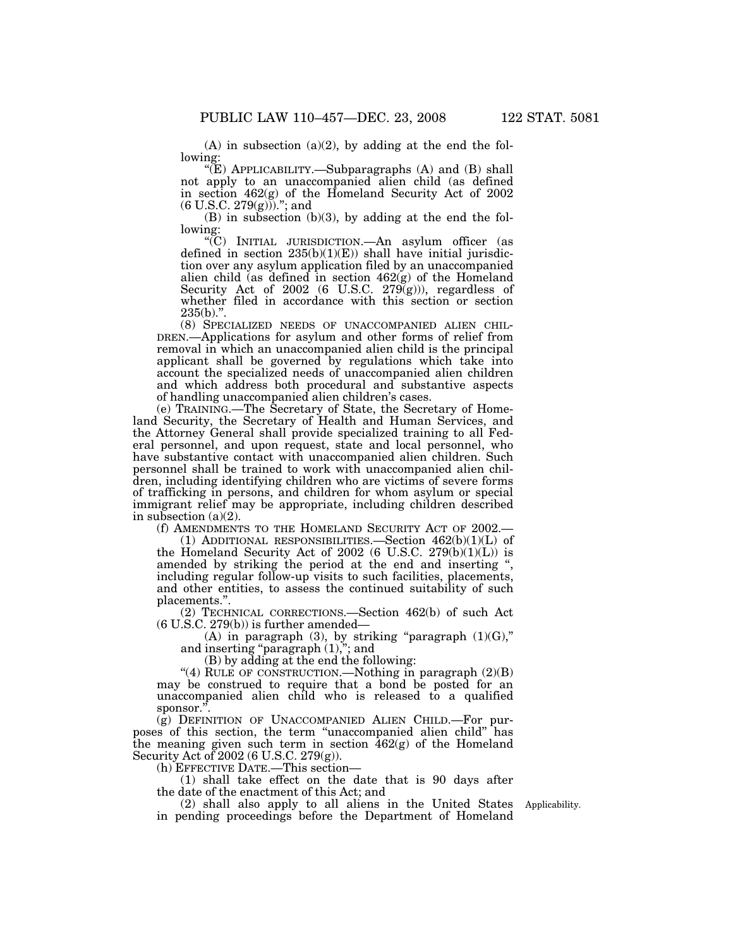$(A)$  in subsection  $(a)(2)$ , by adding at the end the following:

"(E) APPLICABILITY.—Subparagraphs (A) and (B) shall not apply to an unaccompanied alien child (as defined in section  $462(g)$  of the Homeland Security Act of  $2002$  $(6 \text{ U.S.C. } 279(g)))$ ."; and

 $(B)$  in subsection  $(b)(3)$ , by adding at the end the following:

''(C) INITIAL JURISDICTION.—An asylum officer (as defined in section  $235(b)(1)(E)$  shall have initial jurisdiction over any asylum application filed by an unaccompanied alien child (as defined in section  $462(g)$  of the Homeland Security Act of  $2002$  (6 U.S.C.  $279(g)$ ), regardless of whether filed in accordance with this section or section  $235(b)$ .".

(8) SPECIALIZED NEEDS OF UNACCOMPANIED ALIEN CHIL-DREN.—Applications for asylum and other forms of relief from removal in which an unaccompanied alien child is the principal applicant shall be governed by regulations which take into account the specialized needs of unaccompanied alien children and which address both procedural and substantive aspects of handling unaccompanied alien children's cases.

(e) TRAINING.—The Secretary of State, the Secretary of Homeland Security, the Secretary of Health and Human Services, and the Attorney General shall provide specialized training to all Federal personnel, and upon request, state and local personnel, who have substantive contact with unaccompanied alien children. Such personnel shall be trained to work with unaccompanied alien children, including identifying children who are victims of severe forms of trafficking in persons, and children for whom asylum or special immigrant relief may be appropriate, including children described in subsection (a)(2).

(f) AMENDMENTS TO THE HOMELAND SECURITY ACT OF 2002.—

(1) ADDITIONAL RESPONSIBILITIES.—Section  $462(b)(1)(L)$  of the Homeland Security Act of 2002 (6 U.S.C. 279 $(b)(1)(L))$  is amended by striking the period at the end and inserting '', including regular follow-up visits to such facilities, placements, and other entities, to assess the continued suitability of such placements.''.

(2) TECHNICAL CORRECTIONS.—Section 462(b) of such Act (6 U.S.C. 279(b)) is further amended—

(A) in paragraph  $(3)$ , by striking "paragraph  $(1)(G)$ ," and inserting "paragraph  $(1)$ ,"; and

(B) by adding at the end the following:

"(4) RULE OF CONSTRUCTION.—Nothing in paragraph (2)(B) may be construed to require that a bond be posted for an unaccompanied alien child who is released to a qualified sponsor.''.

(g) DEFINITION OF UNACCOMPANIED ALIEN CHILD.—For purposes of this section, the term ''unaccompanied alien child'' has the meaning given such term in section  $462(g)$  of the Homeland Security Act of 2002 (6 U.S.C. 279(g)).

(h) EFFECTIVE DATE.—This section—

(1) shall take effect on the date that is 90 days after the date of the enactment of this Act; and

(2) shall also apply to all aliens in the United States in pending proceedings before the Department of Homeland

Applicability.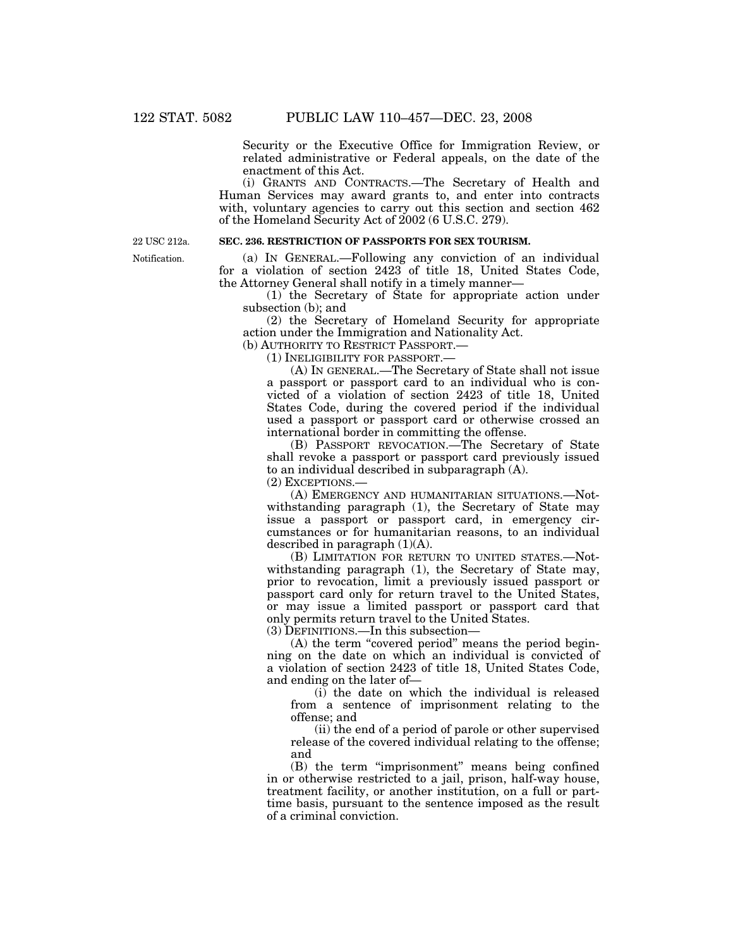Security or the Executive Office for Immigration Review, or related administrative or Federal appeals, on the date of the enactment of this Act.

(i) GRANTS AND CONTRACTS.—The Secretary of Health and Human Services may award grants to, and enter into contracts with, voluntary agencies to carry out this section and section 462 of the Homeland Security Act of 2002 (6 U.S.C. 279).

**SEC. 236. RESTRICTION OF PASSPORTS FOR SEX TOURISM.** 

(a) IN GENERAL.—Following any conviction of an individual for a violation of section 2423 of title 18, United States Code, the Attorney General shall notify in a timely manner—

(1) the Secretary of State for appropriate action under subsection (b); and

(2) the Secretary of Homeland Security for appropriate action under the Immigration and Nationality Act.

(b) AUTHORITY TO RESTRICT PASSPORT.—

(1) INELIGIBILITY FOR PASSPORT.—

(A) IN GENERAL.—The Secretary of State shall not issue a passport or passport card to an individual who is convicted of a violation of section 2423 of title 18, United States Code, during the covered period if the individual used a passport or passport card or otherwise crossed an international border in committing the offense.

(B) PASSPORT REVOCATION.—The Secretary of State shall revoke a passport or passport card previously issued to an individual described in subparagraph (A).

(2) EXCEPTIONS.—

(A) EMERGENCY AND HUMANITARIAN SITUATIONS.—Notwithstanding paragraph (1), the Secretary of State may issue a passport or passport card, in emergency circumstances or for humanitarian reasons, to an individual described in paragraph (1)(A).

(B) LIMITATION FOR RETURN TO UNITED STATES.—Notwithstanding paragraph (1), the Secretary of State may, prior to revocation, limit a previously issued passport or passport card only for return travel to the United States, or may issue a limited passport or passport card that only permits return travel to the United States.

(3) DEFINITIONS.—In this subsection—

(A) the term "covered period" means the period beginning on the date on which an individual is convicted of a violation of section 2423 of title 18, United States Code, and ending on the later of—

(i) the date on which the individual is released from a sentence of imprisonment relating to the offense; and

(ii) the end of a period of parole or other supervised release of the covered individual relating to the offense; and

(B) the term ''imprisonment'' means being confined in or otherwise restricted to a jail, prison, half-way house, treatment facility, or another institution, on a full or parttime basis, pursuant to the sentence imposed as the result of a criminal conviction.

Notification. 22 USC 212a.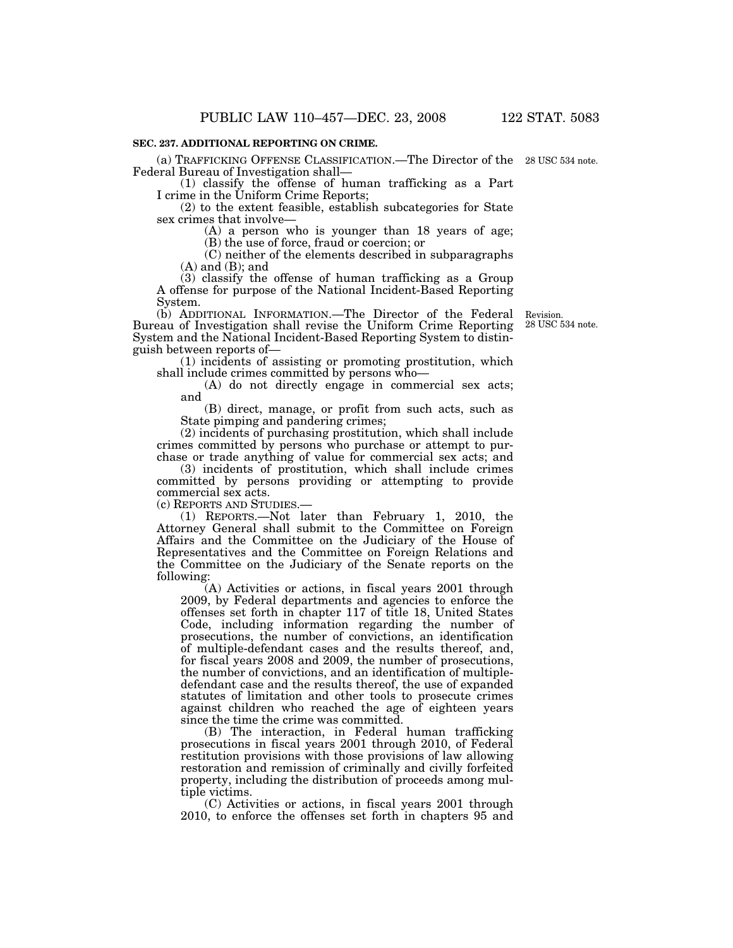### **SEC. 237. ADDITIONAL REPORTING ON CRIME.**

(a) TRAFFICKING OFFENSE CLASSIFICATION.—The Director of the 28 USC 534 note. Federal Bureau of Investigation shall—

(1) classify the offense of human trafficking as a Part I crime in the Uniform Crime Reports;

(2) to the extent feasible, establish subcategories for State sex crimes that involve—

(A) a person who is younger than 18 years of age; (B) the use of force, fraud or coercion; or

(C) neither of the elements described in subparagraphs  $(A)$  and  $(B)$ ; and

(3) classify the offense of human trafficking as a Group A offense for purpose of the National Incident-Based Reporting System.

(b) ADDITIONAL INFORMATION.—The Director of the Federal Bureau of Investigation shall revise the Uniform Crime Reporting System and the National Incident-Based Reporting System to distinguish between reports of—

(1) incidents of assisting or promoting prostitution, which shall include crimes committed by persons who—

(A) do not directly engage in commercial sex acts; and

(B) direct, manage, or profit from such acts, such as State pimping and pandering crimes;

(2) incidents of purchasing prostitution, which shall include crimes committed by persons who purchase or attempt to purchase or trade anything of value for commercial sex acts; and

(3) incidents of prostitution, which shall include crimes committed by persons providing or attempting to provide commercial sex acts.

(c) REPORTS AND STUDIES.—

(1) REPORTS.—Not later than February 1, 2010, the Attorney General shall submit to the Committee on Foreign Affairs and the Committee on the Judiciary of the House of Representatives and the Committee on Foreign Relations and the Committee on the Judiciary of the Senate reports on the following:

(A) Activities or actions, in fiscal years 2001 through 2009, by Federal departments and agencies to enforce the offenses set forth in chapter 117 of title 18, United States Code, including information regarding the number of prosecutions, the number of convictions, an identification of multiple-defendant cases and the results thereof, and, for fiscal years 2008 and 2009, the number of prosecutions, the number of convictions, and an identification of multipledefendant case and the results thereof, the use of expanded statutes of limitation and other tools to prosecute crimes against children who reached the age of eighteen years since the time the crime was committed.

(B) The interaction, in Federal human trafficking prosecutions in fiscal years 2001 through 2010, of Federal restitution provisions with those provisions of law allowing restoration and remission of criminally and civilly forfeited property, including the distribution of proceeds among multiple victims.

(C) Activities or actions, in fiscal years 2001 through 2010, to enforce the offenses set forth in chapters 95 and

Revision. 28 USC 534 note.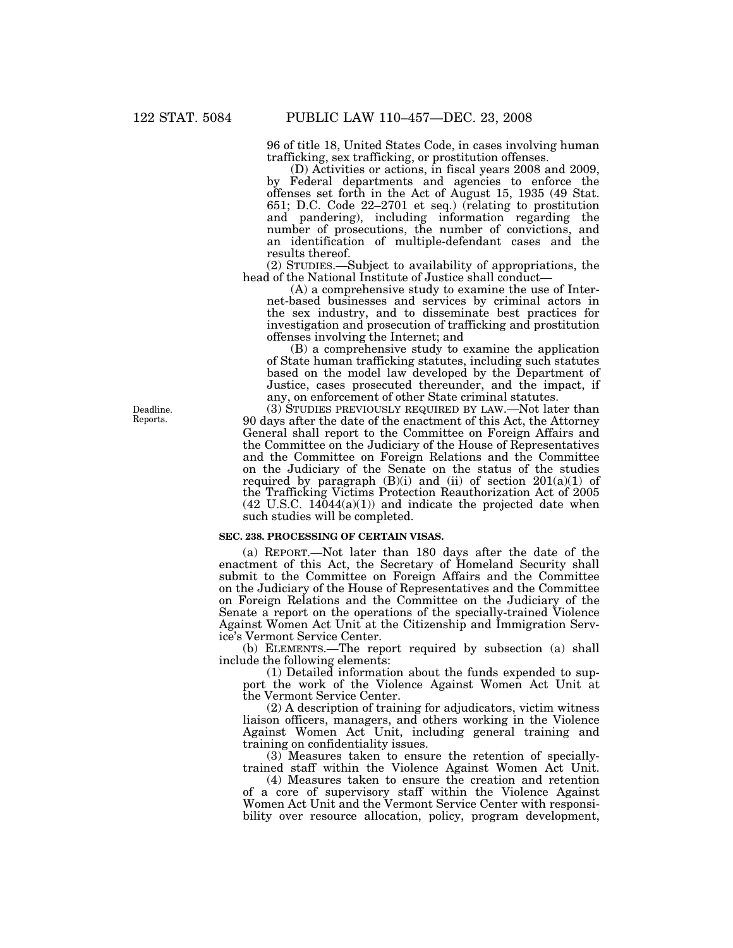96 of title 18, United States Code, in cases involving human trafficking, sex trafficking, or prostitution offenses.

(D) Activities or actions, in fiscal years 2008 and 2009, by Federal departments and agencies to enforce the offenses set forth in the Act of August 15, 1935 (49 Stat. 651; D.C. Code 22–2701 et seq.) (relating to prostitution and pandering), including information regarding the number of prosecutions, the number of convictions, and an identification of multiple-defendant cases and the results thereof.

(2) STUDIES.—Subject to availability of appropriations, the head of the National Institute of Justice shall conduct—

(A) a comprehensive study to examine the use of Internet-based businesses and services by criminal actors in the sex industry, and to disseminate best practices for investigation and prosecution of trafficking and prostitution offenses involving the Internet; and

(B) a comprehensive study to examine the application of State human trafficking statutes, including such statutes based on the model law developed by the Department of Justice, cases prosecuted thereunder, and the impact, if any, on enforcement of other State criminal statutes.

(3) STUDIES PREVIOUSLY REQUIRED BY LAW.—Not later than 90 days after the date of the enactment of this Act, the Attorney General shall report to the Committee on Foreign Affairs and the Committee on the Judiciary of the House of Representatives and the Committee on Foreign Relations and the Committee on the Judiciary of the Senate on the status of the studies required by paragraph  $(B)(i)$  and  $(ii)$  of section  $201(a)(1)$  of the Trafficking Victims Protection Reauthorization Act of 2005  $(42 \text{ U.S.C. } 14044(a)(1))$  and indicate the projected date when such studies will be completed.

#### **SEC. 238. PROCESSING OF CERTAIN VISAS.**

(a) REPORT.—Not later than 180 days after the date of the enactment of this Act, the Secretary of Homeland Security shall submit to the Committee on Foreign Affairs and the Committee on the Judiciary of the House of Representatives and the Committee on Foreign Relations and the Committee on the Judiciary of the Senate a report on the operations of the specially-trained Violence Against Women Act Unit at the Citizenship and Immigration Service's Vermont Service Center.

(b) ELEMENTS.—The report required by subsection (a) shall include the following elements:

(1) Detailed information about the funds expended to support the work of the Violence Against Women Act Unit at the Vermont Service Center.

(2) A description of training for adjudicators, victim witness liaison officers, managers, and others working in the Violence Against Women Act Unit, including general training and training on confidentiality issues.

(3) Measures taken to ensure the retention of speciallytrained staff within the Violence Against Women Act Unit.

(4) Measures taken to ensure the creation and retention of a core of supervisory staff within the Violence Against Women Act Unit and the Vermont Service Center with responsibility over resource allocation, policy, program development,

Deadline. Reports.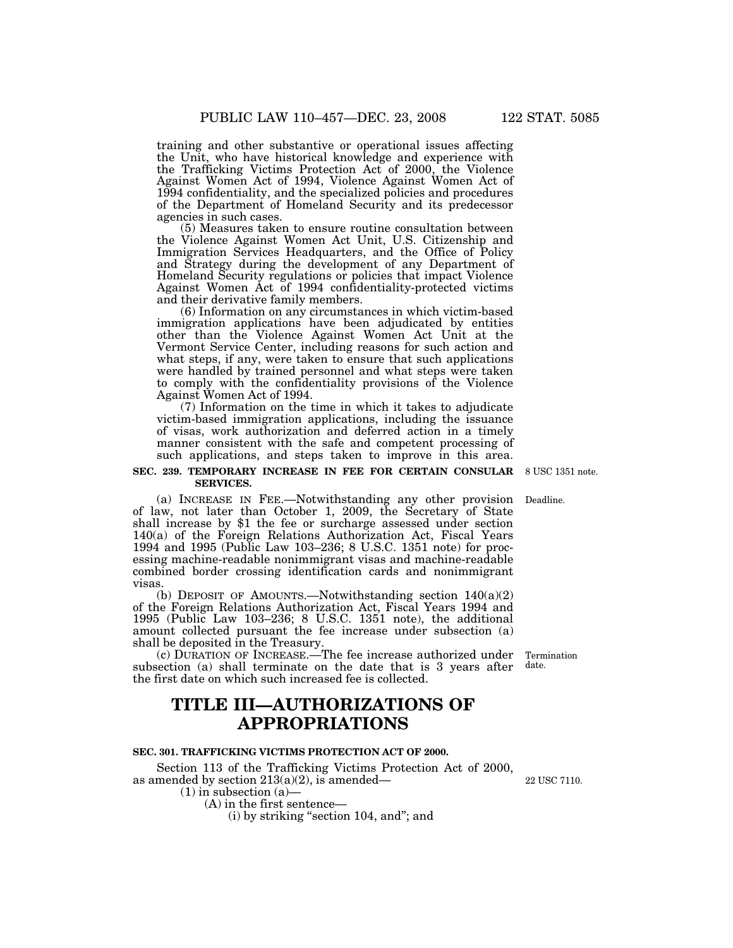training and other substantive or operational issues affecting the Unit, who have historical knowledge and experience with the Trafficking Victims Protection Act of 2000, the Violence Against Women Act of 1994, Violence Against Women Act of 1994 confidentiality, and the specialized policies and procedures of the Department of Homeland Security and its predecessor agencies in such cases.

(5) Measures taken to ensure routine consultation between the Violence Against Women Act Unit, U.S. Citizenship and Immigration Services Headquarters, and the Office of Policy and Strategy during the development of any Department of Homeland Security regulations or policies that impact Violence Against Women Act of 1994 confidentiality-protected victims and their derivative family members.

(6) Information on any circumstances in which victim-based immigration applications have been adjudicated by entities other than the Violence Against Women Act Unit at the Vermont Service Center, including reasons for such action and what steps, if any, were taken to ensure that such applications were handled by trained personnel and what steps were taken to comply with the confidentiality provisions of the Violence Against Women Act of 1994.

(7) Information on the time in which it takes to adjudicate victim-based immigration applications, including the issuance of visas, work authorization and deferred action in a timely manner consistent with the safe and competent processing of such applications, and steps taken to improve in this area.

#### **SEC. 239. TEMPORARY INCREASE IN FEE FOR CERTAIN CONSULAR**  8 USC 1351 note. **SERVICES.**

(a) INCREASE IN FEE.—Notwithstanding any other provision of law, not later than October 1, 2009, the Secretary of State shall increase by \$1 the fee or surcharge assessed under section 140(a) of the Foreign Relations Authorization Act, Fiscal Years 1994 and 1995 (Public Law 103–236; 8 U.S.C. 1351 note) for processing machine-readable nonimmigrant visas and machine-readable combined border crossing identification cards and nonimmigrant visas.

(b) DEPOSIT OF AMOUNTS.—Notwithstanding section  $140(a)(2)$ of the Foreign Relations Authorization Act, Fiscal Years 1994 and 1995 (Public Law 103–236; 8 U.S.C. 1351 note), the additional amount collected pursuant the fee increase under subsection (a) shall be deposited in the Treasury.

(c) DURATION OF INCREASE.—The fee increase authorized under subsection (a) shall terminate on the date that is 3 years after the first date on which such increased fee is collected.

# **TITLE III—AUTHORIZATIONS OF APPROPRIATIONS**

## **SEC. 301. TRAFFICKING VICTIMS PROTECTION ACT OF 2000.**

Section 113 of the Trafficking Victims Protection Act of 2000, as amended by section  $213(a)(2)$ , is amended—

 $(1)$  in subsection  $(a)$ 

(A) in the first sentence—

(i) by striking ''section 104, and''; and

22 USC 7110.

Termination date.

Deadline.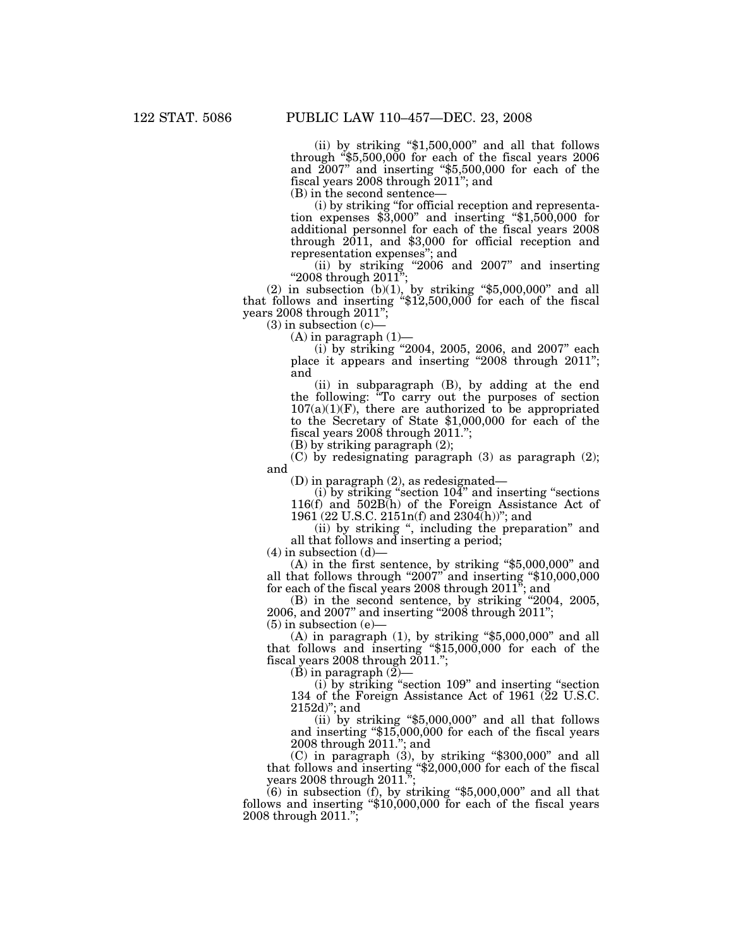(ii) by striking ''\$1,500,000'' and all that follows through ''\$5,500,000 for each of the fiscal years 2006 and 2007'' and inserting ''\$5,500,000 for each of the fiscal years 2008 through 2011''; and

(B) in the second sentence—

(i) by striking ''for official reception and representation expenses  $$3,000"$  and inserting " $$1,500,000$  for additional personnel for each of the fiscal years 2008 through 2011, and \$3,000 for official reception and representation expenses''; and

(ii) by striking ''2006 and 2007'' and inserting ''2008 through 2011'';

(2) in subsection  $(b)(1)$ , by striking "\$5,000,000" and all that follows and inserting ''\$12,500,000 for each of the fiscal years 2008 through 2011'';

 $(3)$  in subsection  $(c)$ –

 $(A)$  in paragraph  $(1)$ —

(i) by striking ''2004, 2005, 2006, and 2007'' each place it appears and inserting "2008 through 2011"; and

(ii) in subparagraph (B), by adding at the end the following: ''To carry out the purposes of section  $107(a)(1)(F)$ , there are authorized to be appropriated to the Secretary of State \$1,000,000 for each of the fiscal years 2008 through 2011.'';

(B) by striking paragraph (2);

(C) by redesignating paragraph (3) as paragraph (2); and

(D) in paragraph (2), as redesignated—

 $(i)$  by striking "section  $104$ " and inserting "sections" 116(f) and 502B(h) of the Foreign Assistance Act of 1961 (22 U.S.C. 2151n(f) and 2304(h))''; and

(ii) by striking '', including the preparation'' and all that follows and inserting a period;

 $(4)$  in subsection  $(d)$ –

(A) in the first sentence, by striking ''\$5,000,000'' and all that follows through "2007" and inserting "\$10,000,000 for each of the fiscal years 2008 through 2011''; and

(B) in the second sentence, by striking ''2004, 2005, 2006, and 2007" and inserting "2008 through 2011";

 $(5)$  in subsection  $(e)$ 

 $(A)$  in paragraph  $(1)$ , by striking "\$5,000,000" and all that follows and inserting ''\$15,000,000 for each of the fiscal years 2008 through 2011.'';

(B) in paragraph (2)—

(i) by striking ''section 109'' and inserting ''section 134 of the Foreign Assistance Act of 1961 (22 U.S.C. 2152d)''; and

(ii) by striking ''\$5,000,000'' and all that follows and inserting ''\$15,000,000 for each of the fiscal years 2008 through 2011.''; and

(C) in paragraph (3), by striking ''\$300,000'' and all that follows and inserting ''\$2,000,000 for each of the fiscal years 2008 through 2011.'';

 $(6)$  in subsection  $(f)$ , by striking "\$5,000,000" and all that follows and inserting  $\sqrt[4]{10,000,000}$  for each of the fiscal years 2008 through 2011.'';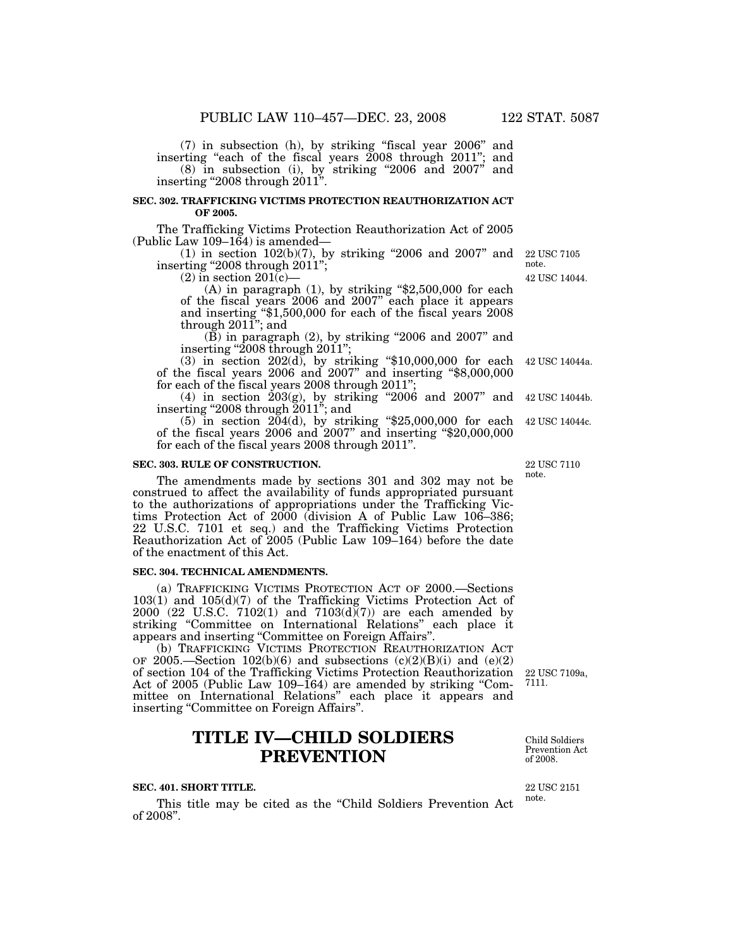(7) in subsection (h), by striking ''fiscal year 2006'' and inserting "each of the fiscal years 2008 through 2011"; and (8) in subsection (i), by striking ''2006 and 2007'' and inserting "2008 through 2011"

#### **SEC. 302. TRAFFICKING VICTIMS PROTECTION REAUTHORIZATION ACT OF 2005.**

The Trafficking Victims Protection Reauthorization Act of 2005 (Public Law  $109-164$ ) is amended—

 $(1)$  in section 102 $(b)(7)$ , by striking "2006 and 2007" and inserting "2008 through 2011"; 22 USC 7105

 $(2)$  in section  $201(c)$ 

 $(A)$  in paragraph  $(1)$ , by striking "\$2,500,000 for each of the fiscal years 2006 and 2007'' each place it appears and inserting ''\$1,500,000 for each of the fiscal years 2008  $through 2011$ "; and

(B) in paragraph (2), by striking ''2006 and 2007'' and inserting "2008 through 2011";

(3) in section 202(d), by striking " $$10,000,000$  for each of the fiscal years 2006 and 2007" and inserting " $$8,000,000$ for each of the fiscal years 2008 through 2011''; 42 USC 14044a.

(4) in section 203(g), by striking ''2006 and 2007'' and 42 USC 14044b.

 $(5)$  in section  $204(d)$ , by striking "\$25,000,000 for each of the fiscal years 2006 and 2007" and inserting "\$20,000,000 for each of the fiscal years 2008 through 2011''. 42 USC 14044c.

#### **SEC. 303. RULE OF CONSTRUCTION.**

The amendments made by sections 301 and 302 may not be construed to affect the availability of funds appropriated pursuant to the authorizations of appropriations under the Trafficking Victims Protection Act of  $2000$  (division A of Public Law 106–386; 22 U.S.C. 7101 et seq.) and the Trafficking Victims Protection Reauthorization Act of 2005 (Public Law 109–164) before the date of the enactment of this Act.

### **SEC. 304. TECHNICAL AMENDMENTS.**

(a) TRAFFICKING VICTIMS PROTECTION ACT OF 2000.—Sections 103(1) and 105(d)(7) of the Trafficking Victims Protection Act of 2000 (22 U.S.C. 7102(1) and 7103(d)(7)) are each amended by striking ''Committee on International Relations'' each place it appears and inserting ''Committee on Foreign Affairs''.

(b) TRAFFICKING VICTIMS PROTECTION REAUTHORIZATION ACT OF 2005.—Section 102(b)(6) and subsections  $(c)(2)(B)(i)$  and  $(e)(2)$ of section 104 of the Trafficking Victims Protection Reauthorization Act of 2005 (Public Law 109–164) are amended by striking "Committee on International Relations'' each place it appears and inserting "Committee on Foreign Affairs". 22 USC 7109a, 7111.

# **TITLE IV—CHILD SOLDIERS PREVENTION**

#### **SEC. 401. SHORT TITLE.**

This title may be cited as the ''Child Soldiers Prevention Act of 2008''.

22 USC 2151

Child Soldiers Prevention Act of 2008.

note.

22 USC 7110

note.

42 USC 14044. note.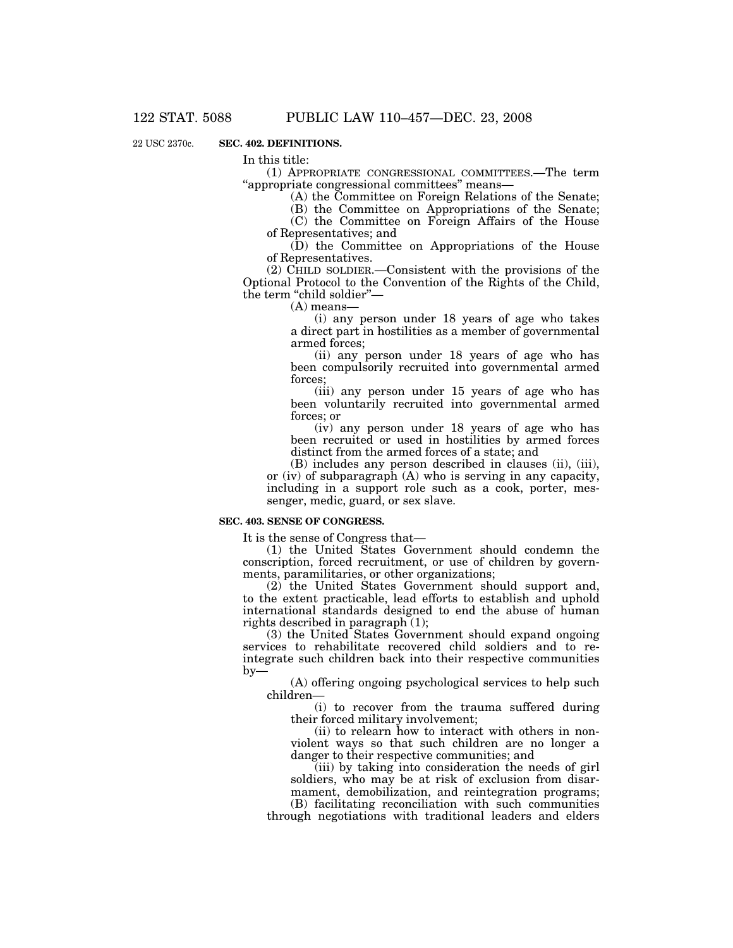22 USC 2370c.

# **SEC. 402. DEFINITIONS.**

In this title:

(1) APPROPRIATE CONGRESSIONAL COMMITTEES.—The term ''appropriate congressional committees'' means—

(A) the Committee on Foreign Relations of the Senate;

(B) the Committee on Appropriations of the Senate;

(C) the Committee on Foreign Affairs of the House of Representatives; and

(D) the Committee on Appropriations of the House of Representatives.

(2) CHILD SOLDIER.—Consistent with the provisions of the Optional Protocol to the Convention of the Rights of the Child, the term "child soldier"-

(A) means—

(i) any person under 18 years of age who takes a direct part in hostilities as a member of governmental armed forces;

(ii) any person under 18 years of age who has been compulsorily recruited into governmental armed forces;

(iii) any person under 15 years of age who has been voluntarily recruited into governmental armed forces; or

(iv) any person under 18 years of age who has been recruited or used in hostilities by armed forces distinct from the armed forces of a state; and

(B) includes any person described in clauses (ii), (iii), or (iv) of subparagraph (A) who is serving in any capacity, including in a support role such as a cook, porter, messenger, medic, guard, or sex slave.

# **SEC. 403. SENSE OF CONGRESS.**

It is the sense of Congress that—

(1) the United States Government should condemn the conscription, forced recruitment, or use of children by governments, paramilitaries, or other organizations;

(2) the United States Government should support and, to the extent practicable, lead efforts to establish and uphold international standards designed to end the abuse of human rights described in paragraph (1);

(3) the United States Government should expand ongoing services to rehabilitate recovered child soldiers and to reintegrate such children back into their respective communities  $by-$ 

(A) offering ongoing psychological services to help such children—

(i) to recover from the trauma suffered during their forced military involvement;

(ii) to relearn how to interact with others in nonviolent ways so that such children are no longer a danger to their respective communities; and

(iii) by taking into consideration the needs of girl soldiers, who may be at risk of exclusion from disarmament, demobilization, and reintegration programs;

(B) facilitating reconciliation with such communities through negotiations with traditional leaders and elders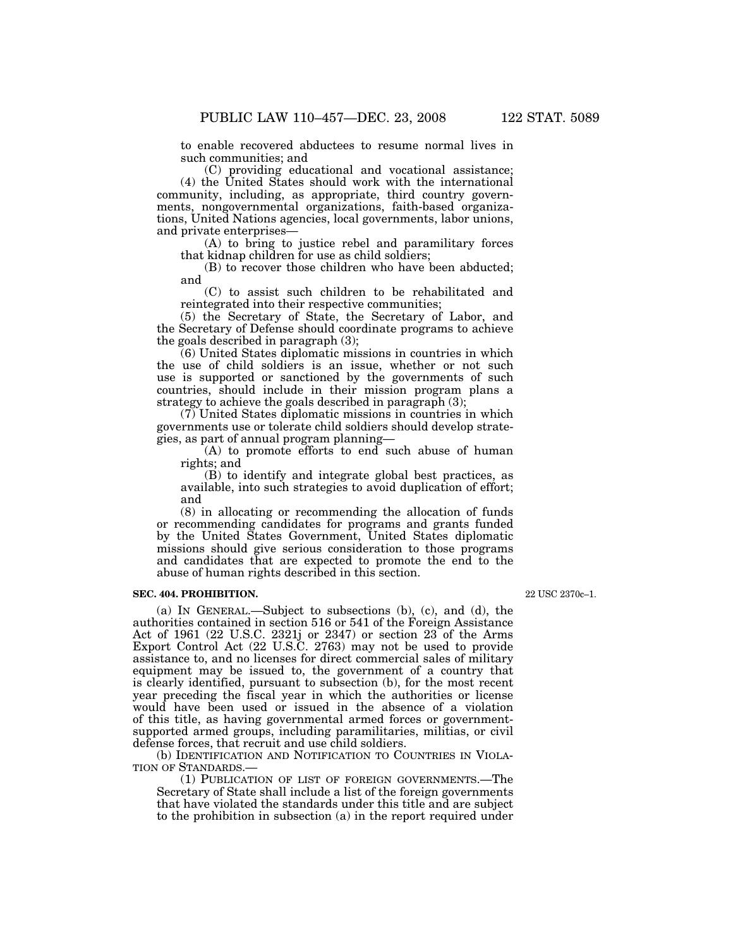to enable recovered abductees to resume normal lives in such communities; and

(C) providing educational and vocational assistance; (4) the United States should work with the international community, including, as appropriate, third country governments, nongovernmental organizations, faith-based organizations, United Nations agencies, local governments, labor unions, and private enterprises—

(A) to bring to justice rebel and paramilitary forces that kidnap children for use as child soldiers;

(B) to recover those children who have been abducted; and

(C) to assist such children to be rehabilitated and reintegrated into their respective communities;

(5) the Secretary of State, the Secretary of Labor, and the Secretary of Defense should coordinate programs to achieve the goals described in paragraph (3);

(6) United States diplomatic missions in countries in which the use of child soldiers is an issue, whether or not such use is supported or sanctioned by the governments of such countries, should include in their mission program plans a strategy to achieve the goals described in paragraph (3);

(7) United States diplomatic missions in countries in which governments use or tolerate child soldiers should develop strategies, as part of annual program planning—

(A) to promote efforts to end such abuse of human rights; and

(B) to identify and integrate global best practices, as available, into such strategies to avoid duplication of effort; and

(8) in allocating or recommending the allocation of funds or recommending candidates for programs and grants funded by the United States Government, United States diplomatic missions should give serious consideration to those programs and candidates that are expected to promote the end to the abuse of human rights described in this section.

#### **SEC. 404. PROHIBITION.**

(a) IN GENERAL.—Subject to subsections (b), (c), and (d), the authorities contained in section 516 or 541 of the Foreign Assistance Act of 1961 (22 U.S.C. 2321j or 2347) or section 23 of the Arms Export Control Act (22 U.S.C. 2763) may not be used to provide assistance to, and no licenses for direct commercial sales of military equipment may be issued to, the government of a country that is clearly identified, pursuant to subsection (b), for the most recent year preceding the fiscal year in which the authorities or license would have been used or issued in the absence of a violation of this title, as having governmental armed forces or governmentsupported armed groups, including paramilitaries, militias, or civil defense forces, that recruit and use child soldiers.

(b) IDENTIFICATION AND NOTIFICATION TO COUNTRIES IN VIOLA-TION OF STANDARDS.—

(1) PUBLICATION OF LIST OF FOREIGN GOVERNMENTS.—The Secretary of State shall include a list of the foreign governments that have violated the standards under this title and are subject to the prohibition in subsection (a) in the report required under

22 USC 2370c–1.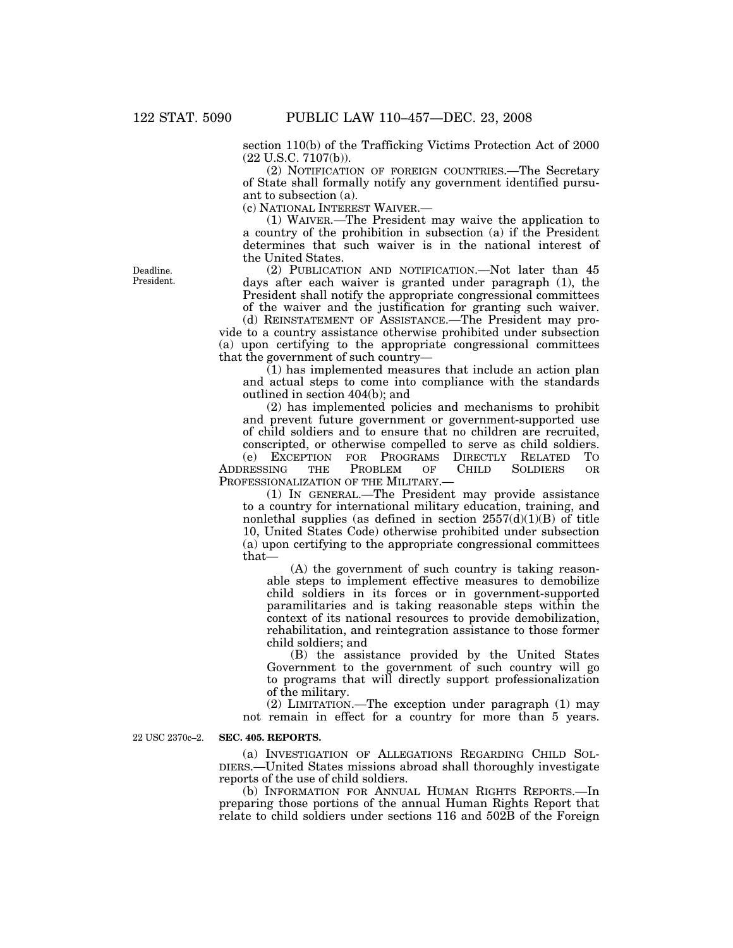section 110(b) of the Trafficking Victims Protection Act of 2000 (22 U.S.C. 7107(b)).

(2) NOTIFICATION OF FOREIGN COUNTRIES.—The Secretary of State shall formally notify any government identified pursuant to subsection (a).

(c) NATIONAL INTEREST WAIVER.—

(1) WAIVER.—The President may waive the application to a country of the prohibition in subsection (a) if the President determines that such waiver is in the national interest of the United States.

(2) PUBLICATION AND NOTIFICATION.—Not later than 45 days after each waiver is granted under paragraph (1), the President shall notify the appropriate congressional committees of the waiver and the justification for granting such waiver.

(d) REINSTATEMENT OF ASSISTANCE.—The President may provide to a country assistance otherwise prohibited under subsection (a) upon certifying to the appropriate congressional committees that the government of such country—

(1) has implemented measures that include an action plan and actual steps to come into compliance with the standards outlined in section 404(b); and

(2) has implemented policies and mechanisms to prohibit and prevent future government or government-supported use of child soldiers and to ensure that no children are recruited, conscripted, or otherwise compelled to serve as child soldiers.

(e) EXCEPTION FOR PROGRAMS DIRECTLY RELATED TO ADDRESSING THE PROBLEM OF CHILD SOLDIERS OR PROFESSIONALIZATION OF THE MILITARY.—

(1) IN GENERAL.—The President may provide assistance to a country for international military education, training, and nonlethal supplies (as defined in section  $2557(d)(1)(B)$  of title 10, United States Code) otherwise prohibited under subsection (a) upon certifying to the appropriate congressional committees that—

(A) the government of such country is taking reasonable steps to implement effective measures to demobilize child soldiers in its forces or in government-supported paramilitaries and is taking reasonable steps within the context of its national resources to provide demobilization, rehabilitation, and reintegration assistance to those former child soldiers; and

(B) the assistance provided by the United States Government to the government of such country will go to programs that will directly support professionalization of the military.

(2) LIMITATION.—The exception under paragraph (1) may not remain in effect for a country for more than 5 years.

22 USC 2370c–2.

#### **SEC. 405. REPORTS.**

(a) INVESTIGATION OF ALLEGATIONS REGARDING CHILD SOL-DIERS.—United States missions abroad shall thoroughly investigate reports of the use of child soldiers.

(b) INFORMATION FOR ANNUAL HUMAN RIGHTS REPORTS.—In preparing those portions of the annual Human Rights Report that relate to child soldiers under sections 116 and 502B of the Foreign

Deadline. President.